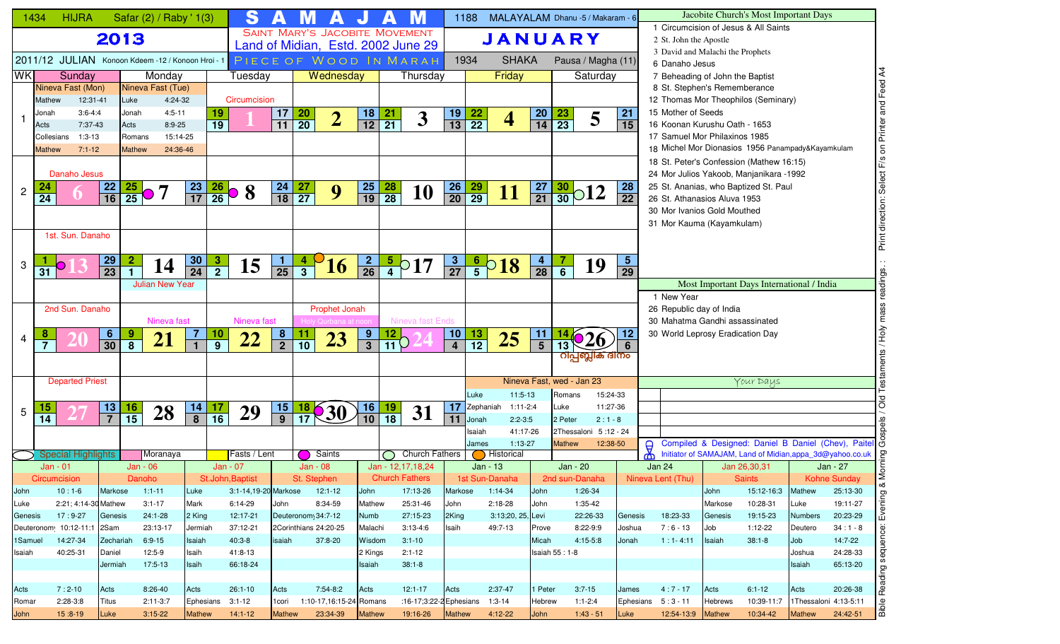|            | 1434            | <b>HIJRA</b>               |                                                              | Safar (2) / Raby ' 1(3)   |                 | S                                                                     |                 |                       | А                       |                       |                 | M                                     |                 | 1188            |                             |                 | MALAYALAM Dhanu -5 / Makaram - 6                   |                 |                                                            |               | Jacobite Church's Most Important Days                     |               |                                                       |
|------------|-----------------|----------------------------|--------------------------------------------------------------|---------------------------|-----------------|-----------------------------------------------------------------------|-----------------|-----------------------|-------------------------|-----------------------|-----------------|---------------------------------------|-----------------|-----------------|-----------------------------|-----------------|----------------------------------------------------|-----------------|------------------------------------------------------------|---------------|-----------------------------------------------------------|---------------|-------------------------------------------------------|
|            |                 |                            |                                                              |                           |                 |                                                                       |                 |                       |                         |                       |                 | <b>SAINT MARY'S JACOBITE MOVEMENT</b> |                 |                 |                             |                 |                                                    |                 |                                                            |               | 1 Circumcision of Jesus & All Saints                      |               |                                                       |
|            |                 |                            | 2013                                                         |                           |                 |                                                                       |                 |                       |                         |                       |                 | Land of Midian, Estd. 2002 June 29    |                 |                 |                             |                 | <b>JANUARY</b>                                     |                 | 2 St. John the Apostle<br>3 David and Malachi the Prophets |               |                                                           |               |                                                       |
|            |                 |                            |                                                              |                           |                 | 2011/12 JULIAN Konoon Kdeem -12/Konoon Hroi -1 PIECE OF WOOD IN MARAH |                 |                       |                         |                       |                 |                                       |                 | 1934            | <b>SHAKA</b>                |                 | Pausa / Magha (11)                                 |                 | 6 Danaho Jesus                                             |               |                                                           |               |                                                       |
| <b>WKI</b> |                 | Sunday                     |                                                              | Monday                    |                 | Tuesday                                                               |                 |                       | Wednesday               |                       |                 | Thursday                              |                 |                 | Friday                      |                 | Saturday                                           |                 | 7 Beheading of John the Baptist                            |               |                                                           |               | and Feed A4                                           |
|            |                 | Nineva Fast (Mon)          |                                                              | Nineva Fast (Tue)         |                 |                                                                       |                 |                       |                         |                       |                 |                                       |                 |                 |                             |                 |                                                    |                 | 8 St. Stephen's Rememberance                               |               |                                                           |               |                                                       |
|            | Mathew          | 12:31-41                   | Luke                                                         | 4:24-32                   |                 | Circumcision                                                          |                 |                       |                         |                       |                 |                                       |                 |                 |                             |                 |                                                    |                 | 12 Thomas Mor Theophilos (Seminary)                        |               |                                                           |               |                                                       |
|            | Jonah           | $3:6 - 4:4$                | Jonah                                                        | $4:5 - 11$                |                 | 19                                                                    | 17              |                       |                         |                       |                 |                                       | <u>19</u>       |                 |                             |                 |                                                    | 21              | 15 Mother of Seeds                                         |               |                                                           |               |                                                       |
|            | Acts            | 7:37-43                    | Acts                                                         | $8:9 - 25$                |                 | $\overline{19}$                                                       | $\overline{11}$ | $\frac{20}{20}$       | $\overline{2}$          | $\frac{18}{12}$       | $\frac{21}{21}$ | $\overline{\mathbf{3}}$               | $\overline{13}$ | $\frac{22}{22}$ | 4                           | $\frac{20}{14}$ | $\frac{23}{23}$<br>5                               | 15              | 16 Koonan Kurushu Oath - 1653                              |               |                                                           |               |                                                       |
|            | Collesians      | $1:3-13$                   |                                                              | 15:14-25<br>Romans        |                 |                                                                       |                 |                       |                         |                       |                 |                                       |                 |                 |                             |                 |                                                    |                 | 17 Samuel Mor Philaxinos 1985                              |               |                                                           |               | on Printer                                            |
|            | <b>Mathew</b>   | $7:1 - 12$                 |                                                              | <b>Mathew</b><br>24:36-46 |                 |                                                                       |                 |                       |                         |                       |                 |                                       |                 |                 |                             |                 |                                                    |                 | 18 Michel Mor Dionasios 1956 Panampady&Kayamkulam          |               |                                                           |               |                                                       |
|            |                 |                            |                                                              |                           |                 |                                                                       |                 |                       |                         |                       |                 |                                       |                 |                 |                             |                 |                                                    |                 | 18 St. Peter's Confession (Mathew 16:15)                   |               |                                                           |               | Select F/s                                            |
|            |                 | Danaho Jesus               |                                                              |                           |                 |                                                                       |                 |                       |                         |                       |                 |                                       |                 |                 |                             |                 |                                                    |                 | 24 Mor Julios Yakoob, Manjanikara -1992                    |               |                                                           |               |                                                       |
| 2          |                 |                            | $\frac{22}{16}$                                              | $\frac{25}{25}$ 0 7       | $\frac{23}{17}$ | $\frac{26}{26}$<br>8                                                  | $\frac{24}{18}$ | $\frac{27}{27}$       | 9                       | $\frac{25}{19}$       | $\frac{28}{28}$ | <b>10</b>                             | $\frac{26}{20}$ | $\frac{29}{29}$ | <b>11</b>                   | $\frac{27}{21}$ | $\frac{30}{30}$ 012                                | 28              | 25 St. Ananias, who Baptized St. Paul                      |               |                                                           |               |                                                       |
|            | $\overline{24}$ |                            |                                                              |                           |                 |                                                                       |                 |                       |                         |                       |                 |                                       |                 |                 |                             |                 |                                                    | 22              | 26 St. Athanasios Aluva 1953                               |               |                                                           |               |                                                       |
|            |                 |                            |                                                              |                           |                 |                                                                       |                 |                       |                         |                       |                 |                                       |                 |                 |                             |                 |                                                    |                 | 30 Mor Ivanios Gold Mouthed                                |               |                                                           |               |                                                       |
|            |                 | 1st. Sun. Danaho           |                                                              |                           |                 |                                                                       |                 |                       |                         |                       |                 |                                       |                 |                 |                             |                 |                                                    |                 | 31 Mor Kauma (Kayamkulam)                                  |               |                                                           |               |                                                       |
|            |                 |                            |                                                              |                           |                 |                                                                       |                 |                       |                         |                       |                 |                                       |                 |                 |                             |                 |                                                    |                 |                                                            |               |                                                           |               | Print direction:                                      |
|            |                 |                            | <u>29</u>                                                    |                           | 30              |                                                                       |                 |                       |                         |                       |                 |                                       |                 |                 |                             |                 |                                                    | 5 <sub>5</sub>  |                                                            |               |                                                           |               |                                                       |
| 3          | 31              |                            | $\overline{2}$<br>$\overline{23}$<br>$\overline{\mathbf{1}}$ | 14                        | $\overline{24}$ | $\frac{3}{2}$<br>15                                                   | $\frac{1}{25}$  | $\frac{4}{3}$         | 16                      | $\frac{2}{26}$        |                 | $\frac{5}{4}$ 0 17                    | $\frac{3}{27}$  |                 | $rac{6}{5}$ <sup>0</sup> 18 | $\frac{4}{28}$  | $\frac{7}{6}$<br>19                                | $\overline{29}$ |                                                            |               |                                                           |               |                                                       |
|            |                 |                            |                                                              | <b>Julian New Year</b>    |                 |                                                                       |                 |                       |                         |                       |                 |                                       |                 |                 |                             |                 |                                                    |                 |                                                            |               | Most Important Days International / India                 |               | dings.                                                |
|            |                 |                            |                                                              |                           |                 |                                                                       |                 |                       |                         |                       |                 |                                       |                 |                 |                             |                 |                                                    |                 | 1 New Year                                                 |               |                                                           |               |                                                       |
|            |                 | 2nd Sun. Danaho            |                                                              |                           |                 |                                                                       |                 |                       | Prophet Jonah           |                       |                 |                                       |                 |                 |                             |                 |                                                    |                 | 26 Republic day of India                                   |               |                                                           |               |                                                       |
|            |                 |                            |                                                              | Nineva fast               |                 | Nineva fast                                                           |                 |                       |                         |                       |                 | Nineva fast Ends                      |                 |                 |                             |                 |                                                    |                 | 30 Mahatma Gandhi assassinated                             |               |                                                           |               |                                                       |
|            |                 |                            |                                                              |                           | $\overline{7}$  | <u>10</u>                                                             | $\frac{8}{2}$   |                       |                         |                       |                 |                                       | 10              |                 |                             |                 |                                                    | 12              | 30 World Leprosy Eradication Day                           |               |                                                           |               | √он<br>Но                                             |
| 4          | $\overline{7}$  |                            | $\frac{6}{30}$<br>$\frac{9}{8}$                              | 21                        |                 | 22<br>$\overline{9}$                                                  |                 | $\frac{11}{10}$       | 23                      | $\frac{9}{3}$         | $\frac{12}{11}$ |                                       |                 | $\frac{13}{12}$ | 25                          | $\frac{11}{5}$  | 13                                                 |                 |                                                            |               |                                                           |               |                                                       |
|            |                 |                            |                                                              |                           |                 |                                                                       |                 |                       |                         |                       |                 |                                       |                 |                 |                             |                 | റിപ്പബ്ലിക് ദിനം                                   |                 |                                                            |               |                                                           |               | aments                                                |
|            |                 |                            |                                                              |                           |                 |                                                                       |                 |                       |                         |                       |                 |                                       |                 |                 |                             |                 |                                                    |                 |                                                            |               |                                                           |               |                                                       |
|            |                 | <b>Departed Priest</b>     |                                                              |                           |                 |                                                                       |                 |                       |                         |                       |                 |                                       |                 |                 |                             |                 | Nineva Fast, wed - Jan 23                          |                 |                                                            |               | Your Days                                                 |               |                                                       |
|            |                 |                            |                                                              |                           |                 |                                                                       |                 |                       |                         |                       |                 |                                       |                 | Luke            | $11:5-13$                   |                 | Romans<br>15:24-33                                 |                 |                                                            |               |                                                           |               | $\overline{5}$                                        |
| 5          | $\overline{14}$ |                            | $\frac{13}{7}$<br>$\frac{16}{15}$                            | 28                        | $\frac{14}{8}$  | $\frac{17}{16}$<br>29                                                 | $\frac{15}{9}$  | $\overline{17}$       | <b>30</b>               | 16<br>$\overline{10}$ | $\frac{19}{18}$ | 31                                    | 17              | Zephaniah       | $1:11-2:4$                  |                 | 11:27-36<br>Luke                                   |                 |                                                            |               |                                                           |               |                                                       |
|            |                 |                            |                                                              |                           |                 |                                                                       |                 |                       |                         |                       |                 |                                       | 11              | Jonah           | $2:2-3:5$                   |                 | $2:1 - 8$<br>2 Peter                               |                 |                                                            |               |                                                           |               |                                                       |
|            |                 |                            |                                                              |                           |                 |                                                                       |                 |                       |                         |                       |                 |                                       |                 | Isaiah<br>James | 41:17-26<br>$1:13-27$       |                 | 2Thessaloni 5:12 - 24<br><b>Mathew</b><br>12:38-50 |                 |                                                            |               |                                                           |               | Compiled & Designed: Daniel B Daniel (Chev), Paitel C |
|            |                 | <b>Special Highlights</b>  |                                                              | Moranaya                  |                 | Fasts / Lent                                                          |                 |                       | Saints                  |                       |                 | <b>Church Fathers</b>                 |                 |                 | Historical                  |                 |                                                    |                 | $\Theta$<br>ത്                                             |               | Initiator of SAMAJAM, Land of Midian, appa_3d@yahoo.co.uk |               |                                                       |
|            |                 | Jan - 01                   |                                                              | Jan - 06                  |                 | Jan - 07                                                              |                 | Jan - 08              |                         |                       |                 | Jan - 12,17,18,24                     |                 |                 | Jan - 13                    |                 | Jan - 20                                           |                 | <b>Jan 24</b>                                              |               | Jan 26,30,31                                              |               | Morni<br>Jan - 27                                     |
|            |                 | <b>Circumcision</b>        |                                                              | Danoho                    |                 | St.John, Baptist                                                      |                 | St. Stephen           |                         |                       |                 | <b>Church Fathers</b>                 |                 |                 | 1st Sun-Danaha              |                 | 2nd sun-Danaha                                     |                 | Nineva Lent (Thu)                                          |               | Saints                                                    |               | Kohne Sunday                                          |
| John       |                 | $10:1-6$                   | Markose                                                      | $1:1-11$                  | Luke            | 3:1-14,19-20 Markose                                                  |                 |                       | $12:1-12$               | John                  |                 | 17:13-26                              | Markose         |                 | $1:14-34$                   | John            | 1:26-34                                            |                 |                                                            | John          | 15:12-16:3                                                | Mathew        | ∞<br>25:13-30                                         |
| Luke       |                 | 2:21; 4:14-30 Mathew       |                                                              | $3:1 - 17$                | Mark            | 6:14-29                                                               | John            |                       | 8:34-59                 | Mathew                |                 | 25:31-46                              | John            |                 | $2:18-28$                   | John            | 1:35-42                                            |                 |                                                            | Markose       | 10:28-31                                                  | Luke          | 19:11-27                                              |
| Genesis    |                 | $17:9-27$                  | Genesis                                                      | $24:1 - 28$               | 2 King          | 12:17-21                                                              |                 | Deuteronom 34:7-12    |                         | Numb                  |                 | 27:15-23                              | 2King           |                 | 3:13;20, 25, Levi           |                 | 22:26-33                                           | Genesis         | 18:23-33                                                   | Genesis       | 19:15-23                                                  | Numbers       | Evening<br>20:23-29                                   |
|            |                 | Deuteronom 10:12-11:1 2Sam |                                                              | 23:13-17                  | Jermiah         | 37:12-21                                                              |                 | 2Corinthians 24:20-25 |                         | Malachi               |                 | $3:13-4:6$                            | Isaih           |                 | 49:7-13                     | Prove           | 8:22-9:9                                           | Joshua          | $7:6 - 13$                                                 | Job           | $1:12-22$                                                 | Deutero       | $34:1 - 8$                                            |
| 1Samuel    |                 | 14:27-34                   | Zechariah                                                    | $6:9-15$                  | Isaiah          | $40:3-8$                                                              | isaiah          |                       | 37:8-20                 | Wisdom                |                 | $3:1 - 10$                            |                 |                 |                             | Micah           | $4:15-5:8$                                         | Jonah           | $1:1 - 4:11$                                               | Isaiah        | $38:1 - 8$                                                | Job           | 14:7-22                                               |
| Isaiah     |                 | 40:25-31                   | Daniel                                                       | 12:5-9                    | Isaih           | 41:8-13                                                               |                 |                       |                         | 2 Kings               |                 | $2:1 - 12$                            |                 |                 |                             |                 | <b>Isaiah 55: 1-8</b>                              |                 |                                                            |               |                                                           | Joshua        | sequence:<br>24:28-33                                 |
|            |                 |                            | Jermiah                                                      | 17:5-13                   | Isaih           | 66:18-24                                                              |                 |                       |                         | Isaiah                |                 | $38:1 - 8$                            |                 |                 |                             |                 |                                                    |                 |                                                            |               |                                                           | Isaiah        | 65:13-20                                              |
|            |                 |                            |                                                              |                           |                 |                                                                       |                 |                       |                         |                       |                 |                                       |                 |                 |                             |                 |                                                    |                 |                                                            |               |                                                           |               | Reading:                                              |
| Acts       |                 | $7:2-10$                   | Acts                                                         | $8:26-40$                 | Acts            | $26:1-10$                                                             | Acts            |                       | 7:54-8:2                | Acts                  |                 | $12:1 - 17$                           | Acts            |                 | $2:37-47$                   | 1 Peter         | $3:7-15$                                           | James           | $4:7 - 17$                                                 | Acts          | $6:1 - 12$                                                | Acts          | 20:26-38                                              |
| Romar      |                 | $2:28-3:8$                 | Titus                                                        | $2:11-3:7$                | Ephesians       | $3:1 - 12$                                                            | 1cori           |                       | 1:10-17,16:15-24 Romans |                       |                 | :16-17;3:22-2 Ephesians               |                 |                 | 1:3-14                      | Hebrew          | $1:1 - 2:4$                                        |                 | Ephesians 5:3-11                                           | Hebrews       | 10:39-11:7                                                |               | Bible<br>1Thessaloni 4:13-5:11                        |
| John       |                 | $15:8-19$                  | Luke                                                         | $3:15-22$                 | <b>Mathew</b>   | $14:1 - 12$                                                           | <b>Mathew</b>   |                       | 23:34-39                | <b>Mathew</b>         |                 | 19:16-26                              | <b>Mathew</b>   |                 | 4:12-22                     | <b>John</b>     | $1:43 - 51$                                        | Luke            | 12:54-13:9                                                 | <b>Mathew</b> | 10:34-42                                                  | <b>Mathew</b> | 24:42-51                                              |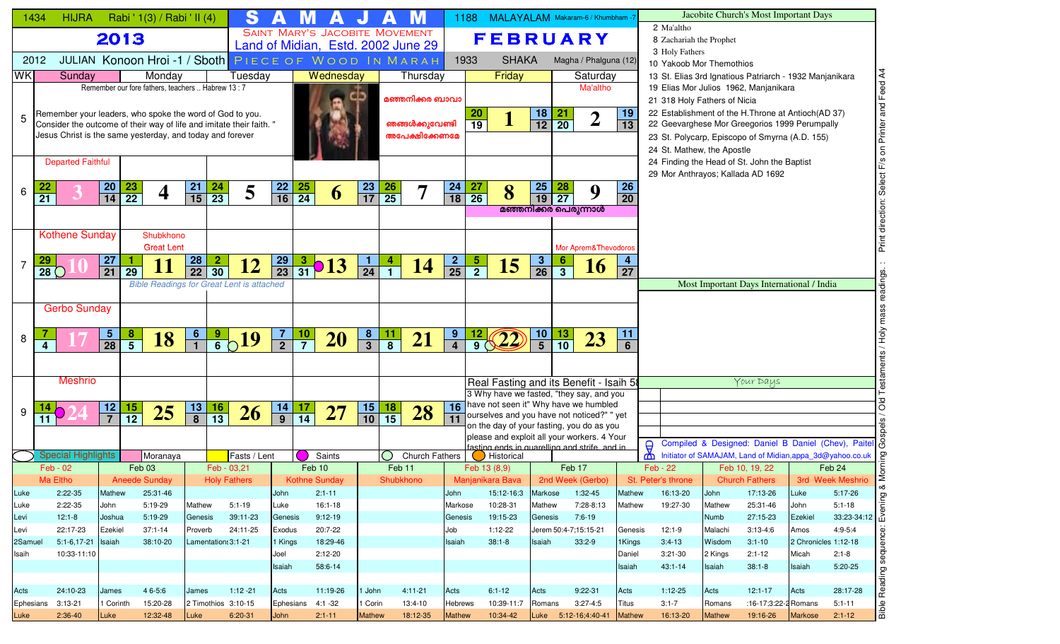| 2 Ma'altho<br><b>SAINT MARY'S JACOBITE MOVEMENT</b><br>2013<br><b>FEBRUARY</b><br>8 Zachariah the Prophet<br>Land of Midian, Estd. 2002 June 29<br>3 Holy Fathers<br>JULIAN Konoon Hroi-1/Sboth PIECE OF WOOD IN MARAH<br><b>SHAKA</b><br>2012<br>1933<br>Magha / Phalguna (12)<br>10 Yakoob Mor Themothios<br><b>WK</b><br>Sunday<br>Wednesday<br>Monday<br>Thursday<br>Friday<br>Tuesday<br>Saturday<br>13 St. Elias 3rd Ignatious Patriarch - 1932 Manjanikara<br>Remember our fore fathers, teachers  Habrew 13 : 7<br>19 Elias Mor Julios 1962, Manjanikara<br>Ma'altho<br>മഞ്ഞനിക്കര ബാവാ<br>21 318 Holy Fathers of Nicia<br>22 Establishment of the H.Throne at Antioch(AD 37)<br>$\frac{18}{12}$<br>19<br>$\frac{20}{19}$<br>$\frac{21}{20}$<br>Remember your leaders, who spoke the word of God to you.<br>$\boldsymbol{2}$<br>$\mathbf 1$<br>5<br>ഞങ്ങൾക്കുവേണ്ടി<br>$\overline{13}$<br>22 Geevarghese Mor Greegorios 1999 Perumpally<br>Consider the outcome of their way of life and imitate their faith. "<br>Jesus Christ is the same yesterday, and today and forever<br>അപേക്ഷിക്കേണമേ<br>23 St. Polycarp, Episcopo of Smyrna (A.D. 155)<br>24 St. Mathew, the Apostle<br><b>Departed Faithful</b><br>24 Finding the Head of St. John the Baptist<br>29 Mor Anthrayos; Kallada AD 1692<br>26<br>23<br>24<br>$\frac{23}{22}$<br>21<br>$\frac{24}{23}$<br>$\frac{22}{16}$<br>$\frac{26}{25}$<br><b>27</b><br><b>25</b><br>$\frac{28}{27}$<br><b>20</b><br>$\frac{25}{24}$<br>5<br>7<br>8<br>9<br>4<br>6<br>6<br>$\overline{15}$<br>$\overline{17}$<br>$\overline{26}$<br>$\overline{19}$<br>$\overline{21}$<br>14<br>18<br>20<br>മഞ്ഞനിക്കര പെരുന്നാൾ<br><b>Kothene Sunday</b><br>Shubkhono<br><b>Great Lent</b><br>Mor Aprem&Thevodoros<br><b>28</b><br><b>27</b><br>$\mathbf{2}$<br>$\frac{29}{23}$<br>$\frac{2}{25}$<br>$\overline{\mathbf{3}}$<br>1.<br>$\frac{3}{31}$ <b>013</b><br>$\frac{5}{2}$<br>$\frac{6}{3}$<br><u>_1</u><br>4<br><b>12</b><br>15<br>14<br>16<br>$\overline{30}$<br>$\overline{26}$<br>$\overline{24}$<br>$\overline{22}$<br>$\overline{21}$<br>$\overline{29}$<br>$\overline{27}$<br>28 <sup>°</sup><br>Most Important Days International / India<br><b>Bible Readings for Great Lent is attached</b><br><b>Gerbo Sunday</b><br>$\frac{8}{5}$<br>$\frac{9}{6}$ 19<br>$\frac{7}{2}$<br>$\frac{8}{3}$<br><u>11</u><br><u>9</u><br>11<br>$\frac{5}{28}$<br>$\frac{6}{1}$<br>$\frac{10}{7}$<br>$\frac{10}{5}$<br>$\frac{13}{10}$<br>$rac{12}{9}$ (22)<br>18<br><b>20</b><br>23<br>21<br>8<br>$\overline{8}$<br>6<br>$\overline{a}$<br><b>Meshrio</b><br>Your Days<br>Real Fasting and its Benefit - Isaih 58<br>3 Why have we fasted, "they say, and you<br>16 have not seen it" Why have we humbled<br>15<br>$12$<br>$\frac{15}{12}$<br>13<br>16<br>18<br>$\frac{14}{9}$<br>$\frac{17}{14}$<br>25<br>28<br><b>27</b><br>26<br>9<br>ourselves and you have not noticed?" " yet<br>$\overline{8}$<br>$\overline{13}$<br>$\overline{10}$<br>$\overline{15}$<br>$\overline{7}$<br>11<br>11<br>on the day of your fasting, you do as you<br>please and exploit all your workers. 4 Your<br>Compiled & Designed: Daniel B Daniel (Chev), Paitel G<br>$\frac{\partial}{\partial \theta}$<br>fasting ends in quarelling and strife and in<br><b>Special Highlights</b><br>Moranaya<br>Fasts / Lent<br>Initiator of SAMAJAM, Land of Midian, appa_3d@yahoo.co.uk<br>Saints<br>$\left(\begin{array}{c} \end{array}\right)$<br>Church Fathers<br>Historical<br>Feb 03<br>Feb - 03,21<br>Feb 17<br>Feb - 02<br>Feb 10<br>Feb 11<br>Feb 13 (8,9)<br>Feb - 22<br>Feb 10, 19, 22<br>Feb 24<br>Ma Eltho<br><b>Aneede Sunday</b><br><b>Holy Fathers</b><br>Manjanikara Bava 2nd Week (Gerbo)<br><b>Church Fathers</b><br>3rd Week Meshrio<br><b>Kothne Sunday</b><br>Shubkhono<br>St. Peter's throne<br>$2:22-35$<br>25:31-46<br>15:12-16:3<br>1:32-45<br>16:13-20<br>17:13-26<br>$5:17-26$<br>Luke<br>Mathew<br>John<br>$2:1 - 11$<br>John<br>Markose<br>Mathew<br>John<br>Luke<br>2:22-35<br>5:19-29<br>$5:1 - 19$<br>$16:1-18$<br>10:28-31<br>19:27-30<br>$5:1 - 18$<br>John<br>Mathew<br>Luke<br>Markose<br>Mathew<br>7:28-8:13<br>Mathew<br>Mathew<br>25:31-46<br>John<br>Luke<br>$12:1-8$<br>5:19-29<br>39:11-23<br>$9:12-19$<br>19:15-23<br>7:6-19<br>Numb<br>27:15-23<br>Joshua<br>Genesis<br>Genesis<br>Genesis<br>Genesis<br>Ezekiel<br>22:17-23<br>$37:1 - 14$<br>24:11-25<br>Jerem 50:4-7;15:15-21<br>$12:1-9$<br>$3:13-4:6$<br>$4:9-5:4$<br>Ezekiel<br>Proverb<br>20:7-22<br>Job<br>1:12-22<br>Malachi<br>Exodus<br>Genesis<br>Amos<br>Levi<br>$3:4-13$<br>$5:1-6,17-21$<br>38:10-20<br>Lamentation: 3:1-21<br>18:29-46<br>$38:1 - 8$<br>$33:2-9$<br>Wisdom<br>$3:1 - 10$<br>2 Chronicles 1:12-18<br>2Samuel<br>Isaiah<br>1 Kings<br>Isaiah<br>Isaiah<br>1Kings<br>10:33-11:10<br>$3:21-30$<br>2:12-20<br>Daniel<br>2 Kings<br>$2:1 - 12$<br>$2:1-8$<br>Isaih<br>Joel<br>Micah<br>$5:20-25$<br>58:6-14<br>$43:1 - 14$<br>$38:1 - 8$<br>Isaiah<br>Isaiah<br>Isaiah<br>Isaiah<br>24:10-23<br>46-5:6<br>$1:12 - 21$<br>11:19-26<br>$4:11 - 21$<br>$6:1 - 12$<br>$9:22-31$<br>Acts<br>$1:12-25$<br>$12:1 - 17$<br>28:17-28<br>James<br>James<br>Acts<br>1 John<br>Acts<br>Acts<br>Acts<br>Acts<br>Ephesians 3:13-21<br>1 Corinth<br>15:20-28<br>2 Timothios 3:10-15<br>Ephesians 4:1-32<br>1 Corin<br>13:4-10<br><b>Hebrews</b><br>10:39-11:7<br>$3:27-4:5$<br>$3:1 - 7$<br>:16-17;3:22-2 Romans<br>$5:1 - 11$<br>Romans<br>Titus<br>Romans<br>Luke 5:12-16;4:40-41 | 1434 | <b>HIJRA</b> |      | Rabi ' 1(3) / Rabi ' II (4) |      | S         |      |            |               | M        |               | 1188 | MALAYALAM Makaram-6 / Khumbham -7 |  |        |          |               | Jacobite Church's Most Important Days |                |             |                            |
|----------------------------------------------------------------------------------------------------------------------------------------------------------------------------------------------------------------------------------------------------------------------------------------------------------------------------------------------------------------------------------------------------------------------------------------------------------------------------------------------------------------------------------------------------------------------------------------------------------------------------------------------------------------------------------------------------------------------------------------------------------------------------------------------------------------------------------------------------------------------------------------------------------------------------------------------------------------------------------------------------------------------------------------------------------------------------------------------------------------------------------------------------------------------------------------------------------------------------------------------------------------------------------------------------------------------------------------------------------------------------------------------------------------------------------------------------------------------------------------------------------------------------------------------------------------------------------------------------------------------------------------------------------------------------------------------------------------------------------------------------------------------------------------------------------------------------------------------------------------------------------------------------------------------------------------------------------------------------------------------------------------------------------------------------------------------------------------------------------------------------------------------------------------------------------------------------------------------------------------------------------------------------------------------------------------------------------------------------------------------------------------------------------------------------------------------------------------------------------------------------------------------------------------------------------------------------------------------------------------------------------------------------------------------------------------------------------------------------------------------------------------------------------------------------------------------------------------------------------------------------------------------------------------------------------------------------------------------------------------------------------------------------------------------------------------------------------------------------------------------------------------------------------------------------------------------------------------------------------------------------------------------------------------------------------------------------------------------------------------------------------------------------------------------------------------------------------------------------------------------------------------------------------------------------------------------------------------------------------------------------------------------------------------------------------------------------------------------------------------------------------------------------------------------------------------------------------------------------------------------------------------------------------------------------------------------------------------------------------------------------------------------------------------------------------------------------------------------------------------------------------------------------------------------------------------------------------------------------------------------------------------------------------------------------------------------------------------------------------------------------------------------------------------------------------------------------------------------------------------------------------------------------------------------------------------------------------------------------------------------------------------------------------------------------------------------------------------------------------------------------------------------------------------------------------------------------------------------------------------------------------------------------------------------------------------------------------------------------------------------------------------------------------------------------------------------------------------------------------------------------------------------------------------------------------------------------------------------------------------------------------------------------------------------------------------------------------------------------------------------------------------------------------------------------------------------------------------------------------------------------|------|--------------|------|-----------------------------|------|-----------|------|------------|---------------|----------|---------------|------|-----------------------------------|--|--------|----------|---------------|---------------------------------------|----------------|-------------|----------------------------|
|                                                                                                                                                                                                                                                                                                                                                                                                                                                                                                                                                                                                                                                                                                                                                                                                                                                                                                                                                                                                                                                                                                                                                                                                                                                                                                                                                                                                                                                                                                                                                                                                                                                                                                                                                                                                                                                                                                                                                                                                                                                                                                                                                                                                                                                                                                                                                                                                                                                                                                                                                                                                                                                                                                                                                                                                                                                                                                                                                                                                                                                                                                                                                                                                                                                                                                                                                                                                                                                                                                                                                                                                                                                                                                                                                                                                                                                                                                                                                                                                                                                                                                                                                                                                                                                                                                                                                                                                                                                                                                                                                                                                                                                                                                                                                                                                                                                                                                                                                                                                                                                                                                                                                                                                                                                                                                                                                                                                                                                                                                    |      |              |      |                             |      |           |      |            |               |          |               |      |                                   |  |        |          |               |                                       |                |             |                            |
|                                                                                                                                                                                                                                                                                                                                                                                                                                                                                                                                                                                                                                                                                                                                                                                                                                                                                                                                                                                                                                                                                                                                                                                                                                                                                                                                                                                                                                                                                                                                                                                                                                                                                                                                                                                                                                                                                                                                                                                                                                                                                                                                                                                                                                                                                                                                                                                                                                                                                                                                                                                                                                                                                                                                                                                                                                                                                                                                                                                                                                                                                                                                                                                                                                                                                                                                                                                                                                                                                                                                                                                                                                                                                                                                                                                                                                                                                                                                                                                                                                                                                                                                                                                                                                                                                                                                                                                                                                                                                                                                                                                                                                                                                                                                                                                                                                                                                                                                                                                                                                                                                                                                                                                                                                                                                                                                                                                                                                                                                                    |      |              |      |                             |      |           |      |            |               |          |               |      |                                   |  |        |          |               |                                       |                |             |                            |
|                                                                                                                                                                                                                                                                                                                                                                                                                                                                                                                                                                                                                                                                                                                                                                                                                                                                                                                                                                                                                                                                                                                                                                                                                                                                                                                                                                                                                                                                                                                                                                                                                                                                                                                                                                                                                                                                                                                                                                                                                                                                                                                                                                                                                                                                                                                                                                                                                                                                                                                                                                                                                                                                                                                                                                                                                                                                                                                                                                                                                                                                                                                                                                                                                                                                                                                                                                                                                                                                                                                                                                                                                                                                                                                                                                                                                                                                                                                                                                                                                                                                                                                                                                                                                                                                                                                                                                                                                                                                                                                                                                                                                                                                                                                                                                                                                                                                                                                                                                                                                                                                                                                                                                                                                                                                                                                                                                                                                                                                                                    |      |              |      |                             |      |           |      |            |               |          |               |      |                                   |  |        |          |               |                                       |                |             |                            |
|                                                                                                                                                                                                                                                                                                                                                                                                                                                                                                                                                                                                                                                                                                                                                                                                                                                                                                                                                                                                                                                                                                                                                                                                                                                                                                                                                                                                                                                                                                                                                                                                                                                                                                                                                                                                                                                                                                                                                                                                                                                                                                                                                                                                                                                                                                                                                                                                                                                                                                                                                                                                                                                                                                                                                                                                                                                                                                                                                                                                                                                                                                                                                                                                                                                                                                                                                                                                                                                                                                                                                                                                                                                                                                                                                                                                                                                                                                                                                                                                                                                                                                                                                                                                                                                                                                                                                                                                                                                                                                                                                                                                                                                                                                                                                                                                                                                                                                                                                                                                                                                                                                                                                                                                                                                                                                                                                                                                                                                                                                    |      |              |      |                             |      |           |      |            |               |          |               |      |                                   |  |        |          |               |                                       |                |             |                            |
|                                                                                                                                                                                                                                                                                                                                                                                                                                                                                                                                                                                                                                                                                                                                                                                                                                                                                                                                                                                                                                                                                                                                                                                                                                                                                                                                                                                                                                                                                                                                                                                                                                                                                                                                                                                                                                                                                                                                                                                                                                                                                                                                                                                                                                                                                                                                                                                                                                                                                                                                                                                                                                                                                                                                                                                                                                                                                                                                                                                                                                                                                                                                                                                                                                                                                                                                                                                                                                                                                                                                                                                                                                                                                                                                                                                                                                                                                                                                                                                                                                                                                                                                                                                                                                                                                                                                                                                                                                                                                                                                                                                                                                                                                                                                                                                                                                                                                                                                                                                                                                                                                                                                                                                                                                                                                                                                                                                                                                                                                                    |      |              |      |                             |      |           |      |            |               |          |               |      |                                   |  |        |          |               |                                       |                |             |                            |
|                                                                                                                                                                                                                                                                                                                                                                                                                                                                                                                                                                                                                                                                                                                                                                                                                                                                                                                                                                                                                                                                                                                                                                                                                                                                                                                                                                                                                                                                                                                                                                                                                                                                                                                                                                                                                                                                                                                                                                                                                                                                                                                                                                                                                                                                                                                                                                                                                                                                                                                                                                                                                                                                                                                                                                                                                                                                                                                                                                                                                                                                                                                                                                                                                                                                                                                                                                                                                                                                                                                                                                                                                                                                                                                                                                                                                                                                                                                                                                                                                                                                                                                                                                                                                                                                                                                                                                                                                                                                                                                                                                                                                                                                                                                                                                                                                                                                                                                                                                                                                                                                                                                                                                                                                                                                                                                                                                                                                                                                                                    |      |              |      |                             |      |           |      |            |               |          |               |      |                                   |  |        |          |               |                                       |                |             |                            |
|                                                                                                                                                                                                                                                                                                                                                                                                                                                                                                                                                                                                                                                                                                                                                                                                                                                                                                                                                                                                                                                                                                                                                                                                                                                                                                                                                                                                                                                                                                                                                                                                                                                                                                                                                                                                                                                                                                                                                                                                                                                                                                                                                                                                                                                                                                                                                                                                                                                                                                                                                                                                                                                                                                                                                                                                                                                                                                                                                                                                                                                                                                                                                                                                                                                                                                                                                                                                                                                                                                                                                                                                                                                                                                                                                                                                                                                                                                                                                                                                                                                                                                                                                                                                                                                                                                                                                                                                                                                                                                                                                                                                                                                                                                                                                                                                                                                                                                                                                                                                                                                                                                                                                                                                                                                                                                                                                                                                                                                                                                    |      |              |      |                             |      |           |      |            |               |          |               |      |                                   |  |        |          |               |                                       |                |             | F/s on Printer and Feed A4 |
|                                                                                                                                                                                                                                                                                                                                                                                                                                                                                                                                                                                                                                                                                                                                                                                                                                                                                                                                                                                                                                                                                                                                                                                                                                                                                                                                                                                                                                                                                                                                                                                                                                                                                                                                                                                                                                                                                                                                                                                                                                                                                                                                                                                                                                                                                                                                                                                                                                                                                                                                                                                                                                                                                                                                                                                                                                                                                                                                                                                                                                                                                                                                                                                                                                                                                                                                                                                                                                                                                                                                                                                                                                                                                                                                                                                                                                                                                                                                                                                                                                                                                                                                                                                                                                                                                                                                                                                                                                                                                                                                                                                                                                                                                                                                                                                                                                                                                                                                                                                                                                                                                                                                                                                                                                                                                                                                                                                                                                                                                                    |      |              |      |                             |      |           |      |            |               |          |               |      |                                   |  |        |          |               |                                       |                |             |                            |
|                                                                                                                                                                                                                                                                                                                                                                                                                                                                                                                                                                                                                                                                                                                                                                                                                                                                                                                                                                                                                                                                                                                                                                                                                                                                                                                                                                                                                                                                                                                                                                                                                                                                                                                                                                                                                                                                                                                                                                                                                                                                                                                                                                                                                                                                                                                                                                                                                                                                                                                                                                                                                                                                                                                                                                                                                                                                                                                                                                                                                                                                                                                                                                                                                                                                                                                                                                                                                                                                                                                                                                                                                                                                                                                                                                                                                                                                                                                                                                                                                                                                                                                                                                                                                                                                                                                                                                                                                                                                                                                                                                                                                                                                                                                                                                                                                                                                                                                                                                                                                                                                                                                                                                                                                                                                                                                                                                                                                                                                                                    |      |              |      |                             |      |           |      |            |               |          |               |      |                                   |  |        |          |               |                                       |                |             |                            |
|                                                                                                                                                                                                                                                                                                                                                                                                                                                                                                                                                                                                                                                                                                                                                                                                                                                                                                                                                                                                                                                                                                                                                                                                                                                                                                                                                                                                                                                                                                                                                                                                                                                                                                                                                                                                                                                                                                                                                                                                                                                                                                                                                                                                                                                                                                                                                                                                                                                                                                                                                                                                                                                                                                                                                                                                                                                                                                                                                                                                                                                                                                                                                                                                                                                                                                                                                                                                                                                                                                                                                                                                                                                                                                                                                                                                                                                                                                                                                                                                                                                                                                                                                                                                                                                                                                                                                                                                                                                                                                                                                                                                                                                                                                                                                                                                                                                                                                                                                                                                                                                                                                                                                                                                                                                                                                                                                                                                                                                                                                    |      |              |      |                             |      |           |      |            |               |          |               |      |                                   |  |        |          |               |                                       |                |             |                            |
|                                                                                                                                                                                                                                                                                                                                                                                                                                                                                                                                                                                                                                                                                                                                                                                                                                                                                                                                                                                                                                                                                                                                                                                                                                                                                                                                                                                                                                                                                                                                                                                                                                                                                                                                                                                                                                                                                                                                                                                                                                                                                                                                                                                                                                                                                                                                                                                                                                                                                                                                                                                                                                                                                                                                                                                                                                                                                                                                                                                                                                                                                                                                                                                                                                                                                                                                                                                                                                                                                                                                                                                                                                                                                                                                                                                                                                                                                                                                                                                                                                                                                                                                                                                                                                                                                                                                                                                                                                                                                                                                                                                                                                                                                                                                                                                                                                                                                                                                                                                                                                                                                                                                                                                                                                                                                                                                                                                                                                                                                                    |      |              |      |                             |      |           |      |            |               |          |               |      |                                   |  |        |          |               |                                       |                |             |                            |
| Levi<br>Acts                                                                                                                                                                                                                                                                                                                                                                                                                                                                                                                                                                                                                                                                                                                                                                                                                                                                                                                                                                                                                                                                                                                                                                                                                                                                                                                                                                                                                                                                                                                                                                                                                                                                                                                                                                                                                                                                                                                                                                                                                                                                                                                                                                                                                                                                                                                                                                                                                                                                                                                                                                                                                                                                                                                                                                                                                                                                                                                                                                                                                                                                                                                                                                                                                                                                                                                                                                                                                                                                                                                                                                                                                                                                                                                                                                                                                                                                                                                                                                                                                                                                                                                                                                                                                                                                                                                                                                                                                                                                                                                                                                                                                                                                                                                                                                                                                                                                                                                                                                                                                                                                                                                                                                                                                                                                                                                                                                                                                                                                                       |      |              |      |                             |      |           |      |            |               |          |               |      |                                   |  |        |          |               |                                       |                |             | Select                     |
|                                                                                                                                                                                                                                                                                                                                                                                                                                                                                                                                                                                                                                                                                                                                                                                                                                                                                                                                                                                                                                                                                                                                                                                                                                                                                                                                                                                                                                                                                                                                                                                                                                                                                                                                                                                                                                                                                                                                                                                                                                                                                                                                                                                                                                                                                                                                                                                                                                                                                                                                                                                                                                                                                                                                                                                                                                                                                                                                                                                                                                                                                                                                                                                                                                                                                                                                                                                                                                                                                                                                                                                                                                                                                                                                                                                                                                                                                                                                                                                                                                                                                                                                                                                                                                                                                                                                                                                                                                                                                                                                                                                                                                                                                                                                                                                                                                                                                                                                                                                                                                                                                                                                                                                                                                                                                                                                                                                                                                                                                                    |      |              |      |                             |      |           |      |            |               |          |               |      |                                   |  |        |          |               |                                       |                |             | direction:                 |
|                                                                                                                                                                                                                                                                                                                                                                                                                                                                                                                                                                                                                                                                                                                                                                                                                                                                                                                                                                                                                                                                                                                                                                                                                                                                                                                                                                                                                                                                                                                                                                                                                                                                                                                                                                                                                                                                                                                                                                                                                                                                                                                                                                                                                                                                                                                                                                                                                                                                                                                                                                                                                                                                                                                                                                                                                                                                                                                                                                                                                                                                                                                                                                                                                                                                                                                                                                                                                                                                                                                                                                                                                                                                                                                                                                                                                                                                                                                                                                                                                                                                                                                                                                                                                                                                                                                                                                                                                                                                                                                                                                                                                                                                                                                                                                                                                                                                                                                                                                                                                                                                                                                                                                                                                                                                                                                                                                                                                                                                                                    |      |              |      |                             |      |           |      |            |               |          |               |      |                                   |  |        |          |               |                                       |                |             |                            |
|                                                                                                                                                                                                                                                                                                                                                                                                                                                                                                                                                                                                                                                                                                                                                                                                                                                                                                                                                                                                                                                                                                                                                                                                                                                                                                                                                                                                                                                                                                                                                                                                                                                                                                                                                                                                                                                                                                                                                                                                                                                                                                                                                                                                                                                                                                                                                                                                                                                                                                                                                                                                                                                                                                                                                                                                                                                                                                                                                                                                                                                                                                                                                                                                                                                                                                                                                                                                                                                                                                                                                                                                                                                                                                                                                                                                                                                                                                                                                                                                                                                                                                                                                                                                                                                                                                                                                                                                                                                                                                                                                                                                                                                                                                                                                                                                                                                                                                                                                                                                                                                                                                                                                                                                                                                                                                                                                                                                                                                                                                    |      |              |      |                             |      |           |      |            |               |          |               |      |                                   |  |        |          |               |                                       |                |             |                            |
|                                                                                                                                                                                                                                                                                                                                                                                                                                                                                                                                                                                                                                                                                                                                                                                                                                                                                                                                                                                                                                                                                                                                                                                                                                                                                                                                                                                                                                                                                                                                                                                                                                                                                                                                                                                                                                                                                                                                                                                                                                                                                                                                                                                                                                                                                                                                                                                                                                                                                                                                                                                                                                                                                                                                                                                                                                                                                                                                                                                                                                                                                                                                                                                                                                                                                                                                                                                                                                                                                                                                                                                                                                                                                                                                                                                                                                                                                                                                                                                                                                                                                                                                                                                                                                                                                                                                                                                                                                                                                                                                                                                                                                                                                                                                                                                                                                                                                                                                                                                                                                                                                                                                                                                                                                                                                                                                                                                                                                                                                                    |      |              |      |                             |      |           |      |            |               |          |               |      |                                   |  |        |          |               |                                       |                |             | Print                      |
|                                                                                                                                                                                                                                                                                                                                                                                                                                                                                                                                                                                                                                                                                                                                                                                                                                                                                                                                                                                                                                                                                                                                                                                                                                                                                                                                                                                                                                                                                                                                                                                                                                                                                                                                                                                                                                                                                                                                                                                                                                                                                                                                                                                                                                                                                                                                                                                                                                                                                                                                                                                                                                                                                                                                                                                                                                                                                                                                                                                                                                                                                                                                                                                                                                                                                                                                                                                                                                                                                                                                                                                                                                                                                                                                                                                                                                                                                                                                                                                                                                                                                                                                                                                                                                                                                                                                                                                                                                                                                                                                                                                                                                                                                                                                                                                                                                                                                                                                                                                                                                                                                                                                                                                                                                                                                                                                                                                                                                                                                                    |      |              |      |                             |      |           |      |            |               |          |               |      |                                   |  |        |          |               |                                       |                |             |                            |
|                                                                                                                                                                                                                                                                                                                                                                                                                                                                                                                                                                                                                                                                                                                                                                                                                                                                                                                                                                                                                                                                                                                                                                                                                                                                                                                                                                                                                                                                                                                                                                                                                                                                                                                                                                                                                                                                                                                                                                                                                                                                                                                                                                                                                                                                                                                                                                                                                                                                                                                                                                                                                                                                                                                                                                                                                                                                                                                                                                                                                                                                                                                                                                                                                                                                                                                                                                                                                                                                                                                                                                                                                                                                                                                                                                                                                                                                                                                                                                                                                                                                                                                                                                                                                                                                                                                                                                                                                                                                                                                                                                                                                                                                                                                                                                                                                                                                                                                                                                                                                                                                                                                                                                                                                                                                                                                                                                                                                                                                                                    |      |              |      |                             |      |           |      |            |               |          |               |      |                                   |  |        |          |               |                                       |                |             | ທ່                         |
|                                                                                                                                                                                                                                                                                                                                                                                                                                                                                                                                                                                                                                                                                                                                                                                                                                                                                                                                                                                                                                                                                                                                                                                                                                                                                                                                                                                                                                                                                                                                                                                                                                                                                                                                                                                                                                                                                                                                                                                                                                                                                                                                                                                                                                                                                                                                                                                                                                                                                                                                                                                                                                                                                                                                                                                                                                                                                                                                                                                                                                                                                                                                                                                                                                                                                                                                                                                                                                                                                                                                                                                                                                                                                                                                                                                                                                                                                                                                                                                                                                                                                                                                                                                                                                                                                                                                                                                                                                                                                                                                                                                                                                                                                                                                                                                                                                                                                                                                                                                                                                                                                                                                                                                                                                                                                                                                                                                                                                                                                                    |      |              |      |                             |      |           |      |            |               |          |               |      |                                   |  |        |          |               |                                       |                |             |                            |
|                                                                                                                                                                                                                                                                                                                                                                                                                                                                                                                                                                                                                                                                                                                                                                                                                                                                                                                                                                                                                                                                                                                                                                                                                                                                                                                                                                                                                                                                                                                                                                                                                                                                                                                                                                                                                                                                                                                                                                                                                                                                                                                                                                                                                                                                                                                                                                                                                                                                                                                                                                                                                                                                                                                                                                                                                                                                                                                                                                                                                                                                                                                                                                                                                                                                                                                                                                                                                                                                                                                                                                                                                                                                                                                                                                                                                                                                                                                                                                                                                                                                                                                                                                                                                                                                                                                                                                                                                                                                                                                                                                                                                                                                                                                                                                                                                                                                                                                                                                                                                                                                                                                                                                                                                                                                                                                                                                                                                                                                                                    |      |              |      |                             |      |           |      |            |               |          |               |      |                                   |  |        |          |               |                                       |                |             |                            |
|                                                                                                                                                                                                                                                                                                                                                                                                                                                                                                                                                                                                                                                                                                                                                                                                                                                                                                                                                                                                                                                                                                                                                                                                                                                                                                                                                                                                                                                                                                                                                                                                                                                                                                                                                                                                                                                                                                                                                                                                                                                                                                                                                                                                                                                                                                                                                                                                                                                                                                                                                                                                                                                                                                                                                                                                                                                                                                                                                                                                                                                                                                                                                                                                                                                                                                                                                                                                                                                                                                                                                                                                                                                                                                                                                                                                                                                                                                                                                                                                                                                                                                                                                                                                                                                                                                                                                                                                                                                                                                                                                                                                                                                                                                                                                                                                                                                                                                                                                                                                                                                                                                                                                                                                                                                                                                                                                                                                                                                                                                    |      |              |      |                             |      |           |      |            |               |          |               |      |                                   |  |        |          |               |                                       |                |             |                            |
|                                                                                                                                                                                                                                                                                                                                                                                                                                                                                                                                                                                                                                                                                                                                                                                                                                                                                                                                                                                                                                                                                                                                                                                                                                                                                                                                                                                                                                                                                                                                                                                                                                                                                                                                                                                                                                                                                                                                                                                                                                                                                                                                                                                                                                                                                                                                                                                                                                                                                                                                                                                                                                                                                                                                                                                                                                                                                                                                                                                                                                                                                                                                                                                                                                                                                                                                                                                                                                                                                                                                                                                                                                                                                                                                                                                                                                                                                                                                                                                                                                                                                                                                                                                                                                                                                                                                                                                                                                                                                                                                                                                                                                                                                                                                                                                                                                                                                                                                                                                                                                                                                                                                                                                                                                                                                                                                                                                                                                                                                                    |      |              |      |                             |      |           |      |            |               |          |               |      |                                   |  |        |          |               |                                       |                |             | Гфу                        |
|                                                                                                                                                                                                                                                                                                                                                                                                                                                                                                                                                                                                                                                                                                                                                                                                                                                                                                                                                                                                                                                                                                                                                                                                                                                                                                                                                                                                                                                                                                                                                                                                                                                                                                                                                                                                                                                                                                                                                                                                                                                                                                                                                                                                                                                                                                                                                                                                                                                                                                                                                                                                                                                                                                                                                                                                                                                                                                                                                                                                                                                                                                                                                                                                                                                                                                                                                                                                                                                                                                                                                                                                                                                                                                                                                                                                                                                                                                                                                                                                                                                                                                                                                                                                                                                                                                                                                                                                                                                                                                                                                                                                                                                                                                                                                                                                                                                                                                                                                                                                                                                                                                                                                                                                                                                                                                                                                                                                                                                                                                    |      |              |      |                             |      |           |      |            |               |          |               |      |                                   |  |        |          |               |                                       |                |             |                            |
|                                                                                                                                                                                                                                                                                                                                                                                                                                                                                                                                                                                                                                                                                                                                                                                                                                                                                                                                                                                                                                                                                                                                                                                                                                                                                                                                                                                                                                                                                                                                                                                                                                                                                                                                                                                                                                                                                                                                                                                                                                                                                                                                                                                                                                                                                                                                                                                                                                                                                                                                                                                                                                                                                                                                                                                                                                                                                                                                                                                                                                                                                                                                                                                                                                                                                                                                                                                                                                                                                                                                                                                                                                                                                                                                                                                                                                                                                                                                                                                                                                                                                                                                                                                                                                                                                                                                                                                                                                                                                                                                                                                                                                                                                                                                                                                                                                                                                                                                                                                                                                                                                                                                                                                                                                                                                                                                                                                                                                                                                                    |      |              |      |                             |      |           |      |            |               |          |               |      |                                   |  |        |          |               |                                       |                |             |                            |
|                                                                                                                                                                                                                                                                                                                                                                                                                                                                                                                                                                                                                                                                                                                                                                                                                                                                                                                                                                                                                                                                                                                                                                                                                                                                                                                                                                                                                                                                                                                                                                                                                                                                                                                                                                                                                                                                                                                                                                                                                                                                                                                                                                                                                                                                                                                                                                                                                                                                                                                                                                                                                                                                                                                                                                                                                                                                                                                                                                                                                                                                                                                                                                                                                                                                                                                                                                                                                                                                                                                                                                                                                                                                                                                                                                                                                                                                                                                                                                                                                                                                                                                                                                                                                                                                                                                                                                                                                                                                                                                                                                                                                                                                                                                                                                                                                                                                                                                                                                                                                                                                                                                                                                                                                                                                                                                                                                                                                                                                                                    |      |              |      |                             |      |           |      |            |               |          |               |      |                                   |  |        |          |               |                                       |                |             |                            |
|                                                                                                                                                                                                                                                                                                                                                                                                                                                                                                                                                                                                                                                                                                                                                                                                                                                                                                                                                                                                                                                                                                                                                                                                                                                                                                                                                                                                                                                                                                                                                                                                                                                                                                                                                                                                                                                                                                                                                                                                                                                                                                                                                                                                                                                                                                                                                                                                                                                                                                                                                                                                                                                                                                                                                                                                                                                                                                                                                                                                                                                                                                                                                                                                                                                                                                                                                                                                                                                                                                                                                                                                                                                                                                                                                                                                                                                                                                                                                                                                                                                                                                                                                                                                                                                                                                                                                                                                                                                                                                                                                                                                                                                                                                                                                                                                                                                                                                                                                                                                                                                                                                                                                                                                                                                                                                                                                                                                                                                                                                    |      |              |      |                             |      |           |      |            |               |          |               |      |                                   |  |        |          |               |                                       |                |             |                            |
|                                                                                                                                                                                                                                                                                                                                                                                                                                                                                                                                                                                                                                                                                                                                                                                                                                                                                                                                                                                                                                                                                                                                                                                                                                                                                                                                                                                                                                                                                                                                                                                                                                                                                                                                                                                                                                                                                                                                                                                                                                                                                                                                                                                                                                                                                                                                                                                                                                                                                                                                                                                                                                                                                                                                                                                                                                                                                                                                                                                                                                                                                                                                                                                                                                                                                                                                                                                                                                                                                                                                                                                                                                                                                                                                                                                                                                                                                                                                                                                                                                                                                                                                                                                                                                                                                                                                                                                                                                                                                                                                                                                                                                                                                                                                                                                                                                                                                                                                                                                                                                                                                                                                                                                                                                                                                                                                                                                                                                                                                                    |      |              |      |                             |      |           |      |            |               |          |               |      |                                   |  |        |          |               |                                       |                |             | oo                         |
|                                                                                                                                                                                                                                                                                                                                                                                                                                                                                                                                                                                                                                                                                                                                                                                                                                                                                                                                                                                                                                                                                                                                                                                                                                                                                                                                                                                                                                                                                                                                                                                                                                                                                                                                                                                                                                                                                                                                                                                                                                                                                                                                                                                                                                                                                                                                                                                                                                                                                                                                                                                                                                                                                                                                                                                                                                                                                                                                                                                                                                                                                                                                                                                                                                                                                                                                                                                                                                                                                                                                                                                                                                                                                                                                                                                                                                                                                                                                                                                                                                                                                                                                                                                                                                                                                                                                                                                                                                                                                                                                                                                                                                                                                                                                                                                                                                                                                                                                                                                                                                                                                                                                                                                                                                                                                                                                                                                                                                                                                                    |      |              |      |                             |      |           |      |            |               |          |               |      |                                   |  |        |          |               |                                       |                |             |                            |
|                                                                                                                                                                                                                                                                                                                                                                                                                                                                                                                                                                                                                                                                                                                                                                                                                                                                                                                                                                                                                                                                                                                                                                                                                                                                                                                                                                                                                                                                                                                                                                                                                                                                                                                                                                                                                                                                                                                                                                                                                                                                                                                                                                                                                                                                                                                                                                                                                                                                                                                                                                                                                                                                                                                                                                                                                                                                                                                                                                                                                                                                                                                                                                                                                                                                                                                                                                                                                                                                                                                                                                                                                                                                                                                                                                                                                                                                                                                                                                                                                                                                                                                                                                                                                                                                                                                                                                                                                                                                                                                                                                                                                                                                                                                                                                                                                                                                                                                                                                                                                                                                                                                                                                                                                                                                                                                                                                                                                                                                                                    |      |              |      |                             |      |           |      |            |               |          |               |      |                                   |  |        |          |               |                                       |                |             |                            |
|                                                                                                                                                                                                                                                                                                                                                                                                                                                                                                                                                                                                                                                                                                                                                                                                                                                                                                                                                                                                                                                                                                                                                                                                                                                                                                                                                                                                                                                                                                                                                                                                                                                                                                                                                                                                                                                                                                                                                                                                                                                                                                                                                                                                                                                                                                                                                                                                                                                                                                                                                                                                                                                                                                                                                                                                                                                                                                                                                                                                                                                                                                                                                                                                                                                                                                                                                                                                                                                                                                                                                                                                                                                                                                                                                                                                                                                                                                                                                                                                                                                                                                                                                                                                                                                                                                                                                                                                                                                                                                                                                                                                                                                                                                                                                                                                                                                                                                                                                                                                                                                                                                                                                                                                                                                                                                                                                                                                                                                                                                    |      |              |      |                             |      |           |      |            |               |          |               |      |                                   |  |        |          |               |                                       |                |             |                            |
|                                                                                                                                                                                                                                                                                                                                                                                                                                                                                                                                                                                                                                                                                                                                                                                                                                                                                                                                                                                                                                                                                                                                                                                                                                                                                                                                                                                                                                                                                                                                                                                                                                                                                                                                                                                                                                                                                                                                                                                                                                                                                                                                                                                                                                                                                                                                                                                                                                                                                                                                                                                                                                                                                                                                                                                                                                                                                                                                                                                                                                                                                                                                                                                                                                                                                                                                                                                                                                                                                                                                                                                                                                                                                                                                                                                                                                                                                                                                                                                                                                                                                                                                                                                                                                                                                                                                                                                                                                                                                                                                                                                                                                                                                                                                                                                                                                                                                                                                                                                                                                                                                                                                                                                                                                                                                                                                                                                                                                                                                                    |      |              |      |                             |      |           |      |            |               |          |               |      |                                   |  |        |          |               |                                       |                |             |                            |
|                                                                                                                                                                                                                                                                                                                                                                                                                                                                                                                                                                                                                                                                                                                                                                                                                                                                                                                                                                                                                                                                                                                                                                                                                                                                                                                                                                                                                                                                                                                                                                                                                                                                                                                                                                                                                                                                                                                                                                                                                                                                                                                                                                                                                                                                                                                                                                                                                                                                                                                                                                                                                                                                                                                                                                                                                                                                                                                                                                                                                                                                                                                                                                                                                                                                                                                                                                                                                                                                                                                                                                                                                                                                                                                                                                                                                                                                                                                                                                                                                                                                                                                                                                                                                                                                                                                                                                                                                                                                                                                                                                                                                                                                                                                                                                                                                                                                                                                                                                                                                                                                                                                                                                                                                                                                                                                                                                                                                                                                                                    |      |              |      |                             |      |           |      |            |               |          |               |      |                                   |  |        |          |               |                                       |                |             | Morni                      |
|                                                                                                                                                                                                                                                                                                                                                                                                                                                                                                                                                                                                                                                                                                                                                                                                                                                                                                                                                                                                                                                                                                                                                                                                                                                                                                                                                                                                                                                                                                                                                                                                                                                                                                                                                                                                                                                                                                                                                                                                                                                                                                                                                                                                                                                                                                                                                                                                                                                                                                                                                                                                                                                                                                                                                                                                                                                                                                                                                                                                                                                                                                                                                                                                                                                                                                                                                                                                                                                                                                                                                                                                                                                                                                                                                                                                                                                                                                                                                                                                                                                                                                                                                                                                                                                                                                                                                                                                                                                                                                                                                                                                                                                                                                                                                                                                                                                                                                                                                                                                                                                                                                                                                                                                                                                                                                                                                                                                                                                                                                    |      |              |      |                             |      |           |      |            |               |          |               |      |                                   |  |        |          |               |                                       |                |             | ∞                          |
|                                                                                                                                                                                                                                                                                                                                                                                                                                                                                                                                                                                                                                                                                                                                                                                                                                                                                                                                                                                                                                                                                                                                                                                                                                                                                                                                                                                                                                                                                                                                                                                                                                                                                                                                                                                                                                                                                                                                                                                                                                                                                                                                                                                                                                                                                                                                                                                                                                                                                                                                                                                                                                                                                                                                                                                                                                                                                                                                                                                                                                                                                                                                                                                                                                                                                                                                                                                                                                                                                                                                                                                                                                                                                                                                                                                                                                                                                                                                                                                                                                                                                                                                                                                                                                                                                                                                                                                                                                                                                                                                                                                                                                                                                                                                                                                                                                                                                                                                                                                                                                                                                                                                                                                                                                                                                                                                                                                                                                                                                                    |      |              |      |                             |      |           |      |            |               |          |               |      |                                   |  |        |          |               |                                       |                |             | guing                      |
|                                                                                                                                                                                                                                                                                                                                                                                                                                                                                                                                                                                                                                                                                                                                                                                                                                                                                                                                                                                                                                                                                                                                                                                                                                                                                                                                                                                                                                                                                                                                                                                                                                                                                                                                                                                                                                                                                                                                                                                                                                                                                                                                                                                                                                                                                                                                                                                                                                                                                                                                                                                                                                                                                                                                                                                                                                                                                                                                                                                                                                                                                                                                                                                                                                                                                                                                                                                                                                                                                                                                                                                                                                                                                                                                                                                                                                                                                                                                                                                                                                                                                                                                                                                                                                                                                                                                                                                                                                                                                                                                                                                                                                                                                                                                                                                                                                                                                                                                                                                                                                                                                                                                                                                                                                                                                                                                                                                                                                                                                                    |      |              |      |                             |      |           |      |            |               |          |               |      |                                   |  |        |          |               |                                       |                | 33:23-34:12 |                            |
|                                                                                                                                                                                                                                                                                                                                                                                                                                                                                                                                                                                                                                                                                                                                                                                                                                                                                                                                                                                                                                                                                                                                                                                                                                                                                                                                                                                                                                                                                                                                                                                                                                                                                                                                                                                                                                                                                                                                                                                                                                                                                                                                                                                                                                                                                                                                                                                                                                                                                                                                                                                                                                                                                                                                                                                                                                                                                                                                                                                                                                                                                                                                                                                                                                                                                                                                                                                                                                                                                                                                                                                                                                                                                                                                                                                                                                                                                                                                                                                                                                                                                                                                                                                                                                                                                                                                                                                                                                                                                                                                                                                                                                                                                                                                                                                                                                                                                                                                                                                                                                                                                                                                                                                                                                                                                                                                                                                                                                                                                                    |      |              |      |                             |      |           |      |            |               |          |               |      |                                   |  |        |          |               |                                       |                |             |                            |
|                                                                                                                                                                                                                                                                                                                                                                                                                                                                                                                                                                                                                                                                                                                                                                                                                                                                                                                                                                                                                                                                                                                                                                                                                                                                                                                                                                                                                                                                                                                                                                                                                                                                                                                                                                                                                                                                                                                                                                                                                                                                                                                                                                                                                                                                                                                                                                                                                                                                                                                                                                                                                                                                                                                                                                                                                                                                                                                                                                                                                                                                                                                                                                                                                                                                                                                                                                                                                                                                                                                                                                                                                                                                                                                                                                                                                                                                                                                                                                                                                                                                                                                                                                                                                                                                                                                                                                                                                                                                                                                                                                                                                                                                                                                                                                                                                                                                                                                                                                                                                                                                                                                                                                                                                                                                                                                                                                                                                                                                                                    |      |              |      |                             |      |           |      |            |               |          |               |      |                                   |  |        |          |               |                                       |                |             | sequence:                  |
|                                                                                                                                                                                                                                                                                                                                                                                                                                                                                                                                                                                                                                                                                                                                                                                                                                                                                                                                                                                                                                                                                                                                                                                                                                                                                                                                                                                                                                                                                                                                                                                                                                                                                                                                                                                                                                                                                                                                                                                                                                                                                                                                                                                                                                                                                                                                                                                                                                                                                                                                                                                                                                                                                                                                                                                                                                                                                                                                                                                                                                                                                                                                                                                                                                                                                                                                                                                                                                                                                                                                                                                                                                                                                                                                                                                                                                                                                                                                                                                                                                                                                                                                                                                                                                                                                                                                                                                                                                                                                                                                                                                                                                                                                                                                                                                                                                                                                                                                                                                                                                                                                                                                                                                                                                                                                                                                                                                                                                                                                                    |      |              |      |                             |      |           |      |            |               |          |               |      |                                   |  |        |          |               |                                       |                |             |                            |
|                                                                                                                                                                                                                                                                                                                                                                                                                                                                                                                                                                                                                                                                                                                                                                                                                                                                                                                                                                                                                                                                                                                                                                                                                                                                                                                                                                                                                                                                                                                                                                                                                                                                                                                                                                                                                                                                                                                                                                                                                                                                                                                                                                                                                                                                                                                                                                                                                                                                                                                                                                                                                                                                                                                                                                                                                                                                                                                                                                                                                                                                                                                                                                                                                                                                                                                                                                                                                                                                                                                                                                                                                                                                                                                                                                                                                                                                                                                                                                                                                                                                                                                                                                                                                                                                                                                                                                                                                                                                                                                                                                                                                                                                                                                                                                                                                                                                                                                                                                                                                                                                                                                                                                                                                                                                                                                                                                                                                                                                                                    |      |              |      |                             |      |           |      |            |               |          |               |      |                                   |  |        |          |               |                                       |                |             |                            |
|                                                                                                                                                                                                                                                                                                                                                                                                                                                                                                                                                                                                                                                                                                                                                                                                                                                                                                                                                                                                                                                                                                                                                                                                                                                                                                                                                                                                                                                                                                                                                                                                                                                                                                                                                                                                                                                                                                                                                                                                                                                                                                                                                                                                                                                                                                                                                                                                                                                                                                                                                                                                                                                                                                                                                                                                                                                                                                                                                                                                                                                                                                                                                                                                                                                                                                                                                                                                                                                                                                                                                                                                                                                                                                                                                                                                                                                                                                                                                                                                                                                                                                                                                                                                                                                                                                                                                                                                                                                                                                                                                                                                                                                                                                                                                                                                                                                                                                                                                                                                                                                                                                                                                                                                                                                                                                                                                                                                                                                                                                    |      |              |      |                             |      |           |      |            |               |          |               |      |                                   |  |        |          |               |                                       |                |             | Reading:                   |
|                                                                                                                                                                                                                                                                                                                                                                                                                                                                                                                                                                                                                                                                                                                                                                                                                                                                                                                                                                                                                                                                                                                                                                                                                                                                                                                                                                                                                                                                                                                                                                                                                                                                                                                                                                                                                                                                                                                                                                                                                                                                                                                                                                                                                                                                                                                                                                                                                                                                                                                                                                                                                                                                                                                                                                                                                                                                                                                                                                                                                                                                                                                                                                                                                                                                                                                                                                                                                                                                                                                                                                                                                                                                                                                                                                                                                                                                                                                                                                                                                                                                                                                                                                                                                                                                                                                                                                                                                                                                                                                                                                                                                                                                                                                                                                                                                                                                                                                                                                                                                                                                                                                                                                                                                                                                                                                                                                                                                                                                                                    |      |              |      |                             |      |           |      |            |               |          |               |      |                                   |  |        |          |               |                                       |                |             |                            |
|                                                                                                                                                                                                                                                                                                                                                                                                                                                                                                                                                                                                                                                                                                                                                                                                                                                                                                                                                                                                                                                                                                                                                                                                                                                                                                                                                                                                                                                                                                                                                                                                                                                                                                                                                                                                                                                                                                                                                                                                                                                                                                                                                                                                                                                                                                                                                                                                                                                                                                                                                                                                                                                                                                                                                                                                                                                                                                                                                                                                                                                                                                                                                                                                                                                                                                                                                                                                                                                                                                                                                                                                                                                                                                                                                                                                                                                                                                                                                                                                                                                                                                                                                                                                                                                                                                                                                                                                                                                                                                                                                                                                                                                                                                                                                                                                                                                                                                                                                                                                                                                                                                                                                                                                                                                                                                                                                                                                                                                                                                    | Luke | $2:36-40$    | Luke | 12:32-48                    | Luke | $6:20-31$ | John | $2:1 - 11$ | <b>Mathew</b> | 18:12-35 | <b>Mathew</b> |      | 10:34-42                          |  | Mathew | 16:13-20 | <b>Mathew</b> | 19:16-26                              | <b>Markose</b> | $2:1 - 12$  | Bible                      |
|                                                                                                                                                                                                                                                                                                                                                                                                                                                                                                                                                                                                                                                                                                                                                                                                                                                                                                                                                                                                                                                                                                                                                                                                                                                                                                                                                                                                                                                                                                                                                                                                                                                                                                                                                                                                                                                                                                                                                                                                                                                                                                                                                                                                                                                                                                                                                                                                                                                                                                                                                                                                                                                                                                                                                                                                                                                                                                                                                                                                                                                                                                                                                                                                                                                                                                                                                                                                                                                                                                                                                                                                                                                                                                                                                                                                                                                                                                                                                                                                                                                                                                                                                                                                                                                                                                                                                                                                                                                                                                                                                                                                                                                                                                                                                                                                                                                                                                                                                                                                                                                                                                                                                                                                                                                                                                                                                                                                                                                                                                    |      |              |      |                             |      |           |      |            |               |          |               |      |                                   |  |        |          |               |                                       |                |             |                            |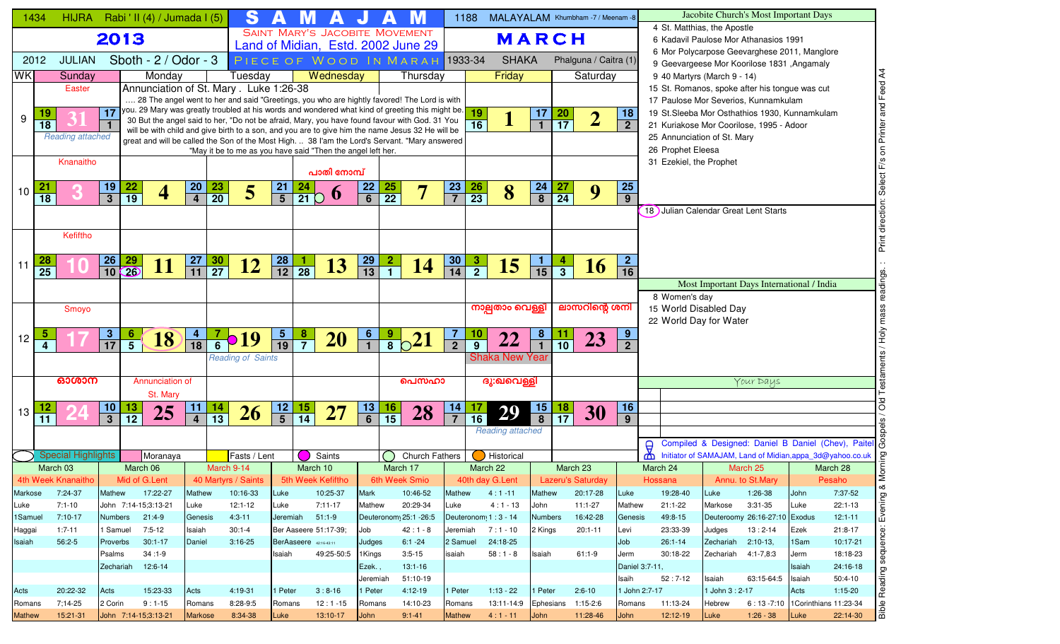|                  | 1434                    | HIJRA Rabi ' II (4) / Jumada I (5) |                              |                 |                                         |                              |                 | S                                                           | A               |                               | A                                     |                 |                 | M                                                                                                                                                                                                  |                             | 1188            | MALAYALAM Khumbham -7 / Meenam -8 |                              |                    |                          |                                   |                |                         |                             | Jacobite Church's Most Important Days                                                  |              |                                                           |
|------------------|-------------------------|------------------------------------|------------------------------|-----------------|-----------------------------------------|------------------------------|-----------------|-------------------------------------------------------------|-----------------|-------------------------------|---------------------------------------|-----------------|-----------------|----------------------------------------------------------------------------------------------------------------------------------------------------------------------------------------------------|-----------------------------|-----------------|-----------------------------------|------------------------------|--------------------|--------------------------|-----------------------------------|----------------|-------------------------|-----------------------------|----------------------------------------------------------------------------------------|--------------|-----------------------------------------------------------|
|                  |                         |                                    | 2013                         |                 |                                         |                              |                 |                                                             |                 |                               | <b>SAINT MARY'S JACOBITE MOVEMENT</b> |                 |                 |                                                                                                                                                                                                    |                             |                 | MARCH                             |                              |                    |                          |                                   |                |                         | 4 St. Matthias, the Apostle | 6 Kadavil Paulose Mor Athanasios 1991                                                  |              |                                                           |
|                  |                         |                                    |                              |                 |                                         |                              |                 |                                                             |                 |                               |                                       |                 |                 | Land of Midian, Estd. 2002 June 29                                                                                                                                                                 |                             |                 |                                   |                              |                    |                          |                                   |                |                         |                             | 6 Mor Polycarpose Geevarghese 2011, Manglore                                           |              |                                                           |
|                  | 2012                    | <b>JULIAN</b>                      |                              |                 | Sboth - 2 / Odor - 3                    |                              |                 |                                                             |                 |                               |                                       |                 |                 | PIECE OF WOOD IN MARAH 1933-34                                                                                                                                                                     |                             |                 | <b>SHAKA</b>                      |                              |                    | Phalguna / Caitra (1)    |                                   |                |                         |                             | 9 Geevargeese Mor Koorilose 1831 , Angamaly                                            |              |                                                           |
| <b>WK</b>        |                         | Sunday                             |                              |                 | Monday                                  |                              |                 | Tuesday                                                     |                 |                               | Wednesday                             |                 |                 | Thursday                                                                                                                                                                                           |                             |                 | Friday                            |                              |                    | Saturday                 |                                   |                |                         | 9 40 Martyrs (March 9 - 14) |                                                                                        |              |                                                           |
|                  |                         | Easter                             |                              |                 | Annunciation of St. Mary . Luke 1:26-38 |                              |                 |                                                             |                 |                               |                                       |                 |                 | 28 The angel went to her and said "Greetings, you who are hightly favored! The Lord is with                                                                                                        |                             |                 |                                   |                              |                    |                          |                                   |                |                         |                             | 15 St. Romanos, spoke after his tongue was cut<br>17 Paulose Mor Severios, Kunnamkulam |              | Feed                                                      |
|                  | 19                      |                                    | 17                           |                 |                                         |                              |                 |                                                             |                 |                               |                                       |                 |                 | you. 29 Mary was greatly troubled at his words and wondered what kind of greeting this might be.                                                                                                   |                             | <b>19</b>       |                                   | 17                           |                    |                          | 18                                |                |                         |                             | 19 St.Sleeba Mor Osthathios 1930, Kunnamkulam                                          |              | and                                                       |
| 9                | $\overline{18}$         |                                    |                              |                 |                                         |                              |                 |                                                             |                 |                               |                                       |                 |                 | 30 But the angel said to her, "Do not be afraid, Mary, you have found favour with God. 31 You                                                                                                      |                             | $\overline{16}$ | $\mathbf 1$                       | $\overline{1}$               | $\frac{20}{17}$    | 2                        | $\overline{2}$                    |                |                         |                             | 21 Kuriakose Mor Coorilose, 1995 - Adoor                                               |              |                                                           |
|                  |                         | <b>Reading attached</b>            |                              |                 |                                         |                              |                 |                                                             |                 |                               |                                       |                 |                 | will be with child and give birth to a son, and you are to give him the name Jesus 32 He will be<br>great and will be called the Son of the Most High.  38 I'am the Lord's Servant. "Mary answered |                             |                 |                                   |                              |                    |                          |                                   |                |                         | 25 Annunciation of St. Mary |                                                                                        |              | Printer                                                   |
|                  |                         |                                    |                              |                 |                                         |                              |                 | "May it be to me as you have said "Then the angel left her. |                 |                               |                                       |                 |                 |                                                                                                                                                                                                    |                             |                 |                                   |                              |                    |                          |                                   |                | 26 Prophet Eleesa       |                             |                                                                                        |              |                                                           |
|                  |                         | Knanaitho                          |                              |                 |                                         |                              |                 |                                                             |                 |                               | പാതി നോമ്പ്                           |                 |                 |                                                                                                                                                                                                    |                             |                 |                                   |                              |                    |                          |                                   |                |                         | 31 Ezekiel, the Prophet     |                                                                                        |              |                                                           |
|                  |                         |                                    |                              |                 |                                         | <b>20</b>                    |                 |                                                             |                 |                               |                                       | 22              |                 |                                                                                                                                                                                                    |                             |                 |                                   |                              |                    |                          | <b>25</b>                         |                |                         |                             |                                                                                        |              |                                                           |
| 10 <sup>1</sup>  | $\overline{18}$         |                                    | <u> 19</u><br>$\overline{3}$ | $\frac{22}{19}$ | 4                                       | $\overline{\mathbf{4}}$      | $\frac{23}{20}$ | $5\overline{)}$                                             | $\frac{21}{5}$  | 24<br>$\overline{21}$ $\circ$ | $\boldsymbol{\theta}$                 | $\overline{6}$  | $\frac{25}{22}$ | 7                                                                                                                                                                                                  | <b>23</b><br>$\overline{7}$ | $\frac{26}{23}$ | 8                                 | $\frac{24}{8}$               | $\frac{27}{24}$    | 9                        | 9                                 |                |                         |                             |                                                                                        |              |                                                           |
|                  |                         |                                    |                              |                 |                                         |                              |                 |                                                             |                 |                               |                                       |                 |                 |                                                                                                                                                                                                    |                             |                 |                                   |                              |                    |                          |                                   |                |                         |                             | 18 Julian Calendar Great Lent Starts                                                   |              |                                                           |
|                  |                         |                                    |                              |                 |                                         |                              |                 |                                                             |                 |                               |                                       |                 |                 |                                                                                                                                                                                                    |                             |                 |                                   |                              |                    |                          |                                   |                |                         |                             |                                                                                        |              |                                                           |
|                  |                         | Kefiftho                           |                              |                 |                                         |                              |                 |                                                             |                 |                               |                                       |                 |                 |                                                                                                                                                                                                    |                             |                 |                                   |                              |                    |                          |                                   |                |                         |                             |                                                                                        |              | Print                                                     |
|                  |                         |                                    |                              |                 |                                         |                              |                 |                                                             |                 |                               |                                       |                 |                 |                                                                                                                                                                                                    |                             |                 |                                   |                              |                    |                          |                                   |                |                         |                             |                                                                                        |              |                                                           |
| 11               | 28<br>$\overline{25}$   |                                    | $\frac{26}{10}$              | $\frac{29}{26}$ | 11                                      | <u>27</u><br>$\overline{11}$ | $\frac{30}{27}$ | <b>12</b>                                                   | $\frac{28}{12}$ | $\frac{1}{28}$                | 13                                    | $\frac{29}{13}$ | $\frac{2}{1}$   | 14                                                                                                                                                                                                 | $\frac{30}{14}$             | $\frac{3}{2}$   | <b>15</b>                         | <u> 1</u><br>$\overline{15}$ | $\frac{4}{3}$      | <b>16</b>                | $\overline{2}$<br>$\overline{16}$ |                |                         |                             |                                                                                        |              |                                                           |
|                  |                         |                                    |                              |                 |                                         |                              |                 |                                                             |                 |                               |                                       |                 |                 |                                                                                                                                                                                                    |                             |                 |                                   |                              |                    |                          |                                   |                |                         |                             | Most Important Days International / India                                              |              |                                                           |
|                  |                         |                                    |                              |                 |                                         |                              |                 |                                                             |                 |                               |                                       |                 |                 |                                                                                                                                                                                                    |                             |                 |                                   |                              |                    |                          |                                   |                | 8 Women's day           |                             |                                                                                        |              |                                                           |
|                  |                         | Smoyo                              |                              |                 |                                         |                              |                 |                                                             |                 |                               |                                       |                 |                 |                                                                                                                                                                                                    |                             |                 | നാല്പതാം വെള്ളീ                   |                              |                    | ലാസറിന്റെ ശനി            |                                   |                |                         | 15 World Disabled Day       |                                                                                        |              |                                                           |
|                  |                         |                                    |                              |                 |                                         |                              |                 |                                                             |                 |                               |                                       |                 |                 |                                                                                                                                                                                                    |                             |                 |                                   |                              |                    |                          |                                   |                |                         | 22 World Day for Water      |                                                                                        |              |                                                           |
| 12               | $\overline{\mathbf{5}}$ |                                    | $\frac{3}{17}$               | $\frac{6}{5}$   | 18                                      | $\frac{4}{18}$               | $\frac{7}{6}$   | $\bullet$ 19                                                | $\frac{5}{19}$  | $\frac{8}{7}$                 | <b>20</b>                             | $\frac{6}{1}$   | $\frac{9}{8}$   | $\frac{1}{2}$                                                                                                                                                                                      | $\mathbf{7}$                | 10              | 22                                | 8                            | $\frac{11}{10}$    | 23                       | 9                                 |                |                         |                             |                                                                                        |              |                                                           |
|                  | $\overline{4}$          |                                    |                              |                 |                                         |                              |                 | <b>Reading of Saints</b>                                    |                 |                               |                                       |                 |                 |                                                                                                                                                                                                    | $\overline{2}$              | $\overline{9}$  | <b>Shaka New Year</b>             |                              |                    |                          | $\overline{2}$                    |                |                         |                             |                                                                                        |              |                                                           |
|                  |                         |                                    |                              |                 |                                         |                              |                 |                                                             |                 |                               |                                       |                 |                 |                                                                                                                                                                                                    |                             |                 |                                   |                              |                    |                          |                                   |                |                         |                             |                                                                                        |              |                                                           |
|                  |                         | ഓശാന                               |                              |                 | Annunciation of                         |                              |                 |                                                             |                 |                               |                                       |                 |                 | പെസഹാ                                                                                                                                                                                              |                             |                 | ദു:ഖവെള്ളി                        |                              |                    |                          |                                   |                |                         |                             | Your Days                                                                              |              |                                                           |
|                  |                         |                                    |                              |                 | St. Mary                                |                              |                 |                                                             |                 |                               |                                       |                 |                 |                                                                                                                                                                                                    |                             |                 |                                   |                              |                    |                          |                                   |                |                         |                             |                                                                                        |              |                                                           |
| 13               |                         |                                    | $\boldsymbol{\mathsf{10}}$   | 13              | 25                                      | 11                           | 14              | 26                                                          | $\frac{12}{5}$  | $\frac{15}{14}$               | <b>27</b>                             | $\frac{13}{6}$  | 16              | 28                                                                                                                                                                                                 | 14                          |                 | 29                                | $\frac{15}{8}$               | $\frac{18}{17}$    | 30                       | 16                                |                |                         |                             |                                                                                        |              | $\circ$                                                   |
|                  | $\overline{11}$         |                                    | $\overline{\overline{3}}$    | $\overline{12}$ |                                         | $\overline{4}$               | $\overline{13}$ |                                                             |                 |                               |                                       |                 | $\overline{15}$ |                                                                                                                                                                                                    |                             | $\overline{16}$ |                                   |                              |                    |                          | $\overline{9}$                    |                |                         |                             |                                                                                        |              |                                                           |
|                  |                         |                                    |                              |                 |                                         |                              |                 |                                                             |                 |                               |                                       |                 |                 |                                                                                                                                                                                                    |                             |                 | <b>Reading attached</b>           |                              |                    |                          |                                   |                |                         |                             |                                                                                        |              | Compiled & Designed: Daniel B Daniel (Chev), Paitel &     |
|                  |                         | <b>Special Highlights</b>          |                              |                 | Moranaya                                |                              |                 | Fasts / Lent                                                |                 |                               | Saints                                |                 |                 | <b>Church Fathers</b>                                                                                                                                                                              |                             |                 | Historical                        |                              |                    |                          |                                   | Ő<br>മ         |                         |                             |                                                                                        |              | Initiator of SAMAJAM, Land of Midian, appa_3d@yahoo.co.uk |
|                  |                         | March 03                           |                              | March 06        |                                         |                              | March 9-14      |                                                             |                 | March 10                      |                                       |                 | March 17        |                                                                                                                                                                                                    |                             |                 | March 22                          |                              | March 23           |                          |                                   | March 24       |                         |                             | March 25                                                                               |              | March 28                                                  |
|                  |                         | 4th Week Knanaitho                 |                              |                 | Mid of G.Lent                           |                              |                 | 40 Martyrs / Saints                                         |                 |                               | 5th Week Kefiftho                     |                 |                 | 6th Week Smio                                                                                                                                                                                      |                             |                 | 40th day G.Lent                   |                              |                    | <b>Lazeru's Saturday</b> |                                   | Hossana        |                         |                             | Annu. to St.Mary                                                                       |              | Pesaho<br>∞                                               |
| Markose          |                         | 7:24-37                            | Mathew                       |                 | 17:22-27                                | Mathew                       |                 | 10:16-33                                                    | Luke            |                               | 10:25-37                              | Mark            |                 | 10:46-52                                                                                                                                                                                           | Mathew                      |                 | $4:1 - 11$                        | Mathew                       |                    | 20:17-28                 | Luke                              |                | 19:28-40                | Luke                        | $1:26-38$                                                                              | John         | 7:37-52<br>Ρg                                             |
| Luke             |                         | $7:1-10$                           |                              |                 | John 7:14-15;3:13-21                    | Luke                         |                 | $12:1-12$                                                   | Luke            |                               | 7:11-17                               | Mathew          |                 | 20:29-34                                                                                                                                                                                           | Luke                        |                 | $4:1 - 13$                        | John                         |                    | 11:1-27                  | Mathew                            |                | $21:1 - 22$             | Markose                     | $3:31-35$                                                                              | Luke         | 22:1-13                                                   |
| 1Samuel          |                         | $7:10-17$                          | Numbers                      |                 | 21:4-9                                  | Genesis                      |                 | $4:3 - 11$                                                  | Jeremiah        |                               | $51:1-9$                              |                 |                 | Deuteronom <sub>1</sub> 25:1 - 26:5                                                                                                                                                                |                             |                 | Deuteronom 1: 3 - 14              | <b>Numbers</b>               |                    | 16:42-28                 | Genesis                           |                | 49:8-15                 |                             | Deuteroomy 26:16-27:10 Exodus                                                          |              | $12:1 - 11$                                               |
| Haggai<br>Isaiah |                         | $1:7-11$<br>$56:2-5$               | 1 Samuel<br>Proverbs         |                 | 7:5-12<br>$30:1 - 17$                   | Isaiah<br>Daniel             |                 | $30:1 - 4$<br>$3:16-25$                                     |                 | BerAaseere 42:16-43:11        | Ber Aaseere 51:17-39;                 | Job<br>Judges   |                 | $42:1 - 8$<br>$6:1 - 24$                                                                                                                                                                           | Jeremiah<br>2 Samuel        |                 | $7:1 - 10$<br>24:18-25            | 2 Kings                      |                    | $20:1 - 11$              | Levi<br>Job                       |                | 23:33-39<br>$26:1 - 14$ | Judges<br>Zechariah         | $13:2 - 14$<br>$2:10-13,$                                                              | Ezek<br>1Sam | 21:8-17<br>ēκ<br>10:17-21                                 |
|                  |                         |                                    | Psalms                       |                 | $34:1-9$                                |                              |                 |                                                             | Isaiah          |                               | 49:25-50:5                            | 1Kings          |                 | $3:5 - 15$                                                                                                                                                                                         | isaiah                      |                 | $58:1 - 8$                        | Isaiah                       |                    | $61:1-9$                 | Jerm                              |                | 30:18-22                | Zechariah                   | 4:1-7,8:3                                                                              | Jerm         | equ<br>18:18-23                                           |
|                  |                         |                                    |                              |                 | Zechariah 12:6-14                       |                              |                 |                                                             |                 |                               |                                       | Ezek. ,         |                 | $13:1 - 16$                                                                                                                                                                                        |                             |                 |                                   |                              |                    |                          |                                   | Daniel 3:7-11, |                         |                             |                                                                                        | Isaiah       | 24:16-18<br>Γg                                            |
|                  |                         |                                    |                              |                 |                                         |                              |                 |                                                             |                 |                               |                                       | Jeremiah        |                 | 51:10-19                                                                                                                                                                                           |                             |                 |                                   |                              |                    |                          | Isaih                             |                | $52:7-12$               | Isaiah                      | 63:15-64:5                                                                             | Isaiah       | $50:4-10$                                                 |
| Acts             |                         | 20:22-32                           | Acts                         |                 | 15:23-33                                | Acts                         |                 | 4:19-31                                                     | l Peter         |                               | $3:8-16$                              | 1 Peter         |                 | $4:12-19$                                                                                                                                                                                          | 1 Peter                     |                 | $1:13 - 22$                       | 1 Peter                      |                    | $2:6-10$                 |                                   | 1 John 2:7-17  |                         | 1 John 3 : 2-17             |                                                                                        | Acts         | Rea<br>$1:15-20$                                          |
| Romans           |                         | 7;14-25                            | 2 Corin                      |                 | $9:1-15$                                | Romans                       |                 | 8:28-9:5                                                    | Romans          |                               | $12:1 - 15$                           | Romans          |                 | 14:10-23                                                                                                                                                                                           | Romans                      |                 | 13:11-14:9                        |                              | Ephesians 1:15-2:6 |                          | Romans                            |                | 11:13-24                | Hebrew                      | 6:13 -7:10 1 Corinthians 11:23-34                                                      |              | Bible                                                     |
| <b>Mathew</b>    |                         | 15:21-31                           |                              |                 | John 7:14-15;3:13-21                    | <b>Markose</b>               |                 | 8:34-38                                                     | Luke            |                               | 13:10-17                              | John            |                 | $9:1 - 41$                                                                                                                                                                                         | <b>Mathew</b>               |                 | $4:1 - 11$                        | John                         |                    | 11:28-46                 | John                              |                | 12:12-19                | Luke                        | $1:26 - 38$                                                                            | Luke         | 22:14-30                                                  |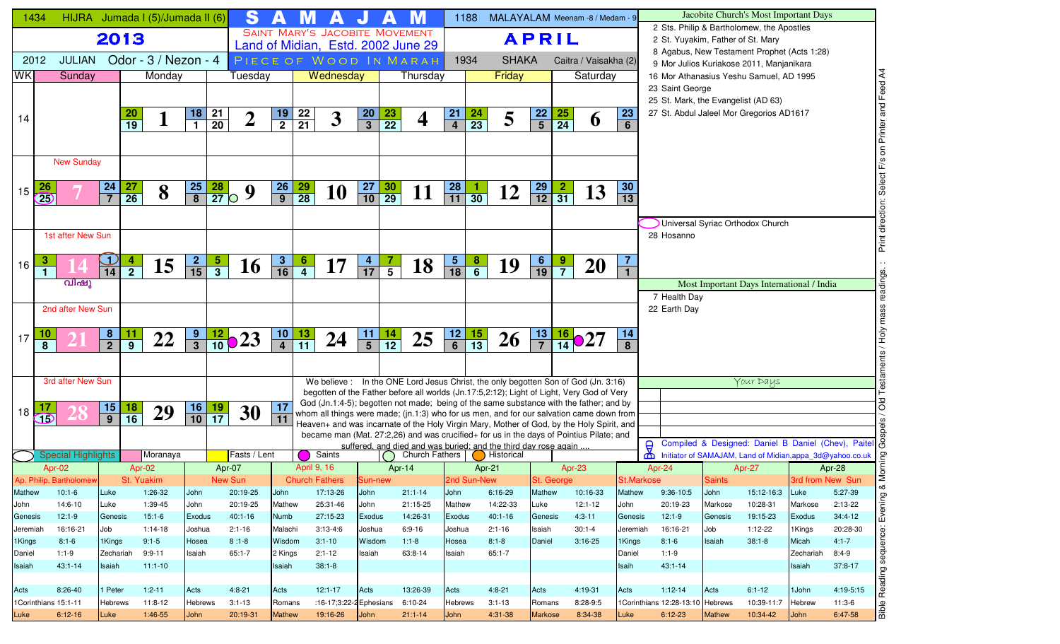|          | 1434                              |                |                 | HIJRA Jumada I (5)/Jumada II (6) |                             |                   | S                  | А               |                 | A                                     | IJ              | $\blacktriangle$ | M                                                                                                                                                                                    |                                                               | 1188            | MALAYALAM Meenam -8 / Medam - 9 |                 |                               |                       |                       |                      |                                  |               | Jacobite Church's Most Important Days                                           |                  |                                                       |
|----------|-----------------------------------|----------------|-----------------|----------------------------------|-----------------------------|-------------------|--------------------|-----------------|-----------------|---------------------------------------|-----------------|------------------|--------------------------------------------------------------------------------------------------------------------------------------------------------------------------------------|---------------------------------------------------------------|-----------------|---------------------------------|-----------------|-------------------------------|-----------------------|-----------------------|----------------------|----------------------------------|---------------|---------------------------------------------------------------------------------|------------------|-------------------------------------------------------|
|          |                                   | 2013           |                 |                                  |                             |                   |                    |                 |                 | <b>SAINT MARY'S JACOBITE MOVEMENT</b> |                 |                  |                                                                                                                                                                                      |                                                               |                 |                                 |                 | <b>APRIL</b>                  |                       |                       |                      |                                  |               | 2 Sts. Philip & Bartholomew, the Apostles<br>2 St. Yuyakim, Father of St. Mary  |                  |                                                       |
|          |                                   |                |                 |                                  |                             |                   |                    |                 |                 |                                       |                 |                  | Land of Midian, Estd. 2002 June 29                                                                                                                                                   |                                                               |                 |                                 |                 |                               |                       |                       |                      |                                  |               | 8 Agabus, New Testament Prophet (Acts 1:28)                                     |                  |                                                       |
|          | <b>JULIAN</b><br>2012             |                |                 | Odor - $3/$ Nezon - 4            |                             |                   |                    |                 |                 |                                       |                 |                  | PIECE OF WOOD IN MARAH                                                                                                                                                               |                                                               | 1934            | <b>SHAKA</b>                    |                 |                               | Caitra / Vaisakha (2) |                       |                      |                                  |               | 9 Mor Julios Kuriakose 2011, Manjanikara                                        |                  |                                                       |
| WK       | Sunday                            |                |                 | Monday                           |                             |                   | Tuesday            |                 |                 | Wednesday                             |                 |                  | Thursday                                                                                                                                                                             |                                                               |                 | Friday                          |                 |                               | Saturday              |                       |                      |                                  |               | 16 Mor Athanasius Yeshu Samuel, AD 1995                                         |                  | Print direction: Select F/s on Printer and Feed A4    |
|          |                                   |                |                 |                                  |                             |                   |                    |                 |                 |                                       |                 |                  |                                                                                                                                                                                      |                                                               |                 |                                 |                 |                               |                       |                       |                      | 23 Saint George                  |               |                                                                                 |                  |                                                       |
|          |                                   |                |                 |                                  |                             |                   |                    |                 |                 |                                       |                 |                  |                                                                                                                                                                                      |                                                               |                 |                                 |                 |                               |                       |                       |                      |                                  |               | 25 St. Mark, the Evangelist (AD 63)<br>27 St. Abdul Jaleel Mor Gregorios AD1617 |                  |                                                       |
| 14       |                                   |                | $\frac{20}{19}$ |                                  | <u>18</u><br>$\overline{1}$ | $\frac{21}{20}$   | $\overline{2}$     | $\frac{19}{2}$  | $\frac{22}{21}$ | $\mathbf{3}$                          | $\frac{20}{3}$  | $\frac{23}{22}$  | 4                                                                                                                                                                                    | 21<br>$\overline{4}$                                          | $\frac{24}{23}$ | 5                               | $\frac{22}{5}$  | $\frac{25}{24}$               | $\boldsymbol{\theta}$ | 23<br>$6\phantom{1}$  |                      |                                  |               |                                                                                 |                  |                                                       |
|          |                                   |                |                 |                                  |                             |                   |                    |                 |                 |                                       |                 |                  |                                                                                                                                                                                      |                                                               |                 |                                 |                 |                               |                       |                       |                      |                                  |               |                                                                                 |                  |                                                       |
|          |                                   |                |                 |                                  |                             |                   |                    |                 |                 |                                       |                 |                  |                                                                                                                                                                                      |                                                               |                 |                                 |                 |                               |                       |                       |                      |                                  |               |                                                                                 |                  |                                                       |
|          | <b>New Sunday</b>                 |                |                 |                                  |                             |                   |                    |                 |                 |                                       |                 |                  |                                                                                                                                                                                      |                                                               |                 |                                 |                 |                               |                       |                       |                      |                                  |               |                                                                                 |                  |                                                       |
|          |                                   |                |                 |                                  |                             |                   |                    |                 |                 |                                       |                 |                  |                                                                                                                                                                                      |                                                               |                 |                                 |                 |                               |                       |                       |                      |                                  |               |                                                                                 |                  |                                                       |
| 15       | 26<br>$\overline{25}$             | $\frac{24}{7}$ | $\frac{27}{26}$ | 8                                | $\frac{25}{8}$              | $\frac{28}{27}$ O | 9                  | $\frac{26}{9}$  | $\frac{29}{28}$ | <b>10</b>                             | $\frac{27}{10}$ | $\frac{30}{29}$  | 11                                                                                                                                                                                   | $\begin{array}{ c c }\n\hline\n28 \\ \hline\n11\n\end{array}$ | $\overline{30}$ | 12                              | $\frac{29}{12}$ | $\frac{2}{31}$                | 13                    | 30<br>$\overline{13}$ |                      |                                  |               |                                                                                 |                  |                                                       |
|          |                                   |                |                 |                                  |                             |                   |                    |                 |                 |                                       |                 |                  |                                                                                                                                                                                      |                                                               |                 |                                 |                 |                               |                       |                       |                      |                                  |               |                                                                                 |                  |                                                       |
|          |                                   |                |                 |                                  |                             |                   |                    |                 |                 |                                       |                 |                  |                                                                                                                                                                                      |                                                               |                 |                                 |                 |                               |                       |                       |                      |                                  |               | Universal Syriac Orthodox Church                                                |                  |                                                       |
|          | 1st after New Sun                 |                |                 |                                  |                             |                   |                    |                 |                 |                                       |                 |                  |                                                                                                                                                                                      |                                                               |                 |                                 |                 |                               |                       |                       |                      | 28 Hosanno                       |               |                                                                                 |                  |                                                       |
|          |                                   |                |                 |                                  |                             |                   |                    |                 |                 |                                       |                 |                  |                                                                                                                                                                                      |                                                               |                 |                                 |                 |                               |                       |                       |                      |                                  |               |                                                                                 |                  |                                                       |
| 16       | 3                                 | $\frac{1}{14}$ | $\frac{4}{2}$   | 15                               | $\frac{2}{15}$              | $rac{5}{3}$       | <b>16</b>          | $\mathbf{3}$    | $\frac{6}{4}$   | 17                                    | $\frac{4}{17}$  | $\frac{7}{5}$    | 18                                                                                                                                                                                   | $\frac{5}{18}$                                                | $\frac{8}{6}$   | 19                              | $\frac{6}{19}$  | $\frac{9}{7}$                 | <b>20</b>             | $\overline{7}$        |                      |                                  |               |                                                                                 |                  |                                                       |
|          | $\mathbf{1}$                      |                |                 |                                  |                             |                   |                    | $\overline{16}$ |                 |                                       |                 |                  |                                                                                                                                                                                      |                                                               |                 |                                 |                 |                               |                       | $\mathbf{1}$          |                      |                                  |               |                                                                                 |                  |                                                       |
|          | വിഷു                              |                |                 |                                  |                             |                   |                    |                 |                 |                                       |                 |                  |                                                                                                                                                                                      |                                                               |                 |                                 |                 |                               |                       |                       |                      |                                  |               | Most Important Days International / India                                       |                  |                                                       |
|          | 2nd after New Sun                 |                |                 |                                  |                             |                   |                    |                 |                 |                                       |                 |                  |                                                                                                                                                                                      |                                                               |                 |                                 |                 |                               |                       |                       |                      | 7 Health Day<br>22 Earth Day     |               |                                                                                 |                  |                                                       |
|          |                                   |                |                 |                                  |                             |                   |                    |                 |                 |                                       |                 |                  |                                                                                                                                                                                      |                                                               |                 |                                 |                 |                               |                       |                       |                      |                                  |               |                                                                                 |                  |                                                       |
|          | 10                                |                |                 |                                  |                             |                   |                    |                 |                 |                                       |                 |                  |                                                                                                                                                                                      |                                                               |                 |                                 |                 |                               |                       | 14                    |                      |                                  |               |                                                                                 |                  |                                                       |
| 17       | 8                                 | $\frac{8}{2}$  | $\frac{11}{9}$  | 22                               | $\frac{9}{3}$               |                   | $\frac{12}{10}$ 23 | $\frac{10}{4}$  | $\frac{13}{11}$ | 24                                    | $\frac{11}{5}$  | $\frac{14}{12}$  | 25                                                                                                                                                                                   | $\frac{12}{6}$                                                | $\frac{15}{13}$ | <b>26</b>                       | $\frac{13}{7}$  | $\frac{16}{14}$ $\bigcirc$ 27 |                       | 8                     |                      |                                  |               |                                                                                 |                  |                                                       |
|          |                                   |                |                 |                                  |                             |                   |                    |                 |                 |                                       |                 |                  |                                                                                                                                                                                      |                                                               |                 |                                 |                 |                               |                       |                       |                      |                                  |               |                                                                                 |                  |                                                       |
|          | 3rd after New Sun                 |                |                 |                                  |                             |                   |                    |                 |                 |                                       |                 |                  | We believe : In the ONE Lord Jesus Christ, the only begotten Son of God (Jn. 3:16)                                                                                                   |                                                               |                 |                                 |                 |                               |                       |                       |                      |                                  |               | Your Days                                                                       |                  |                                                       |
|          |                                   |                |                 |                                  |                             |                   |                    |                 |                 |                                       |                 |                  | begotten of the Father before all worlds (Jn.17:5,2:12); Light of Light, Very God of Very                                                                                            |                                                               |                 |                                 |                 |                               |                       |                       |                      |                                  |               |                                                                                 |                  |                                                       |
|          |                                   |                |                 |                                  |                             |                   |                    | 17              |                 |                                       |                 |                  | God (Jn.1:4-5); begotten not made; being of the same substance with the father; and by                                                                                               |                                                               |                 |                                 |                 |                               |                       |                       |                      |                                  |               |                                                                                 |                  |                                                       |
| 18       | $\overline{\mathbf{B}}$           | $\frac{15}{9}$ | $\frac{18}{16}$ | 29                               | $\frac{16}{10}$             | $\frac{19}{17}$   | 30                 | 11              |                 |                                       |                 |                  | whom all things were made; (jn.1:3) who for us men, and for our salvation came down from                                                                                             |                                                               |                 |                                 |                 |                               |                       |                       |                      |                                  |               |                                                                                 |                  |                                                       |
|          |                                   |                |                 |                                  |                             |                   |                    |                 |                 |                                       |                 |                  | Heaven+ and was incarnate of the Holy Virgin Mary, Mother of God, by the Holy Spirit, and<br>became man (Mat. 27:2,26) and was crucified+ for us in the days of Pointius Pilate; and |                                                               |                 |                                 |                 |                               |                       |                       |                      |                                  |               |                                                                                 |                  |                                                       |
|          |                                   |                |                 |                                  |                             |                   |                    |                 |                 |                                       |                 |                  | suffered, and died and was buried; and the third day rose again                                                                                                                      |                                                               |                 |                                 |                 |                               |                       |                       | $\Theta$             |                                  |               |                                                                                 |                  | Compiled & Designed: Daniel B Daniel (Chev), Paitel & |
|          | <b>Special Highlights</b>         |                |                 | Moranaya                         |                             |                   | Fasts / Lent       |                 |                 | Saints                                |                 |                  | <b>Church Fathers</b>                                                                                                                                                                |                                                               |                 | <b>B</b> Historical             |                 |                               |                       |                       | ₾                    |                                  |               | Initiator of SAMAJAM, Land of Midian, appa_3d@yahoo.co.uk                       |                  |                                                       |
|          | Apr-02<br>Ap. Philip, Bartholomew |                | Apr-02          | St. Yuakim                       |                             | Apr-07            | New Sun            |                 | April 9, 16     | <b>Church Fathers</b>                 |                 | Apr-14           |                                                                                                                                                                                      | 2nd Sun-New                                                   | Apr-21          |                                 |                 | Apr- $23$<br>St. George       |                       |                       | Apr-24<br>St.Markose |                                  | <b>Saints</b> | Apr-27                                                                          | 3rd from New Sun | Morning<br>Apr-28                                     |
| Mathew   | $10:1-6$                          | Luke           |                 | 1:26-32                          | John                        |                   | 20:19-25           | John            |                 | 17:13-26                              | Sun-new<br>John |                  | $21:1 - 14$                                                                                                                                                                          | John                                                          |                 | $6:16-29$                       | Mathew          |                               | 10:16-33              | Mathew                |                      | 9:36-10:5                        | John          | 15:12-16:3                                                                      | Luke             | 5:27-39                                               |
| John     | 14:6-10                           | Luke           |                 | 1:39-45                          | John                        |                   | 20:19-25           | Mathew          |                 | 25:31-46                              | John            |                  | 21:15-25                                                                                                                                                                             | Mathew                                                        |                 | 14:22-33                        | Luke            |                               | $12:1-12$             | John                  |                      | 20:19-23                         | Markose       | 10:28-31                                                                        | Markose          | $2:13-22$                                             |
| Genesis  | $12:1-9$                          | Genesis        |                 | $15:1-6$                         | <b>Exodus</b>               |                   | $40:1 - 16$        | Numb            |                 | 27:15-23                              | Exodus          |                  | 14:26-31                                                                                                                                                                             | Exodus                                                        |                 | $40:1 - 16$                     | Genesis         |                               | $4:3-11$              | Genesis               |                      | $12:1-9$                         | Genesis       | 19:15-23                                                                        | Exodus           | $34:4-12$                                             |
| Jeremiah | 16:16-21                          | Job            |                 | $1:14-18$                        | Joshua                      |                   | $2:1 - 16$         | Malachi         |                 | $3:13-4:6$                            | Joshua          |                  | $6:9-16$                                                                                                                                                                             | Joshua                                                        |                 | 2:1-16                          | Isaiah          |                               | $30:1 - 4$            | Jeremiah              |                      | 16:16-21                         | Job           | 1:12-22                                                                         | 1 Kings          | 20:28-30                                              |
| 1Kings   | $8:1-6$                           | 1Kings         |                 | $9:1 - 5$                        | Hosea                       |                   | $8:1-8$            | Wisdom          |                 | $3:1 - 10$                            | Wisdom          |                  | $1:1-8$                                                                                                                                                                              | Hosea                                                         |                 | $8:1 - 8$                       | Daniel          |                               | $3:16-25$             | 1Kings                |                      | $8:1-6$                          | Isaiah        | $38:1 - 8$                                                                      | Micah            | $4:1 - 7$                                             |
| Daniel   | $1:1-9$                           | Zechariah      |                 | $9:9 - 11$                       | Isaiah                      |                   | $65:1 - 7$         | 2 Kings         |                 | $2:1 - 12$                            | Isaiah          |                  | 63:8-14                                                                                                                                                                              | Isaiah                                                        |                 | $65:1 - 7$                      |                 |                               |                       | Daniel                |                      | $1:1-9$                          |               |                                                                                 | Zechariah        | $8:4-9$                                               |
| Isaiah   | $43:1 - 14$                       | Isaiah         |                 | $11:1-10$                        |                             |                   |                    | Isaiah          |                 | $38:1 - 8$                            |                 |                  |                                                                                                                                                                                      |                                                               |                 |                                 |                 |                               |                       | Isaih                 |                      | $43:1 - 14$                      |               |                                                                                 | Isaiah           | $37:8-17$                                             |
| Acts     | 8:26-40                           | 1 Peter        |                 | $1:2 - 11$                       | Acts                        |                   | $4:8 - 21$         | Acts            |                 | $12:1 - 17$                           | Acts            |                  | 13:26-39                                                                                                                                                                             | Acts                                                          |                 | $4:8 - 21$                      | Acts            |                               | 4:19-31               | Acts                  |                      | $1:12-14$                        | Acts          | $6:1 - 12$                                                                      | 1 John           | Reading sequence:<br>4:19-5:15                        |
|          | 1Corinthians 15:1-11              | <b>Hebrews</b> |                 | 11:8-12                          | Hebrews                     |                   | $3:1 - 13$         | Romans          |                 | :16-17;3:22-2 Ephesians               |                 |                  | 6:10-24                                                                                                                                                                              | Hebrews                                                       |                 | $3:1 - 13$                      | Romans          |                               | 8:28-9:5              |                       |                      | 1Corinthians 12:28-13:10 Hebrews |               | 10:39-11:7                                                                      | Hebrew           | 11:3-6                                                |
| Luke     | $6:12-16$                         | Luke           |                 | 1:46-55                          | <b>John</b>                 |                   | 20:19-31           | <b>Mathew</b>   |                 | 19:16-26                              | John            |                  | $21:1 - 14$                                                                                                                                                                          | John                                                          |                 | $4:31-38$                       | Markose         |                               | 8:34-38               | Luke                  |                      | $6:12-23$                        | Mathew        | 10:34-42                                                                        | <b>John</b>      | <b>aldia</b><br>6:47-58                               |
|          |                                   |                |                 |                                  |                             |                   |                    |                 |                 |                                       |                 |                  |                                                                                                                                                                                      |                                                               |                 |                                 |                 |                               |                       |                       |                      |                                  |               |                                                                                 |                  |                                                       |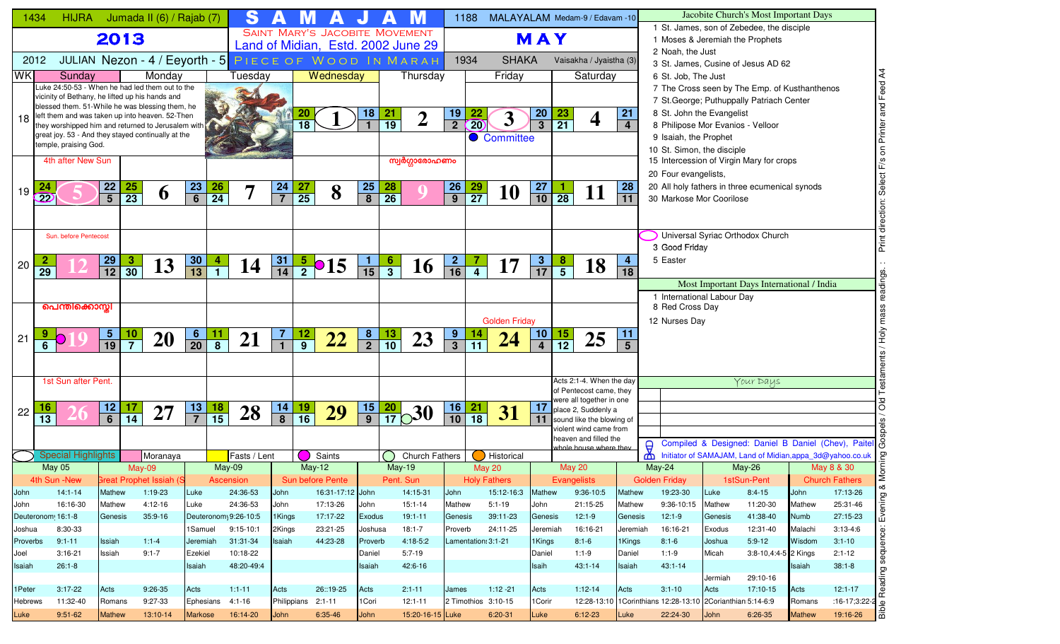| 1434     |                                                                                                       | <b>HIJRA</b>          |                                                      | Jumada II (6) / Rajab (7)                   |      |                                                      | S                                 |                 |                       |                  |                |                       |                                       |                      | 1188                         | MALAYALAM Medam-9 / Edavam -10     |                 |                 |                                                     |                         |                                                                        |             |         | Jacobite Church's Most Important Days                                                      |               |                                                           |
|----------|-------------------------------------------------------------------------------------------------------|-----------------------|------------------------------------------------------|---------------------------------------------|------|------------------------------------------------------|-----------------------------------|-----------------|-----------------------|------------------|----------------|-----------------------|---------------------------------------|----------------------|------------------------------|------------------------------------|-----------------|-----------------|-----------------------------------------------------|-------------------------|------------------------------------------------------------------------|-------------|---------|--------------------------------------------------------------------------------------------|---------------|-----------------------------------------------------------|
|          |                                                                                                       |                       | 2013                                                 |                                             |      |                                                      |                                   |                 |                       |                  |                |                       | <b>SAINT MARY'S JACOBITE MOVEMENT</b> |                      |                              |                                    | MAY             |                 |                                                     |                         |                                                                        |             |         | 1 St. James, son of Zebedee, the disciple<br>1 Moses & Jeremiah the Prophets               |               |                                                           |
|          |                                                                                                       |                       |                                                      |                                             |      |                                                      |                                   |                 |                       |                  |                |                       | Land of Midian, Estd. 2002 June 29    |                      |                              |                                    |                 |                 |                                                     |                         | 2 Noah, the Just                                                       |             |         |                                                                                            |               |                                                           |
| 2012     |                                                                                                       |                       |                                                      | JULIAN Nezon - 4 / Eeyorth - 5              |      |                                                      | PIECE OF WOOD IN MARAH            |                 |                       |                  |                |                       |                                       |                      | 1934                         | <b>SHAKA</b>                       |                 |                 | Vaisakha / Jyaistha (3)                             |                         |                                                                        |             |         | 3 St. James. Cusine of Jesus AD 62                                                         |               |                                                           |
| WK       | Luke 24:50-53 - When he had led them out to the                                                       | Sunday                |                                                      | Monday                                      |      |                                                      | Tuesdav                           |                 |                       | Wednesday        |                |                       | Thursday                              |                      |                              | Friday                             |                 |                 | Saturday                                            |                         | 6 St. Job. The Just                                                    |             |         |                                                                                            |               | $\mathbf{z}$                                              |
|          | vicinity of Bethany, he lifted up his hands and                                                       |                       |                                                      |                                             |      |                                                      |                                   |                 |                       |                  |                |                       |                                       |                      |                              |                                    |                 |                 |                                                     |                         |                                                                        |             |         | 7 The Cross seen by The Emp. of Kusthanthenos<br>7 St. George; Puthuppally Patriach Center |               | Feed                                                      |
|          | blessed them. 51-While he was blessing them, he                                                       |                       |                                                      |                                             |      |                                                      |                                   |                 | <b>20</b>             |                  | 18             |                       |                                       | <u>19</u>            |                              |                                    |                 |                 |                                                     | 21                      | 8 St. John the Evangelist                                              |             |         |                                                                                            |               | and                                                       |
| 18       | left them and was taken up into heaven. 52-Then<br>they worshipped him and returned to Jerusalem with |                       |                                                      |                                             |      |                                                      |                                   |                 | $\overline{18}$       |                  |                | $\frac{21}{19}$       | $\overline{2}$                        | $\overline{2}$       | $\overline{20}$              | 3                                  | $\frac{20}{3}$  | $\frac{23}{21}$ | $\boldsymbol{4}$                                    | 4                       |                                                                        |             |         | 8 Philipose Mor Evanios - Velloor                                                          |               |                                                           |
|          | great joy. 53 - And they stayed continually at the                                                    |                       |                                                      |                                             |      |                                                      |                                   |                 |                       |                  |                |                       |                                       |                      |                              | Committee                          |                 |                 |                                                     |                         | 9 Isaiah, the Prophet                                                  |             |         |                                                                                            |               | Printer                                                   |
|          | temple, praising God.                                                                                 |                       |                                                      |                                             |      |                                                      |                                   |                 |                       |                  |                |                       |                                       |                      |                              |                                    |                 |                 |                                                     |                         | 10 St. Simon, the disciple                                             |             |         |                                                                                            |               | $\overline{5}$                                            |
|          |                                                                                                       | 4th after New Sun     |                                                      |                                             |      |                                                      |                                   |                 |                       |                  |                |                       | സ്വർഗ്ഗാരോഹണം                         |                      |                              |                                    |                 |                 |                                                     |                         |                                                                        |             |         | 15 Intercession of Virgin Mary for crops                                                   |               |                                                           |
|          |                                                                                                       |                       |                                                      |                                             |      |                                                      |                                   |                 |                       |                  |                |                       |                                       |                      |                              |                                    |                 |                 |                                                     |                         | 20 Four evangelists,                                                   |             |         |                                                                                            |               |                                                           |
| 19       |                                                                                                       |                       | 22<br><b>25</b><br>$\overline{5}$<br>$\overline{23}$ | $\boldsymbol{\theta}$                       |      | <u>23</u><br>26<br>$\overline{6}$<br>$\overline{24}$ | 7                                 | $\frac{24}{7}$  | 27<br>$\overline{25}$ | 8                | $\frac{25}{8}$ | 28<br>$\overline{26}$ |                                       | 26<br>$\overline{9}$ | <u>29</u><br>$\overline{27}$ | <b>10</b>                          | $\frac{27}{10}$ | $\frac{1}{28}$  | 11                                                  | 28<br>$\overline{11}$   |                                                                        |             |         | 20 All holy fathers in three ecumenical synods                                             |               |                                                           |
|          | 22                                                                                                    |                       |                                                      |                                             |      |                                                      |                                   |                 |                       |                  |                |                       |                                       |                      |                              |                                    |                 |                 |                                                     |                         | 30 Markose Mor Coorilose                                               |             |         |                                                                                            |               |                                                           |
|          |                                                                                                       |                       |                                                      |                                             |      |                                                      |                                   |                 |                       |                  |                |                       |                                       |                      |                              |                                    |                 |                 |                                                     |                         |                                                                        |             |         |                                                                                            |               | rection:                                                  |
|          |                                                                                                       | Sun, before Pentecost |                                                      |                                             |      |                                                      |                                   |                 |                       |                  |                |                       |                                       |                      |                              |                                    |                 |                 |                                                     |                         |                                                                        |             |         | Universal Syriac Orthodox Church                                                           |               | 声                                                         |
|          |                                                                                                       |                       |                                                      |                                             |      |                                                      |                                   |                 |                       |                  |                |                       |                                       |                      |                              |                                    |                 |                 |                                                     |                         | 3 Good Friday                                                          |             |         |                                                                                            |               | Print                                                     |
| 20       |                                                                                                       |                       | $\frac{29}{12}$<br>$\frac{3}{30}$                    | 13                                          |      | 30<br>$\vert 4 \vert$                                | 14                                | $\frac{31}{14}$ | $rac{5}{2}$ 015       |                  | $\frac{1}{15}$ | $\frac{6}{3}$         | 16                                    | $\mathbf{2}$         |                              | 17                                 | $\frac{3}{17}$  | $\frac{8}{5}$   | 18                                                  | $\overline{\mathbf{4}}$ | 5 Easter                                                               |             |         |                                                                                            |               |                                                           |
|          | $\overline{29}$                                                                                       |                       |                                                      |                                             |      | $\overline{13}$<br>$\blacksquare$                    |                                   |                 |                       |                  |                |                       |                                       | $\overline{16}$      |                              |                                    |                 |                 |                                                     | 18                      |                                                                        |             |         |                                                                                            |               | ngs.                                                      |
|          |                                                                                                       |                       |                                                      |                                             |      |                                                      |                                   |                 |                       |                  |                |                       |                                       |                      |                              |                                    |                 |                 |                                                     |                         | 1 International Labour Day                                             |             |         | Most Important Days International / India                                                  |               |                                                           |
|          | പെന്തിക്കൊസ്സി                                                                                        |                       |                                                      |                                             |      |                                                      |                                   |                 |                       |                  |                |                       |                                       |                      |                              |                                    |                 |                 |                                                     |                         | 8 Red Cross Day                                                        |             |         |                                                                                            |               |                                                           |
|          |                                                                                                       |                       |                                                      |                                             |      |                                                      |                                   |                 |                       |                  |                |                       |                                       |                      |                              | <b>Golden Friday</b>               |                 |                 |                                                     |                         | 12 Nurses Day                                                          |             |         |                                                                                            |               |                                                           |
|          |                                                                                                       |                       |                                                      |                                             |      | 6                                                    |                                   |                 |                       |                  |                |                       |                                       | 9                    |                              |                                    | 10              |                 |                                                     | 11                      |                                                                        |             |         |                                                                                            |               |                                                           |
| 21       | $6\phantom{1}6$                                                                                       |                       | $\frac{10}{7}$<br>$\frac{5}{19}$                     | <b>20</b>                                   |      | $\overline{20}$<br>$\overline{8}$                    | 21                                |                 | $\frac{12}{9}$        | 22               | $\frac{8}{2}$  | $\frac{13}{10}$       | 23                                    | $\overline{3}$       | $\overline{11}$              | 24                                 | $\overline{4}$  | $\frac{15}{12}$ | 25                                                  | $5\overline{)}$         |                                                                        |             |         |                                                                                            |               |                                                           |
|          |                                                                                                       |                       |                                                      |                                             |      |                                                      |                                   |                 |                       |                  |                |                       |                                       |                      |                              |                                    |                 |                 |                                                     |                         |                                                                        |             |         |                                                                                            |               |                                                           |
|          |                                                                                                       |                       |                                                      |                                             |      |                                                      |                                   |                 |                       |                  |                |                       |                                       |                      |                              |                                    |                 |                 |                                                     |                         |                                                                        |             |         |                                                                                            |               |                                                           |
|          | 1st Sun after Pent                                                                                    |                       |                                                      |                                             |      |                                                      |                                   |                 |                       |                  |                |                       |                                       |                      |                              |                                    |                 |                 | Acts 2:1-4. When the day<br>of Pentecost came, they |                         |                                                                        |             |         | Your Days                                                                                  |               |                                                           |
|          | 16                                                                                                    |                       | $12$<br>17                                           |                                             |      | 13                                                   |                                   |                 |                       |                  |                |                       |                                       | 16                   | 21                           |                                    | 17              |                 | were all together in one                            |                         |                                                                        |             |         |                                                                                            |               | $\overline{O}$<br>ਠ                                       |
| 22       | $\overline{13}$                                                                                       |                       | $\overline{6}$<br>$\overline{14}$                    | 27                                          |      | $\frac{18}{15}$<br>$\overline{7}$                    | 28                                | $\frac{14}{8}$  | $\frac{19}{16}$       | 29               | $\frac{15}{9}$ |                       | $\frac{20}{17}$ 30                    | $\overline{10}$      | $\overline{18}$              | 31                                 | 11              |                 | place 2, Suddenly a<br>sound like the blowing of    |                         |                                                                        |             |         |                                                                                            |               |                                                           |
|          |                                                                                                       |                       |                                                      |                                             |      |                                                      |                                   |                 |                       |                  |                |                       |                                       |                      |                              |                                    |                 |                 | violent wind came from                              |                         |                                                                        |             |         |                                                                                            |               |                                                           |
|          |                                                                                                       |                       |                                                      |                                             |      |                                                      |                                   |                 |                       |                  |                |                       |                                       |                      |                              |                                    |                 |                 | heaven and filled the<br>whole house where they     |                         | $\Theta$                                                               |             |         |                                                                                            |               | Compiled & Designed: Daniel B Daniel (Chev), Paitel       |
|          | <b>Special Highlights</b>                                                                             |                       |                                                      | Moranaya                                    |      |                                                      | Fasts / Lent                      |                 |                       | Saints           |                |                       | Church Fathers                        |                      |                              | Historical                         |                 |                 |                                                     |                         | ₾                                                                      |             |         |                                                                                            |               | Initiator of SAMAJAM, Land of Midian, appa_3d@yahoo.co.uk |
|          | <b>May 05</b>                                                                                         |                       |                                                      | May-09                                      |      |                                                      | May-09                            |                 | $May-12$              |                  |                |                       | <b>May-19</b>                         |                      |                              | <b>May 20</b>                      |                 | <b>May 20</b>   |                                                     |                         | May-24                                                                 |             |         | May-26                                                                                     |               | May 8 & 30<br>lΣ                                          |
| John     | 4th Sun -New _<br>$14:1 - 14$                                                                         |                       | Mathew                                               | <b>Great Prophet Issiah (S</b><br>$1:19-23$ |      | Luke                                                 | Ascension<br>24:36-53             | John            | Sun before Pente      | 16:31-17:12 John |                |                       | Pent. Sun<br>14:15-31                 | John                 |                              | <b>Holy Fathers</b><br>15:12-16:3  | Mathew          | Evangelists     | 9:36-10:5                                           | Mathew                  | Golden Friday<br>19:23-30                                              |             | Luke    | 1stSun-Pent<br>$8:4-15$                                                                    | John          | <b>Church Fathers</b><br>∞<br>17:13-26                    |
| John     | 16:16-30                                                                                              |                       | Mathew                                               | 4:12-16                                     |      | Luke                                                 | 24:36-53                          | John            |                       | 17:13-26         | John           |                       | $15:1 - 14$                           | Mathew               |                              | $5:1 - 19$                         | John            |                 | 21:15-25                                            | Mathew                  | 9:36-10:15                                                             |             | Mathew  | 11:20-30                                                                                   | Mathew        | ρg<br>25:31-46                                            |
|          | Deuteronom 16:1-8                                                                                     |                       | Genesis                                              | $35:9 - 16$                                 |      |                                                      | Deuteronom <sub>1</sub> 9:26-10:5 | 1 Kings         |                       | 17:17-22         | Exodus         |                       | $19:1 - 11$                           | Genesis              |                              | 39:11-23                           | Genesis         |                 | $12:1-9$                                            | Genesis                 | $12:1-9$                                                               |             | Genesis | 41:38-40                                                                                   | Numb          | Eveni<br>27:15-23                                         |
| Joshua   | 8:30-33                                                                                               |                       |                                                      |                                             |      | 1Samuel                                              | $9:15-10:1$                       | 2Kings          |                       | 23:21-25         | Joshusa        |                       | 18:1-7                                | Proverb              |                              | 24:11-25                           | Jeremiah        |                 | 16:16-21                                            | Jeremiah                | 16:16-21                                                               |             | Exodus  | 12:31-40                                                                                   | Malachi       | $3:13-4:6$                                                |
| Proverbs | $9:1 - 11$                                                                                            |                       | Issiah                                               | $1:1-4$                                     |      | Jeremiah                                             | 31:31-34                          | lsaiah          |                       | 44:23-28         | Proverb        |                       | 4:18-5:2                              |                      |                              | Lamentation: 3:1-21                | 1 Kings         |                 | $8:1-6$                                             | 1Kings                  | $8:1 - 6$                                                              |             | Joshua  | $5:9-12$                                                                                   | Wisdom        | $3:1 - 10$                                                |
| Joel     | $3:16-21$                                                                                             |                       | Issiah                                               | $9:1 - 7$                                   |      | Ezekiel                                              | 10:18-22                          |                 |                       |                  | Daniel         |                       | $5:7-19$                              |                      |                              |                                    | Daniel          |                 | $1:1-9$                                             | Daniel                  | $1:1-9$                                                                |             | Micah   | 3:8-10,4:4-5 2 Kings                                                                       |               | sequence:<br>$2:1 - 12$                                   |
| Isaiah   | $26:1-8$                                                                                              |                       |                                                      |                                             |      | Isaiah                                               | 48:20-49:4                        |                 |                       |                  | Isaiah         |                       | 42:6-16                               |                      |                              |                                    | Isaih           |                 | $43:1 - 14$                                         | Isaiah                  | $43:1 - 14$                                                            |             |         |                                                                                            | Isaiah        | $38:1 - 8$                                                |
|          |                                                                                                       |                       |                                                      |                                             |      |                                                      |                                   |                 |                       |                  |                |                       |                                       |                      |                              |                                    |                 |                 |                                                     |                         |                                                                        |             | Jermiah | 29:10-16                                                                                   |               | Reading:                                                  |
| 1Peter   | $3:17-22$                                                                                             |                       | Acts                                                 | 9:26-35                                     | Acts |                                                      | $1:1-11$                          | Acts            |                       | 26::19-25        | Acts           |                       | $2:1 - 11$                            | James                |                              | $1:12 - 21$                        | Acts            |                 | $1:12-14$                                           | Acts                    | $3:1 - 10$                                                             | Acts        |         | 17:10-15                                                                                   | Acts          | $12:1 - 17$<br>$:16-17;3:22-2$                            |
| Hebrews  | 11:32-40                                                                                              |                       | Romans                                               | 9:27-33                                     |      | Ephesians                                            | $4:1 - 16$                        |                 | Philippians 2:1-11    | 6:35-46          | 1 Cori<br>John |                       | $12:1 - 11$<br>15:20-16-15 Luke       |                      |                              | 2 Timothios 3:10-15<br>$6:20 - 31$ | 1 Corir         |                 | $6:12-23$                                           | Luke                    | 12:28-13:10 1Corinthians 12:28-13:10 2Corianthian 5:14-6:9<br>22:24-30 | <b>John</b> |         | $6:26-35$                                                                                  | Romans        | $\Omega$<br>$\frac{1}{2}$<br>19:16-26                     |
| Luke     | $9:51-62$                                                                                             |                       | <b>Mathew</b>                                        | 13:10-14                                    |      | <b>Markose</b>                                       | 16:14-20                          | John            |                       |                  |                |                       |                                       |                      |                              |                                    | Luke            |                 |                                                     |                         |                                                                        |             |         |                                                                                            | <b>Mathew</b> |                                                           |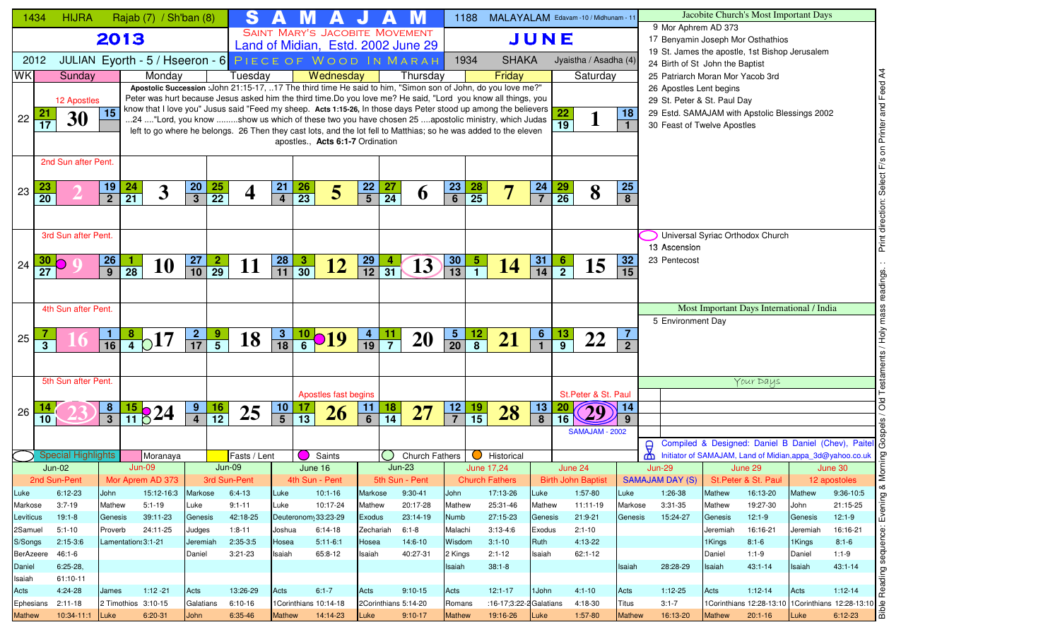|                    | 1434            | <b>HIJRA</b>              |                                   | Rajab (7) / Sh'ban (8)                                                                                                                                                                                                        |                    |                 | S                        |                 |                     |                                  |                    |                 |                                    |                                                                    | 1188            | MALAYALAM Edavam -10 / Midhunam - 11 |                       |                           |                       |                         |               |                                                        |                    | Jacobite Church's Most Important Days                     |                    |                                                                                      |
|--------------------|-----------------|---------------------------|-----------------------------------|-------------------------------------------------------------------------------------------------------------------------------------------------------------------------------------------------------------------------------|--------------------|-----------------|--------------------------|-----------------|---------------------|----------------------------------|--------------------|-----------------|------------------------------------|--------------------------------------------------------------------|-----------------|--------------------------------------|-----------------------|---------------------------|-----------------------|-------------------------|---------------|--------------------------------------------------------|--------------------|-----------------------------------------------------------|--------------------|--------------------------------------------------------------------------------------|
|                    |                 |                           | 2013                              |                                                                                                                                                                                                                               |                    |                 |                          |                 |                     |                                  |                    |                 | SAINT MARY'S JACOBITE MOVEMENT     |                                                                    |                 |                                      | JUNE                  |                           |                       |                         |               | 9 Mor Aphrem AD 373                                    |                    | 17 Benyamin Joseph Mor Osthathios                         |                    |                                                                                      |
|                    |                 |                           |                                   |                                                                                                                                                                                                                               |                    |                 |                          |                 |                     |                                  |                    |                 | Land of Midian, Estd. 2002 June 29 |                                                                    |                 |                                      |                       |                           |                       |                         |               |                                                        |                    | 19 St. James the apostle, 1st Bishop Jerusalem            |                    |                                                                                      |
|                    | 2012            |                           |                                   | JULIAN Eyorth - 5 / Hseeron - 6 PIECE OF WOOD IN MARAH                                                                                                                                                                        |                    |                 |                          |                 |                     |                                  |                    |                 |                                    |                                                                    | 1934            | <b>SHAKA</b>                         |                       | Jyaistha / Asadha (4)     |                       |                         |               | 24 Birth of St John the Baptist                        |                    |                                                           |                    |                                                                                      |
| <b>WK</b>          |                 | Sunday                    |                                   | Monday                                                                                                                                                                                                                        |                    |                 | Tuesday                  |                 |                     | Wednesday                        |                    |                 | Thursday                           |                                                                    |                 | Friday                               |                       |                           | Saturday              |                         |               | 25 Patriarch Moran Mor Yacob 3rd                       |                    |                                                           |                    | Feed A4                                                                              |
|                    |                 |                           |                                   | Apostolic Succession : John 21:15-17, 17 The third time He said to him, "Simon son of John, do you love me?"<br>Peter was hurt because Jesus asked him the third time.Do you love me? He said, "Lord you know all things, you |                    |                 |                          |                 |                     |                                  |                    |                 |                                    |                                                                    |                 |                                      |                       |                           |                       |                         |               | 26 Apostles Lent begins<br>29 St. Peter & St. Paul Day |                    |                                                           |                    |                                                                                      |
|                    | 21              | 12 Apostles               | 15                                | know that I love you" Jusus said "Feed my sheep. Acts 1:15-26, In those days Peter stood up among the believers                                                                                                               |                    |                 |                          |                 |                     |                                  |                    |                 |                                    |                                                                    |                 |                                      |                       | $\overline{22}$           |                       | 18                      |               |                                                        |                    | 29 Estd. SAMAJAM with Apstolic Blessings 2002             |                    |                                                                                      |
| 22                 | 17              | 30                        |                                   | 24 "Lord, you know show us which of these two you have chosen 25 apostolic ministry, which Judas                                                                                                                              |                    |                 |                          |                 |                     |                                  |                    |                 |                                    |                                                                    |                 |                                      |                       | $\overline{19}$           |                       | $\mathbf{1}$            |               | 30 Feast of Twelve Apostles                            |                    |                                                           |                    |                                                                                      |
|                    |                 |                           |                                   | left to go where he belongs. 26 Then they cast lots, and the lot fell to Matthias; so he was added to the eleven                                                                                                              |                    |                 |                          |                 |                     | apostles., Acts 6:1-7 Ordination |                    |                 |                                    |                                                                    |                 |                                      |                       |                           |                       |                         |               |                                                        |                    |                                                           |                    | on Printer and                                                                       |
|                    |                 |                           |                                   |                                                                                                                                                                                                                               |                    |                 |                          |                 |                     |                                  |                    |                 |                                    |                                                                    |                 |                                      |                       |                           |                       |                         |               |                                                        |                    |                                                           |                    |                                                                                      |
|                    |                 | 2nd Sun after Pent.       |                                   |                                                                                                                                                                                                                               |                    |                 |                          |                 |                     |                                  |                    |                 |                                    |                                                                    |                 |                                      |                       |                           |                       |                         |               |                                                        |                    |                                                           |                    | F/s                                                                                  |
|                    | 23              |                           |                                   |                                                                                                                                                                                                                               |                    |                 |                          |                 |                     |                                  |                    |                 |                                    |                                                                    |                 |                                      |                       |                           |                       | <b>25</b>               |               |                                                        |                    |                                                           |                    |                                                                                      |
| 23                 | $\overline{20}$ |                           | $\frac{19}{2}$<br>$\frac{24}{21}$ | $\overline{\mathbf{3}}$                                                                                                                                                                                                       | $\frac{20}{3}$     | $\frac{25}{22}$ | $\overline{\mathbf{4}}$  | $\frac{21}{4}$  | $\frac{26}{23}$     | 5                                | $\frac{22}{5}$     | $\frac{27}{24}$ | O                                  | $\frac{23}{6}$                                                     | $\frac{28}{25}$ |                                      | $\frac{24}{7}$        | $\frac{29}{26}$           | 8                     | $\overline{\mathbf{8}}$ |               |                                                        |                    |                                                           |                    |                                                                                      |
|                    |                 |                           |                                   |                                                                                                                                                                                                                               |                    |                 |                          |                 |                     |                                  |                    |                 |                                    |                                                                    |                 |                                      |                       |                           |                       |                         |               |                                                        |                    |                                                           |                    | direction:                                                                           |
|                    |                 |                           |                                   |                                                                                                                                                                                                                               |                    |                 |                          |                 |                     |                                  |                    |                 |                                    |                                                                    |                 |                                      |                       |                           |                       |                         |               |                                                        |                    |                                                           |                    |                                                                                      |
|                    |                 | 3rd Sun after Pent.       |                                   |                                                                                                                                                                                                                               |                    |                 |                          |                 |                     |                                  |                    |                 |                                    |                                                                    |                 |                                      |                       |                           |                       |                         |               | 13 Ascension                                           |                    | Universal Syriac Orthodox Church                          |                    | Print                                                                                |
|                    | 30.             |                           | л.                                |                                                                                                                                                                                                                               | <b>27</b>          |                 |                          |                 |                     |                                  |                    |                 |                                    |                                                                    | $\overline{5}$  |                                      |                       |                           |                       | 32                      |               | 23 Pentecost                                           |                    |                                                           |                    |                                                                                      |
| 24                 | $\overline{27}$ |                           | $\frac{26}{9}$<br>$\overline{28}$ | 10                                                                                                                                                                                                                            | $\overline{10}$    | $\frac{2}{29}$  | 11                       | $\frac{28}{11}$ | $\frac{3}{30}$      | <u>12</u>                        | $\frac{29}{12}$    | $\overline{31}$ | 13                                 | $\begin{array}{ c c }\n \hline\n 30 \\  \hline\n 13\n \end{array}$ |                 | <b>14</b>                            | $\frac{31}{14}$       | $\frac{6}{2}$             | 15                    | 15                      |               |                                                        |                    |                                                           |                    |                                                                                      |
|                    |                 |                           |                                   |                                                                                                                                                                                                                               |                    |                 |                          |                 |                     |                                  |                    |                 |                                    |                                                                    |                 |                                      |                       |                           |                       |                         |               |                                                        |                    |                                                           |                    | readings.                                                                            |
|                    |                 | 4th Sun after Pent.       |                                   |                                                                                                                                                                                                                               |                    |                 |                          |                 |                     |                                  |                    |                 |                                    |                                                                    |                 |                                      |                       |                           |                       |                         |               |                                                        |                    | Most Important Days International / India                 |                    | <b>v</b>                                                                             |
|                    |                 |                           |                                   |                                                                                                                                                                                                                               |                    |                 |                          |                 |                     |                                  |                    |                 |                                    |                                                                    |                 |                                      |                       |                           |                       |                         |               | 5 Environment Day                                      |                    |                                                           |                    |                                                                                      |
|                    |                 |                           |                                   |                                                                                                                                                                                                                               |                    |                 |                          |                 |                     |                                  |                    | <u>11</u>       |                                    |                                                                    |                 |                                      |                       |                           |                       | $\overline{7}$          |               |                                                        |                    |                                                           |                    | √он                                                                                  |
| 25                 |                 |                           | $\frac{1}{16}$                    | $\frac{8}{4}$ <sub>0</sub> 17                                                                                                                                                                                                 | $\frac{2}{17}$     | $\frac{9}{5}$   | 18                       | $\frac{3}{18}$  |                     | $\frac{10}{6}$ <b>O</b> 19       | $\frac{4}{19}$     |                 | <b>20</b>                          | $\frac{5}{20}$                                                     | $\frac{12}{8}$  | 21                                   | $\frac{6}{1}$         | $\frac{13}{9}$            | 22                    | $\overline{2}$          |               |                                                        |                    |                                                           |                    |                                                                                      |
|                    |                 |                           |                                   |                                                                                                                                                                                                                               |                    |                 |                          |                 |                     |                                  |                    |                 |                                    |                                                                    |                 |                                      |                       |                           |                       |                         |               |                                                        |                    |                                                           |                    |                                                                                      |
|                    |                 | 5th Sun after Pent.       |                                   |                                                                                                                                                                                                                               |                    |                 |                          |                 |                     |                                  |                    |                 |                                    |                                                                    |                 |                                      |                       |                           |                       |                         |               |                                                        |                    | Your Days                                                 |                    |                                                                                      |
|                    |                 |                           |                                   |                                                                                                                                                                                                                               |                    |                 |                          |                 |                     | Apostles fast begins             |                    |                 |                                    |                                                                    |                 |                                      |                       |                           | St.Peter & St. Paul   |                         |               |                                                        |                    |                                                           |                    |                                                                                      |
| 26                 |                 |                           |                                   |                                                                                                                                                                                                                               | <u>9</u>           | $\frac{16}{12}$ |                          | $\frac{10}{5}$  |                     |                                  | 11                 |                 | 27                                 | 12                                                                 | $\frac{19}{15}$ |                                      | $\frac{13}{8}$        | <b>20</b>                 | 29                    | 14                      |               |                                                        |                    |                                                           |                    | õю                                                                                   |
|                    | 10              |                           | $\frac{8}{3}$                     | $\frac{15}{11}$ $824$                                                                                                                                                                                                         |                    |                 | 25                       |                 | $\frac{17}{13}$     | 26                               | $\overline{6}$     | $\frac{18}{14}$ |                                    | $\overline{7}$                                                     |                 | 28                                   |                       | 16                        |                       | 9                       |               |                                                        |                    |                                                           |                    |                                                                                      |
|                    |                 |                           |                                   |                                                                                                                                                                                                                               |                    |                 |                          |                 |                     |                                  |                    |                 |                                    |                                                                    |                 |                                      |                       |                           | SAMAJAM - 2002        |                         |               |                                                        |                    |                                                           |                    | Compiled & Designed: Daniel B Daniel (Chev), Paitel &                                |
|                    |                 | <b>Special Highlights</b> |                                   | Moranaya                                                                                                                                                                                                                      |                    |                 | Fasts / Lent             |                 |                     | Saints                           |                    |                 | Church Fathers                     |                                                                    | $\bullet$       | Historical                           |                       |                           |                       |                         | $\Theta$<br>₾ |                                                        |                    | Initiator of SAMAJAM, Land of Midian, appa_3d@yahoo.co.uk |                    |                                                                                      |
|                    |                 | $Jun-02$                  |                                   | $Jun-09$                                                                                                                                                                                                                      |                    | $Jun-09$        |                          |                 | June 16             |                                  |                    |                 | $Jun-23$                           |                                                                    |                 | June 17,24                           |                       | June 24                   |                       |                         |               | <b>Jun-29</b>                                          |                    | June 29                                                   |                    | June 30                                                                              |
|                    |                 | 2nd Sun-Pent              |                                   | Mor Aprem AD 373                                                                                                                                                                                                              |                    |                 | 3rd Sun-Pent             |                 | 4th Sun - Pent      |                                  |                    |                 | 5th Sun - Pent                     |                                                                    |                 | <b>Church Fathers</b>                |                       | <b>Birth John Baptist</b> |                       |                         |               | SAMAJAM DAY (S) St. Peter & St. Paul                   |                    |                                                           |                    | 12 apostoles<br>∞ర                                                                   |
| Luke               |                 | $6:12-23$                 | John                              | 15:12-16:3                                                                                                                                                                                                                    | Markose            |                 | $6:4-13$                 | Luke            |                     | $10:1-16$                        | Markose            |                 | $9:30-41$                          | John                                                               |                 | 17:13-26                             | Luke                  |                           | 1:57-80               | Luke                    |               | 1:26-38                                                | Mathew             | 16:13-20                                                  | Mathew             | 9:36-10:5                                                                            |
| Markose            |                 | $3:7-19$                  | Mathew                            | $5:1 - 19$                                                                                                                                                                                                                    | Luke               |                 | $9:1 - 11$               | Luke            |                     | 10:17-24                         | Mathew             |                 | 20:17-28                           | Mathew                                                             |                 | 25:31-46                             | Mathew                |                           | 11:11-19              | Markose                 |               | $3:31-35$                                              | Mathew             | 19:27-30                                                  | John               | Evening<br>21:15-25                                                                  |
| Leviticus          |                 | $19:1-8$                  | Genesis                           | 39:11-23                                                                                                                                                                                                                      | Genesis            |                 | 42:18-25                 |                 | Deuteronom 33:23-29 |                                  | <b>Exodus</b>      |                 | 23:14-19                           | Numb                                                               |                 | 27:15-23                             | Genesis               |                           | $21:9-21$             | Genesis                 |               | 15:24-27                                               | Genesis            | $12:1-9$                                                  | Genesis            | $12:1-9$                                                                             |
| 2Samuel<br>S/Songs |                 | $5:1 - 10$<br>$2:15-3:6$  | Proverb<br>Lamentation: 3:1-21    | 24:11-25                                                                                                                                                                                                                      | Judges<br>Jeremiah |                 | $1:8 - 11$<br>$2:35-3:5$ | Joshua<br>Hosea |                     | $6:14-18$<br>$5:11-6:1$          | Zechariah<br>Hosea |                 | $6:1 - 8$<br>$14:6 - 10$           | Malachi<br>Wisdom                                                  |                 | $3:13-4:6$<br>$3:1 - 10$             | Exodus<br><b>Ruth</b> |                           | $2:1 - 10$<br>4:13-22 |                         |               |                                                        | Jeremiah<br>1Kings | 16:16-21<br>$8:1-6$                                       | Jeremiah<br>1Kings | sequence:<br>16:16-21<br>$8:1-6$                                                     |
| BerAzeere          |                 | 46:1-6                    |                                   |                                                                                                                                                                                                                               | Daniel             |                 | $3:21-23$                | Isaiah          |                     | 65:8-12                          | Isaiah             |                 | 40:27-31                           | 2 Kings                                                            |                 | $2:1 - 12$                           | Isaiah                |                           | 62:1-12               |                         |               |                                                        | Daniel             | $1:1-9$                                                   | Daniel             | $1:1-9$                                                                              |
| Daniel             |                 | $6:25-28,$                |                                   |                                                                                                                                                                                                                               |                    |                 |                          |                 |                     |                                  |                    |                 |                                    | Isaiah                                                             |                 | $38:1 - 8$                           |                       |                           |                       | Isaiah                  |               | 28:28-29                                               | Isaiah             | $43:1 - 14$                                               | Isaiah             | $43:1 - 14$                                                                          |
| Isaiah             |                 | 61:10-11                  |                                   |                                                                                                                                                                                                                               |                    |                 |                          |                 |                     |                                  |                    |                 |                                    |                                                                    |                 |                                      |                       |                           |                       |                         |               |                                                        |                    |                                                           |                    | Reading:                                                                             |
| Acts               |                 | 4:24-28                   | James                             | $1:12 - 21$                                                                                                                                                                                                                   | Acts               |                 | 13:26-29                 | Acts            |                     | $6:1 - 7$                        | Acts               |                 | $9:10-15$                          | Acts                                                               |                 | $12:1 - 17$                          | 1John                 |                           | $4:1 - 10$            | Acts                    |               | $1:12-25$                                              | Acts               | $1:12-14$                                                 | Acts               | $1:12-14$                                                                            |
|                    |                 | Ephesians 2:11-18         |                                   | 2 Timothios 3:10-15                                                                                                                                                                                                           | Galatians          |                 | 6:10-16                  |                 |                     | 1Corinthians 10:14-18            |                    |                 | 2Corinthians 5:14-20               | Romans                                                             |                 | :16-17;3:22-2 Galatians              |                       |                           | 4:18-30               | Titus                   |               | $3:1 - 7$                                              |                    |                                                           |                    | 1Corinthians 12:28-13:10 1Corinthians 12:28-13:10 0<br>Mathew 20:1-16 Luke 6:12-23 m |
| <b>Mathew</b>      |                 | $10:34-11:1$              | Luke                              | $6:20-31$                                                                                                                                                                                                                     | John               |                 | 6:35-46                  | <b>Mathew</b>   |                     | 14:14-23                         | Luke               |                 | $9:10-17$                          | <b>Mathew</b>                                                      |                 | 19:16-26                             | Luke                  |                           | $1:57-80$             | <b>Mathew</b>           |               | 16:13-20                                               |                    |                                                           |                    |                                                                                      |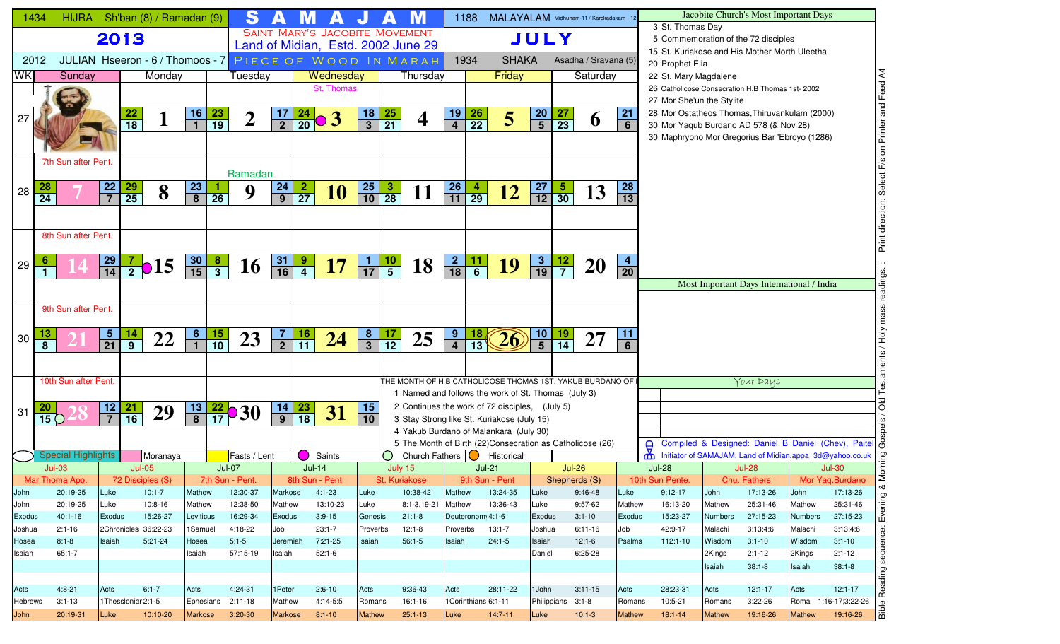| 1434            |                 | <b>HIJRA</b>                                      |                                |                 | Sh'ban (8) / Ramadan (9) |                  |                 | S                   |                       |                 |                                       |                             |                                                 |                                                                                                     |                                   | 1188             | MALAYALAM Midhunam-11 / Karckadakam - 12 |                                            |                   |                         |                                   |                 |                  |                           | Jacobite Church's Most Important Days                    |                   |                        |                  |
|-----------------|-----------------|---------------------------------------------------|--------------------------------|-----------------|--------------------------|------------------|-----------------|---------------------|-----------------------|-----------------|---------------------------------------|-----------------------------|-------------------------------------------------|-----------------------------------------------------------------------------------------------------|-----------------------------------|------------------|------------------------------------------|--------------------------------------------|-------------------|-------------------------|-----------------------------------|-----------------|------------------|---------------------------|----------------------------------------------------------|-------------------|------------------------|------------------|
|                 |                 |                                                   | 2013                           |                 |                          |                  |                 |                     |                       |                 | <b>SAINT MARY'S JACOBITE MOVEMENT</b> |                             |                                                 |                                                                                                     |                                   |                  |                                          | JULY                                       |                   |                         |                                   |                 | 3 St. Thomas Day |                           | 5 Commemoration of the 72 disciples                      |                   |                        |                  |
|                 |                 |                                                   |                                |                 |                          |                  |                 |                     |                       |                 |                                       |                             |                                                 | Land of Midian, Estd. 2002 June 29                                                                  |                                   |                  |                                          |                                            |                   |                         |                                   |                 |                  |                           | 15 St. Kuriakose and His Mother Morth Uleetha            |                   |                        |                  |
| 2012            |                 | JULIAN Hseeron-6/Thomoos-7 PIECE OF WOOD IN MARAH |                                |                 |                          |                  |                 |                     |                       |                 |                                       |                             |                                                 |                                                                                                     |                                   | 1934             | <b>SHAKA</b>                             |                                            |                   | Asadha / Sravana (5)    |                                   | 20 Prophet Elia |                  |                           |                                                          |                   |                        |                  |
| <b>WK</b>       |                 | Sunday                                            |                                |                 | Monday                   |                  |                 | Tuesday             |                       |                 | Wednesday                             |                             |                                                 | Thursday                                                                                            |                                   |                  | Friday                                   |                                            |                   | Saturday                |                                   |                 |                  | 22 St. Mary Magdalene     |                                                          |                   |                        |                  |
|                 |                 |                                                   |                                |                 |                          |                  |                 |                     |                       |                 | St. Thomas                            |                             |                                                 |                                                                                                     |                                   |                  |                                          |                                            |                   |                         |                                   |                 |                  |                           | 26 Catholicose Consecration H.B Thomas 1st-2002          |                   |                        |                  |
|                 |                 |                                                   |                                |                 |                          | <u>16</u>        |                 |                     |                       | 24              |                                       |                             |                                                 |                                                                                                     | 19                                |                  |                                          |                                            |                   |                         | 21                                |                 |                  | 27 Mor She'un the Stylite | 28 Mor Ostatheos Thomas, Thiruvankulam (2000)            |                   |                        | and Feed A4      |
| 27              |                 |                                                   |                                | $\frac{22}{18}$ |                          | $\overline{1}$   | $\frac{23}{19}$ | $\overline{2}$      | $\frac{17}{2}$        | $\overline{20}$ | o3                                    | $\frac{18}{3}$              | $\frac{25}{21}$                                 | 4                                                                                                   | $\overline{\mathbf{4}}$           | $\frac{26}{22}$  | 5                                        | $\frac{20}{5}$                             | $\frac{27}{23}$   | $\boldsymbol{\theta}$   | $6\phantom{1}$                    |                 |                  |                           | 30 Mor Yaqub Burdano AD 578 (& Nov 28)                   |                   |                        |                  |
|                 |                 |                                                   |                                |                 |                          |                  |                 |                     |                       |                 |                                       |                             |                                                 |                                                                                                     |                                   |                  |                                          |                                            |                   |                         |                                   |                 |                  |                           | 30 Maphryono Mor Gregorius Bar 'Ebroyo (1286)            |                   |                        | F/s on Printer   |
|                 |                 |                                                   |                                |                 |                          |                  |                 |                     |                       |                 |                                       |                             |                                                 |                                                                                                     |                                   |                  |                                          |                                            |                   |                         |                                   |                 |                  |                           |                                                          |                   |                        |                  |
|                 |                 | 7th Sun after Pent.                               |                                |                 |                          |                  |                 |                     |                       |                 |                                       |                             |                                                 |                                                                                                     |                                   |                  |                                          |                                            |                   |                         |                                   |                 |                  |                           |                                                          |                   |                        |                  |
|                 |                 |                                                   |                                |                 |                          |                  |                 | Ramadan             |                       |                 |                                       |                             |                                                 |                                                                                                     |                                   |                  |                                          |                                            |                   |                         |                                   |                 |                  |                           |                                                          |                   |                        | Select           |
| 28              | $\overline{24}$ |                                                   | $\frac{22}{7}$                 | $\frac{29}{25}$ | 8                        | $\frac{23}{8}$   | $\overline{26}$ | 9                   | 24<br>$\overline{9}$  | $\overline{27}$ | <b>10</b>                             | $\frac{25}{10}$             | $\frac{3}{28}$                                  | <u>11</u>                                                                                           | $\frac{26}{11}$                   | $\overline{29}$  | <u>12</u>                                | $\frac{27}{12}$                            | $\frac{5}{30}$    | 13                      | 28<br>$\overline{13}$             |                 |                  |                           |                                                          |                   |                        |                  |
|                 |                 |                                                   |                                |                 |                          |                  |                 |                     |                       |                 |                                       |                             |                                                 |                                                                                                     |                                   |                  |                                          |                                            |                   |                         |                                   |                 |                  |                           |                                                          |                   |                        |                  |
|                 |                 |                                                   |                                |                 |                          |                  |                 |                     |                       |                 |                                       |                             |                                                 |                                                                                                     |                                   |                  |                                          |                                            |                   |                         |                                   |                 |                  |                           |                                                          |                   |                        | Print direction: |
|                 |                 | 8th Sun after Pent.                               |                                |                 |                          |                  |                 |                     |                       |                 |                                       |                             |                                                 |                                                                                                     |                                   |                  |                                          |                                            |                   |                         |                                   |                 |                  |                           |                                                          |                   |                        |                  |
|                 |                 |                                                   |                                |                 |                          |                  |                 |                     |                       |                 |                                       |                             |                                                 |                                                                                                     |                                   |                  |                                          |                                            |                   |                         |                                   |                 |                  |                           |                                                          |                   |                        |                  |
| 29              |                 |                                                   | $\frac{29}{14}$                | $\overline{2}$  | $\bullet$ 15             | $\frac{30}{15}$  | $\frac{8}{3}$   | 16                  | 31<br>$\overline{16}$ | $\frac{9}{4}$   | <b>17</b>                             | <u>1</u><br>$\overline{17}$ | $\frac{10}{5}$                                  | 18                                                                                                  | $\overline{2}$<br>$\overline{18}$ | $\frac{11}{6}$   | <b>19</b>                                | $\overline{\mathbf{3}}$<br>$\overline{19}$ | $\frac{12}{7}$    | <b>20</b>               | $\overline{4}$<br>$\overline{20}$ |                 |                  |                           |                                                          |                   |                        |                  |
|                 |                 |                                                   |                                |                 |                          |                  |                 |                     |                       |                 |                                       |                             |                                                 |                                                                                                     |                                   |                  |                                          |                                            |                   |                         |                                   |                 |                  |                           | Most Important Days International / India                |                   |                        | dings.           |
|                 |                 |                                                   |                                |                 |                          |                  |                 |                     |                       |                 |                                       |                             |                                                 |                                                                                                     |                                   |                  |                                          |                                            |                   |                         |                                   |                 |                  |                           |                                                          |                   |                        |                  |
|                 |                 | 9th Sun after Pent.                               |                                |                 |                          |                  |                 |                     |                       |                 |                                       |                             |                                                 |                                                                                                     |                                   |                  |                                          |                                            |                   |                         |                                   |                 |                  |                           |                                                          |                   |                        | mass             |
|                 |                 |                                                   |                                |                 |                          |                  |                 |                     |                       |                 |                                       |                             |                                                 |                                                                                                     |                                   |                  |                                          |                                            |                   |                         |                                   |                 |                  |                           |                                                          |                   |                        |                  |
| 30              |                 |                                                   | $\frac{5}{21}$                 | $\frac{14}{9}$  | 22                       | $\frac{6}{1}$    | $\frac{15}{10}$ | 23                  | 7                     | $\frac{16}{11}$ | 24                                    | $\frac{8}{3}$               | $\frac{17}{12}$                                 | 25                                                                                                  | $\frac{9}{4}$                     | $\frac{18}{13}$  | 26                                       | $\frac{10}{5}$                             | $\frac{19}{14}$   | 27                      | 11                                |                 |                  |                           |                                                          |                   |                        | Урон             |
|                 | 8               |                                                   |                                |                 |                          |                  |                 |                     | $\overline{2}$        |                 |                                       |                             |                                                 |                                                                                                     |                                   |                  |                                          |                                            |                   |                         | 6                                 |                 |                  |                           |                                                          |                   |                        |                  |
|                 |                 |                                                   |                                |                 |                          |                  |                 |                     |                       |                 |                                       |                             |                                                 |                                                                                                     |                                   |                  |                                          |                                            |                   |                         |                                   |                 |                  |                           |                                                          |                   |                        |                  |
|                 |                 | 10th Sun after Pent.                              |                                |                 |                          |                  |                 |                     |                       |                 |                                       |                             |                                                 | THE MONTH OF H B CATHOLICOSE THOMAS 1ST, YAKUB BURDANO OF                                           |                                   |                  |                                          |                                            |                   |                         |                                   |                 |                  |                           | Your Days                                                |                   |                        |                  |
|                 |                 |                                                   |                                |                 |                          |                  |                 |                     |                       |                 |                                       |                             |                                                 | 1 Named and follows the work of St. Thomas (July 3)                                                 |                                   |                  |                                          |                                            |                   |                         |                                   |                 |                  |                           |                                                          |                   |                        |                  |
| 31              |                 |                                                   | 12                             | $\frac{21}{16}$ | 29                       | $\frac{13}{8}$   |                 | $\frac{22}{17}$ 30  | 14                    | $\frac{23}{18}$ | 31                                    | 15                          |                                                 | 2 Continues the work of 72 disciples, (July 5)                                                      |                                   |                  |                                          |                                            |                   |                         |                                   |                 |                  |                           |                                                          |                   |                        | oo               |
|                 | $\overline{15}$ |                                                   | $\overline{7}$                 |                 |                          |                  |                 |                     | $\overline{9}$        |                 |                                       | 10                          |                                                 | 3 Stay Strong like St. Kuriakose (July 15)                                                          |                                   |                  |                                          |                                            |                   |                         |                                   |                 |                  |                           |                                                          |                   |                        |                  |
|                 |                 |                                                   |                                |                 |                          |                  |                 |                     |                       |                 |                                       |                             |                                                 | 4 Yakub Burdano of Malankara (July 30)<br>5 The Month of Birth (22)Consecration as Catholicose (26) |                                   |                  |                                          |                                            |                   |                         |                                   |                 |                  |                           | Compiled & Designed: Daniel B Daniel (Chev), Paitel      |                   |                        |                  |
|                 |                 | <b>Special Highlights</b>                         |                                |                 | Moranaya                 |                  |                 | Fasts / Lent        |                       |                 | Saints                                |                             | $\left( \begin{array}{c} 1 \end{array} \right)$ | Church Fathers $\bigcirc$                                                                           |                                   |                  | Historical                               |                                            |                   |                         |                                   | $\Theta$<br>y   |                  |                           | Initiator of SAMAJAM, Land of Midian,appa_3d@yahoo.co.uk |                   |                        |                  |
|                 |                 | $Jul-03$                                          |                                | $Jul-05$        |                          |                  | $Jul-07$        |                     |                       | $Jul-14$        |                                       |                             |                                                 | July 15                                                                                             |                                   |                  | $Jul-21$                                 |                                            | <b>Jul-26</b>     |                         |                                   | <b>Jul-28</b>   |                  |                           | <b>Jul-28</b>                                            |                   | $Jul-30$               |                  |
|                 |                 | Mar Thoma Apo.                                    |                                |                 | 72 Disciples (S)         |                  |                 | 7th Sun - Pent.     |                       |                 | 8th Sun - Pent                        |                             |                                                 | St. Kuriakose                                                                                       |                                   |                  | 9th Sun - Pent                           |                                            | Shepherds (S)     |                         |                                   | 10th Sun Pente. |                  |                           | Chu. Fathers                                             |                   | Mor Yaq.Burdano        | ∞                |
| John            |                 | 20:19-25                                          | Luke                           |                 | $10:1 - 7$               | Mathew           |                 | 12:30-37            | Markose               |                 | 4:1-23                                | Luke                        |                                                 | 10:38-42                                                                                            | Mathew                            |                  | 13:24-35                                 | Luke                                       |                   | 9:46-48                 | Luke                              | $9:12-17$       |                  | John                      | 17:13-26                                                 | John              | 17:13-26               |                  |
| John            |                 | 20:19-25                                          | Luke                           |                 | 10:8-16                  | Mathew           |                 | 12:38-50            | Mathew                |                 | 13:10-23                              | Luke                        |                                                 | 8:1-3,19-21                                                                                         | Mathew                            |                  | 13:36-43                                 | Luke                                       |                   | 9:57-62                 | Mathew                            |                 | 16:13-20         | Mathew                    | 25:31-46                                                 | Mathew            | 25:31-46               | Evening          |
| Exodus          |                 | $40:1 - 16$<br>$2:1 - 16$                         | Exodus<br>2Chronicles 36:22-23 |                 | 15:26-27                 | Leviticus        |                 | 16:29-34<br>4:18-22 | <b>Exodus</b>         |                 | $3:9 - 15$<br>$23:1 - 7$              | Genesis                     |                                                 | $21:1-8$<br>12:1-8                                                                                  | Proverbs                          | Deuteronom 4:1-6 | $13:1 - 7$                               | Exodus                                     |                   | $3:1 - 10$<br>$6:11-16$ | Exodus                            | 42:9-17         | 15:23-27         | <b>Numbers</b><br>Malachi | 27:15-23<br>3:13:4:6                                     | <b>Numbers</b>    | 27:15-23               |                  |
| Joshua<br>Hosea |                 | $8:1 - 8$                                         | Isaiah                         |                 | $5:21-24$                | 1Samuel<br>Hosea |                 | $5:1-5$             | Job<br>Jeremiah       |                 | 7:21-25                               | Proverbs<br>Isaiah          |                                                 | $56:1 - 5$                                                                                          | Isaiah                            |                  | $24:1-5$                                 | Joshua<br>Isaiah                           |                   | $12:1-6$                | Job<br>Psalms                     |                 | 112:1-10         | Wisdom                    | $3:1 - 10$                                               | Malachi<br>Wisdom | 3:13:4:6<br>$3:1 - 10$ |                  |
| Isaiah          |                 | $65:1 - 7$                                        |                                |                 |                          | Isaiah           |                 | 57:15-19            | Isaiah                |                 | $52:1-6$                              |                             |                                                 |                                                                                                     |                                   |                  |                                          | Daniel                                     |                   | 6:25-28                 |                                   |                 |                  | 2Kings                    | $2:1 - 12$                                               | 2Kings            | $2:1 - 12$             | sequence:        |
|                 |                 |                                                   |                                |                 |                          |                  |                 |                     |                       |                 |                                       |                             |                                                 |                                                                                                     |                                   |                  |                                          |                                            |                   |                         |                                   |                 |                  | Isaiah                    | $38:1 - 8$                                               | Isaiah            | $38:1 - 8$             |                  |
|                 |                 |                                                   |                                |                 |                          |                  |                 |                     |                       |                 |                                       |                             |                                                 |                                                                                                     |                                   |                  |                                          |                                            |                   |                         |                                   |                 |                  |                           |                                                          |                   |                        | Reading:         |
| Acts            |                 | $4:8 - 21$                                        | Acts                           |                 | $6:1 - 7$                | Acts             |                 | 4:24-31             | 1 Peter               |                 | $2:6 - 10$                            | Acts                        |                                                 | 9:36-43                                                                                             | Acts                              |                  | 28:11-22                                 | 1 John                                     |                   | $3:11-15$               | Acts                              |                 | 28:23-31         | Acts                      | $12:1 - 17$                                              | Acts              | $12:1 - 17$            |                  |
| Hebrews         |                 | $3:1 - 13$                                        | 1Thessloniar 2:1-5             |                 |                          |                  |                 | Ephesians 2:11-18   | Mathew                |                 | 4:14-5:5                              | Romans                      |                                                 | 16:1-16                                                                                             |                                   |                  | 1Corinthians 6:1-11                      |                                            | Philippians 3:1-8 |                         | Romans                            | 10:5-21         |                  | Romans                    | $3:22-26$                                                |                   | Roma 1:16-17;3:22-26   | Bible            |
| John            |                 | 20:19-31                                          | Luke                           |                 | 10:10-20                 | <b>Markose</b>   |                 | $3:20-30$           | <b>Markose</b>        |                 | $8:1 - 10$                            | <b>Mathew</b>               |                                                 | $25:1 - 13$                                                                                         | Luke                              |                  | $14:7-11$                                | Luke                                       |                   | $10:1-3$                | <b>Mathew</b>                     | $18:1 - 14$     |                  | <b>Mathew</b>             | 19:16-26                                                 | <b>Mathew</b>     | 19:16-26               |                  |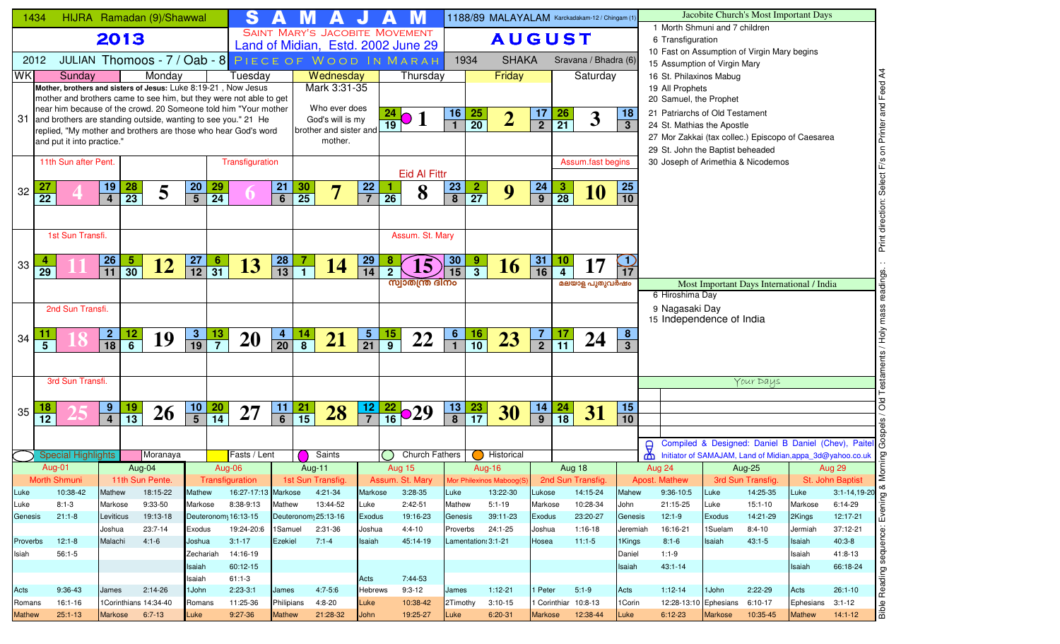|                | 1434            |                                                                                                                                      |                                               | HIJRA Ramadan (9)/Shawwal                           |                 |                 | S                      |                     |                     |                        |                 |                             |                                       |                         |                         | 1188/89 MALAYALAM Karckadakam-12 / Chingam (1 |                                  |                              |                               |                     |               |                                                              |                | Jacobite Church's Most Important Days                     |                          |                                                                                                                                                                               |
|----------------|-----------------|--------------------------------------------------------------------------------------------------------------------------------------|-----------------------------------------------|-----------------------------------------------------|-----------------|-----------------|------------------------|---------------------|---------------------|------------------------|-----------------|-----------------------------|---------------------------------------|-------------------------|-------------------------|-----------------------------------------------|----------------------------------|------------------------------|-------------------------------|---------------------|---------------|--------------------------------------------------------------|----------------|-----------------------------------------------------------|--------------------------|-------------------------------------------------------------------------------------------------------------------------------------------------------------------------------|
|                |                 |                                                                                                                                      | 2013                                          |                                                     |                 |                 |                        |                     |                     |                        |                 |                             | <b>SAINT MARY'S JACOBITE MOVEMENT</b> |                         |                         | <b>AUGUST</b>                                 |                                  |                              |                               |                     |               | 1 Morth Shmuni and 7 children<br>6 Transfiguration           |                |                                                           |                          |                                                                                                                                                                               |
|                |                 |                                                                                                                                      |                                               |                                                     |                 |                 |                        |                     |                     |                        |                 |                             | Land of Midian, Estd. 2002 June 29    |                         |                         |                                               |                                  |                              |                               |                     |               |                                                              |                | 10 Fast on Assumption of Virgin Mary begins               |                          |                                                                                                                                                                               |
|                | 2012            |                                                                                                                                      |                                               | JULIAN Thomoos - 7 / Oab - 8 PIECE OF WOOD IN MARAH |                 |                 |                        |                     |                     |                        |                 |                             |                                       |                         | 1934                    | <b>SHAKA</b>                                  |                                  |                              | Sravana / Bhadra (6)          |                     |               | 15 Assumption of Virgin Mary                                 |                |                                                           |                          |                                                                                                                                                                               |
| <b>WKI</b>     |                 | Sunday                                                                                                                               |                                               | Monday                                              |                 |                 | Tuesday                |                     |                     | Wednesday              |                 |                             | Thursday                              |                         |                         | Friday                                        |                                  |                              | Saturday                      |                     |               | 16 St. Philaxinos Mabug                                      |                |                                                           |                          | Feed A4                                                                                                                                                                       |
|                |                 | Mother, brothers and sisters of Jesus: Luke 8:19-21, Now Jesus<br>mother and brothers came to see him, but they were not able to get |                                               |                                                     |                 |                 |                        |                     |                     | Mark 3:31-35           |                 |                             |                                       |                         |                         |                                               |                                  |                              |                               |                     |               | 19 All Prophets                                              |                |                                                           |                          |                                                                                                                                                                               |
|                |                 | near him because of the crowd. 20 Someone told him "Your mother                                                                      |                                               |                                                     |                 |                 |                        |                     |                     | Who ever does          |                 |                             |                                       |                         |                         |                                               |                                  |                              |                               |                     |               | 20 Samuel, the Prophet                                       |                |                                                           |                          | $\frac{1}{6}$                                                                                                                                                                 |
|                |                 | 31 and brothers are standing outside, wanting to see you." 21 He                                                                     |                                               |                                                     |                 |                 |                        |                     |                     | God's will is my       |                 |                             | $\frac{24}{19}$ 0 1                   | 16                      | $\frac{25}{20}$         | $\overline{2}$                                | 17<br>$\overline{2}$             | $\frac{26}{21}$              | $\boldsymbol{3}$              | 18<br>3             |               | 21 Patriarchs of Old Testament<br>24 St. Mathias the Apostle |                |                                                           |                          |                                                                                                                                                                               |
|                |                 | replied, "My mother and brothers are those who hear God's word                                                                       |                                               |                                                     |                 |                 |                        |                     |                     | brother and sister and |                 |                             |                                       |                         |                         |                                               |                                  |                              |                               |                     |               |                                                              |                | 27 Mor Zakkai (tax collec.) Episcopo of Caesarea          |                          |                                                                                                                                                                               |
|                |                 | and put it into practice."                                                                                                           |                                               |                                                     |                 |                 |                        |                     |                     | mother.                |                 |                             |                                       |                         |                         |                                               |                                  |                              |                               |                     |               | 29 St. John the Baptist beheaded                             |                |                                                           |                          |                                                                                                                                                                               |
|                |                 | 11th Sun after Pent.                                                                                                                 |                                               |                                                     |                 |                 | Transfiguration        |                     |                     |                        |                 |                             |                                       |                         |                         |                                               |                                  |                              | Assum.fast begins             |                     |               |                                                              |                | 30 Joseph of Arimethia & Nicodemos                        |                          | F/s on Printer                                                                                                                                                                |
|                |                 |                                                                                                                                      |                                               |                                                     |                 |                 |                        |                     |                     |                        |                 |                             | <b>Eid Al Fittr</b>                   |                         |                         |                                               |                                  |                              |                               |                     |               |                                                              |                |                                                           |                          |                                                                                                                                                                               |
| 32             |                 |                                                                                                                                      | <u>19</u><br>$\frac{28}{23}$                  | 5                                                   | $\frac{20}{5}$  | $\frac{29}{24}$ |                        | 21                  | $\frac{30}{25}$     | 7                      | $\frac{22}{7}$  |                             | 8                                     | <u>23</u>               | $\frac{2}{27}$          | 9                                             | $\frac{24}{9}$                   | $\frac{3}{28}$               | 10                            | <b>25</b>           |               |                                                              |                |                                                           |                          | Select                                                                                                                                                                        |
|                | $\overline{22}$ |                                                                                                                                      | $\overline{4}$                                |                                                     |                 |                 |                        | $\overline{6}$      |                     |                        |                 | $\overline{26}$             |                                       | $\overline{\mathbf{8}}$ |                         |                                               |                                  |                              |                               | 10                  |               |                                                              |                |                                                           |                          |                                                                                                                                                                               |
|                |                 |                                                                                                                                      |                                               |                                                     |                 |                 |                        |                     |                     |                        |                 |                             |                                       |                         |                         |                                               |                                  |                              |                               |                     |               |                                                              |                |                                                           |                          | direction:                                                                                                                                                                    |
|                |                 | 1st Sun Transfi.                                                                                                                     |                                               |                                                     |                 |                 |                        |                     |                     |                        |                 |                             | Assum. St. Mary                       |                         |                         |                                               |                                  |                              |                               |                     |               |                                                              |                |                                                           |                          |                                                                                                                                                                               |
|                |                 |                                                                                                                                      |                                               |                                                     |                 |                 |                        |                     |                     |                        |                 |                             |                                       |                         |                         |                                               |                                  |                              |                               |                     |               |                                                              |                |                                                           |                          | Print                                                                                                                                                                         |
|                |                 |                                                                                                                                      | $\overline{5}$                                |                                                     |                 | 6               |                        |                     |                     |                        |                 |                             |                                       | 30                      | 9                       |                                               |                                  |                              |                               |                     |               |                                                              |                |                                                           |                          |                                                                                                                                                                               |
| 33             | $\overline{29}$ |                                                                                                                                      | $\frac{26}{11}$<br>$\overline{30}$            | <u>12</u>                                           | $\frac{27}{12}$ | $\overline{31}$ | 13                     | $\frac{28}{13}$     | $\overline{1}$      | 14                     | $\frac{29}{14}$ |                             | $\overline{\mathbf{5}}$               | 15                      | $\overline{\mathbf{3}}$ | <b>16</b>                                     | $\frac{31}{16}$                  | $\frac{10}{4}$               | 17                            | $\bigcirc$<br>17    |               |                                                              |                |                                                           |                          |                                                                                                                                                                               |
|                |                 |                                                                                                                                      |                                               |                                                     |                 |                 |                        |                     |                     |                        |                 |                             | സ്വാതന്ത്ര ദിനം                       |                         |                         |                                               |                                  |                              | മലയാള പുതുവർഷം                |                     |               |                                                              |                | Most Important Days International / India                 |                          |                                                                                                                                                                               |
|                |                 |                                                                                                                                      |                                               |                                                     |                 |                 |                        |                     |                     |                        |                 |                             |                                       |                         |                         |                                               |                                  |                              |                               |                     |               | 6 Hiroshima Day                                              |                |                                                           |                          |                                                                                                                                                                               |
|                |                 | 2nd Sun Transfi.                                                                                                                     |                                               |                                                     |                 |                 |                        |                     |                     |                        |                 |                             |                                       |                         |                         |                                               |                                  |                              |                               |                     |               | 9 Nagasaki Day                                               |                |                                                           |                          | mass                                                                                                                                                                          |
|                |                 |                                                                                                                                      |                                               |                                                     |                 |                 |                        |                     |                     |                        |                 |                             |                                       |                         |                         |                                               |                                  |                              |                               |                     |               | 15 Independence of India                                     |                |                                                           |                          |                                                                                                                                                                               |
| 34             | $\overline{5}$  |                                                                                                                                      | $\frac{2}{18}$<br><u>12</u><br>$\overline{6}$ | 19                                                  | $\frac{3}{19}$  | $\frac{13}{7}$  | 20                     | $\frac{4}{20}$      | $\frac{14}{8}$      | 21                     | $\frac{5}{21}$  | <u>15</u><br>$\overline{9}$ | 22                                    | $6 \overline{}$         | $\frac{16}{10}$         | 23                                            | $\overline{7}$<br>$\overline{2}$ | <u>17</u><br>$\overline{11}$ | 24                            | 8<br>$\overline{3}$ |               |                                                              |                |                                                           |                          | у<br>ЧоН                                                                                                                                                                      |
|                |                 |                                                                                                                                      |                                               |                                                     |                 |                 |                        |                     |                     |                        |                 |                             |                                       |                         |                         |                                               |                                  |                              |                               |                     |               |                                                              |                |                                                           |                          |                                                                                                                                                                               |
|                |                 |                                                                                                                                      |                                               |                                                     |                 |                 |                        |                     |                     |                        |                 |                             |                                       |                         |                         |                                               |                                  |                              |                               |                     |               |                                                              |                |                                                           |                          |                                                                                                                                                                               |
|                |                 | 3rd Sun Transfi.                                                                                                                     |                                               |                                                     |                 |                 |                        |                     |                     |                        |                 |                             |                                       |                         |                         |                                               |                                  |                              |                               |                     |               |                                                              |                | Your Days                                                 |                          |                                                                                                                                                                               |
|                |                 |                                                                                                                                      |                                               |                                                     |                 |                 |                        |                     |                     |                        |                 |                             |                                       |                         |                         |                                               |                                  |                              |                               |                     |               |                                                              |                |                                                           |                          |                                                                                                                                                                               |
| 35             |                 |                                                                                                                                      | $9^{\circ}$<br>$\frac{19}{13}$                | 26                                                  | $\frac{10}{5}$  | $\frac{20}{14}$ | 27                     | 11                  | $\frac{21}{15}$     | 28                     | $\frac{12}{7}$  |                             | $\frac{22}{16}$ 029                   | <u>13</u>               | $\frac{23}{17}$         | 30                                            | $\frac{14}{9}$                   | $\frac{24}{18}$              | 31                            | 15                  |               |                                                              |                |                                                           |                          | õю                                                                                                                                                                            |
|                | $\overline{12}$ |                                                                                                                                      | $\overline{4}$                                |                                                     |                 |                 |                        | $\overline{6}$      |                     |                        |                 |                             |                                       | $\overline{8}$          |                         |                                               |                                  |                              |                               | $\overline{10}$     |               |                                                              |                |                                                           |                          |                                                                                                                                                                               |
|                |                 |                                                                                                                                      |                                               |                                                     |                 |                 |                        |                     |                     |                        |                 |                             |                                       |                         |                         |                                               |                                  |                              |                               |                     |               |                                                              |                |                                                           |                          |                                                                                                                                                                               |
|                |                 | <b>Special Highlights</b>                                                                                                            |                                               | Moranaya                                            |                 |                 | Fasts / Lent           |                     |                     | Saints                 |                 |                             | <b>Church Fathers</b>                 |                         |                         | Historical                                    |                                  |                              |                               |                     | $\Theta$<br>₼ |                                                              |                | Initiator of SAMAJAM, Land of Midian, appa_3d@yahoo.co.uk |                          | Compiled & Designed: Daniel B Daniel (Chev), Paitel &                                                                                                                         |
|                |                 | Aug-01                                                                                                                               |                                               | Aug-04                                              |                 | Aug-06          |                        |                     | Aug-11              |                        |                 |                             | Aug 15                                |                         |                         | <b>Aug-16</b>                                 |                                  | Aug 18                       |                               |                     |               | Aug 24                                                       |                | <b>Aug-25</b>                                             |                          | Aug 29                                                                                                                                                                        |
|                |                 | Morth Shmuni                                                                                                                         |                                               | 11th Sun Pente.                                     |                 |                 | Transfiguration        |                     | 1st Sun Transfig.   |                        |                 |                             | Assum. St. Mary                       |                         |                         | Mor Philexinos Maboog(S)                      |                                  |                              | 2nd Sun Transfig.             |                     |               | <b>Apost. Mathew</b>                                         |                | 3rd Sun Transfig.                                         |                          | Morni<br>St. John Baptist                                                                                                                                                     |
| Luke           |                 | 10:38-42                                                                                                                             | Mathew                                        | 18:15-22                                            | Mathew          |                 | 16:27-17:13 Markose    |                     |                     | 4:21-34                | Markose         |                             | $3:28-35$                             | Luke                    |                         | 13:22-30                                      | Lukose                           |                              | 14:15-24                      | Mahew               |               | 9:36-10:5                                                    | Luke           | 14:25-35                                                  | Luke                     |                                                                                                                                                                               |
| Luke           |                 | $8:1-3$                                                                                                                              | Markose                                       | 9:33-50                                             | Markose         |                 | 8:38-9:13              | Mathew              |                     | 13:44-52               | Luke            |                             | $2:42-51$                             | Mathew                  |                         | $5:1 - 19$                                    | Markose                          |                              | 10:28-34                      | John                |               | 21:15-25                                                     | Luke           | $15:1-10$                                                 | Markose                  |                                                                                                                                                                               |
| Genesis        |                 | $21:1-8$                                                                                                                             | Leviticus                                     | 19:13-18                                            |                 |                 | Deuteronom 16:13-15    |                     | Deuteronom 25:13-16 |                        | <b>Exodus</b>   |                             | 19:16-23                              | Genesis                 |                         | 39:11-23                                      | Exodus                           |                              | 23:20-27                      | Genesis             |               | $12:1-9$                                                     | Exodus         | 14:21-29                                                  | 2Kings                   | $\begin{array}{c}\n3:1-14,19-20 \\ \hline\n6:14-29 \\ \hline\n12:17-21\n\end{array}\n\quad \begin{array}{c}\n\infty \\ \text{perferm} \\ \text{intra} \\ \hline\n\end{array}$ |
|                |                 |                                                                                                                                      | Joshua                                        | 23:7-14                                             | Exodus          |                 | 19:24-20:6             | 1 Samuel            |                     | 2:31-36                | Joshua          |                             | $4:4 - 10$                            | Proverbs                |                         | 24:1-25                                       | Joshua                           |                              | 1:16-18                       | Jeremiah            |               | 16:16-21                                                     | 1Suelam        | $8:4-10$                                                  | Jermiah                  | 37:12-21                                                                                                                                                                      |
| Proverbs       |                 | $12:1-8$                                                                                                                             | Malachi                                       | $4:1-6$                                             | Joshua          |                 | $3:1 - 17$             | Ezekiel             |                     | $7:1 - 4$              | Isaiah          |                             | 45:14-19                              |                         |                         | Lamentation: 3:1-21                           | Hosea                            |                              | $11:1-5$                      | 1Kings              |               | $8:1-6$                                                      | Isaiah         | $43:1 - 5$                                                | Isaiah                   | sequence:<br>$40:3 - 8$                                                                                                                                                       |
| Isiah          |                 | $56:1 - 5$                                                                                                                           |                                               |                                                     | Zechariah       |                 | 14:16-19               |                     |                     |                        |                 |                             |                                       |                         |                         |                                               |                                  |                              |                               | Daniel              |               | $1:1-9$                                                      |                |                                                           | Isaiah                   | 41:8-13                                                                                                                                                                       |
|                |                 |                                                                                                                                      |                                               |                                                     | Isaiah          |                 | $60:12-15$             |                     |                     |                        |                 |                             |                                       |                         |                         |                                               |                                  |                              |                               | Isaiah              |               | $43:1 - 14$                                                  |                |                                                           | Isaiah                   | 66:18-24<br>ding                                                                                                                                                              |
|                |                 |                                                                                                                                      |                                               |                                                     | Isaiah          |                 | $61:1-3$               |                     |                     |                        | Acts            |                             | 7:44-53                               |                         |                         |                                               |                                  |                              |                               |                     |               |                                                              |                |                                                           |                          |                                                                                                                                                                               |
| Acts<br>Romans |                 | $9:36-43$<br>16:1-16                                                                                                                 | James                                         | $2:14-26$<br>1Corinthians 14:34-40                  | 1John<br>Romans |                 | $2:23-3:1$<br>11:25-36 | James<br>Philipians |                     | $4:7-5:6$<br>4:8-20    | Hebrews<br>Luke |                             | $9:3-12$<br>10:38-42                  | James<br>2Timothy       |                         | $1:12-21$<br>$3:10-15$                        | ∣ Peter                          |                              | $5:1-9$<br>Corinthiar 10:8-13 | Acts<br>1Corin      |               | $1:12-14$<br>12:28-13:10 Ephesians                           | 1John          | $2:22-29$<br>6:10-17                                      | Acts<br>Ephesians 3:1-12 | Rea<br>$26:1-10$                                                                                                                                                              |
| <b>Mathew</b>  |                 | $25:1 - 13$                                                                                                                          | Markose                                       | $6:7-13$                                            | Luke            |                 | $9:27-36$              | <b>Mathew</b>       |                     | 21:28-32               | <b>John</b>     |                             | 19:25-27                              | Luke                    |                         | $6:20-31$                                     | <b>Markose</b>                   |                              | 12:38-44                      | Luke                |               | $6:12-23$                                                    | <b>Markose</b> | 10:35-45                                                  | <b>Mathew</b>            | Bible<br>$14:1 - 12$                                                                                                                                                          |
|                |                 |                                                                                                                                      |                                               |                                                     |                 |                 |                        |                     |                     |                        |                 |                             |                                       |                         |                         |                                               |                                  |                              |                               |                     |               |                                                              |                |                                                           |                          |                                                                                                                                                                               |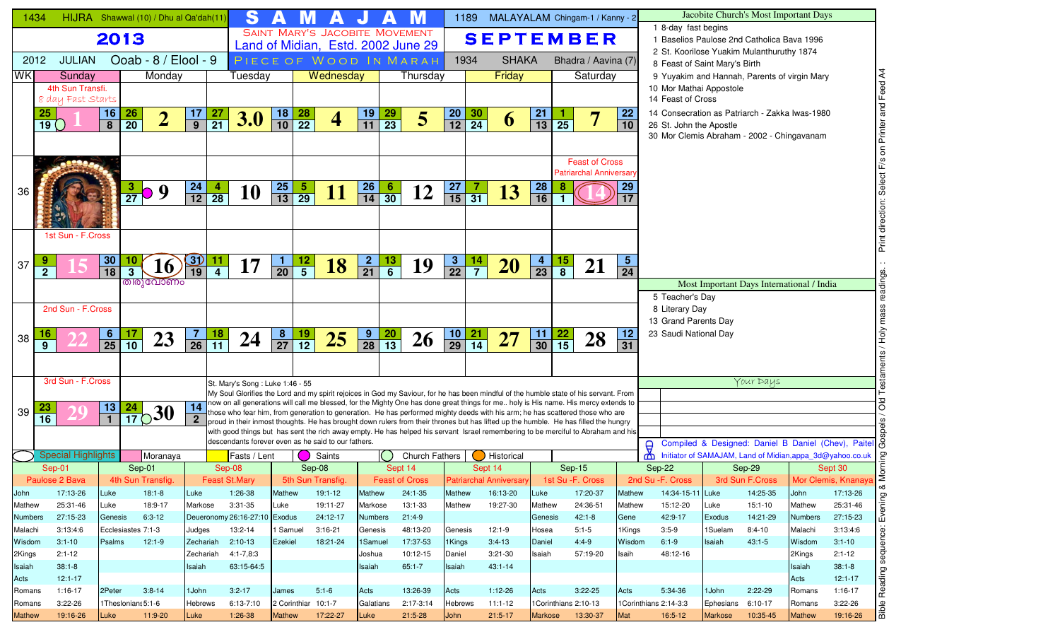| 1434               |                 | HIJRA Shawwal (10) / Dhu al Qa'dah(11) |                                    |                                |                      |                  |                                          | S            |                                         |                                                                                                                                                                                                                                                                              |                           |                 |                       |                                 | 1189                         | MALAYALAM Chingam-1 / Kanny - 2 |                      |                       |                                                        |                               |                                                                   |                   | Jacobite Church's Most Important Days                    |                           |                      |                                                    |
|--------------------|-----------------|----------------------------------------|------------------------------------|--------------------------------|----------------------|------------------|------------------------------------------|--------------|-----------------------------------------|------------------------------------------------------------------------------------------------------------------------------------------------------------------------------------------------------------------------------------------------------------------------------|---------------------------|-----------------|-----------------------|---------------------------------|------------------------------|---------------------------------|----------------------|-----------------------|--------------------------------------------------------|-------------------------------|-------------------------------------------------------------------|-------------------|----------------------------------------------------------|---------------------------|----------------------|----------------------------------------------------|
|                    |                 |                                        | 2013                               |                                |                      |                  |                                          |              |                                         | <b>SAINT MARY'S JACOBITE MOVEMENT</b>                                                                                                                                                                                                                                        |                           |                 |                       |                                 |                              | <b>SEPTEMBER</b>                |                      |                       |                                                        |                               | 1 8-day fast begins<br>1 Baselios Paulose 2nd Catholica Bava 1996 |                   |                                                          |                           |                      |                                                    |
|                    |                 |                                        |                                    |                                |                      |                  |                                          |              |                                         | Land of Midian, Estd. 2002 June 29                                                                                                                                                                                                                                           |                           |                 |                       |                                 |                              |                                 |                      |                       |                                                        |                               | 2 St. Koorilose Yuakim Mulanthuruthy 1874                         |                   |                                                          |                           |                      |                                                    |
| 2012               |                 | <b>JULIAN</b>                          |                                    |                                | Ooab - 8 / Elool - 9 |                  |                                          |              |                                         | PIECE OF WOOD IN MARAH                                                                                                                                                                                                                                                       |                           |                 |                       |                                 | 1934                         | <b>SHAKA</b>                    |                      |                       | Bhadra / Aavina (7)                                    |                               | 8 Feast of Saint Mary's Birth                                     |                   |                                                          |                           |                      |                                                    |
| <b>WK</b>          |                 | Sunday                                 |                                    |                                | Monday               |                  |                                          | Tuesday      |                                         | Wednesday                                                                                                                                                                                                                                                                    |                           |                 | Thursday              |                                 |                              | Friday                          |                      |                       | Saturday                                               |                               | 9 Yuyakim and Hannah, Parents of virgin Mary                      |                   |                                                          |                           |                      |                                                    |
|                    |                 | 4th Sun Transfi.<br>8 day Fast Starts  |                                    |                                |                      |                  |                                          |              |                                         |                                                                                                                                                                                                                                                                              |                           |                 |                       |                                 |                              |                                 |                      |                       |                                                        |                               | 10 Mor Mathai Appostole<br>14 Feast of Cross                      |                   |                                                          |                           |                      |                                                    |
|                    | 25              |                                        | 16                                 | <b>26</b>                      |                      |                  | 27                                       |              | 18                                      |                                                                                                                                                                                                                                                                              |                           |                 |                       |                                 |                              |                                 | 21                   |                       |                                                        | 22                            | 14 Consecration as Patriarch - Zakka Iwas-1980                    |                   |                                                          |                           |                      |                                                    |
|                    | 19()            |                                        | $\overline{\overline{\mathbf{8}}}$ | $\overline{20}$                | 2                    | $\frac{17}{9}$   | $\overline{21}$                          | <b>3.0</b>   | $\frac{28}{22}$<br>$\overline{10}$      | $\overline{4}$                                                                                                                                                                                                                                                               | $\frac{19}{11}$           | $\frac{29}{23}$ | 5                     | $\frac{20}{12}$                 | $\frac{30}{24}$              | 6                               | $\overline{13}$      | $\overline{25}$       |                                                        | 10                            | 26 St. John the Apostle                                           |                   |                                                          |                           |                      |                                                    |
|                    |                 |                                        |                                    |                                |                      |                  |                                          |              |                                         |                                                                                                                                                                                                                                                                              |                           |                 |                       |                                 |                              |                                 |                      |                       |                                                        |                               | 30 Mor Clemis Abraham - 2002 - Chingavanam                        |                   |                                                          |                           |                      |                                                    |
|                    |                 |                                        |                                    |                                |                      |                  |                                          |              |                                         |                                                                                                                                                                                                                                                                              |                           |                 |                       |                                 |                              |                                 |                      |                       |                                                        |                               |                                                                   |                   |                                                          |                           |                      |                                                    |
|                    |                 |                                        |                                    |                                |                      |                  |                                          |              |                                         |                                                                                                                                                                                                                                                                              |                           |                 |                       |                                 |                              |                                 |                      |                       | <b>Feast of Cross</b><br><b>Patriarchal Anniversar</b> |                               |                                                                   |                   |                                                          |                           |                      |                                                    |
|                    |                 |                                        |                                    |                                |                      |                  |                                          |              |                                         |                                                                                                                                                                                                                                                                              |                           |                 |                       |                                 |                              |                                 |                      |                       |                                                        | 29                            |                                                                   |                   |                                                          |                           |                      |                                                    |
| 36                 |                 |                                        |                                    | $\frac{3}{27}$                 | 9                    | $\frac{24}{12}$  | $\frac{4}{28}$                           | 10           | $\frac{25}{13}$<br>$\overline{29}$      |                                                                                                                                                                                                                                                                              | $\frac{26}{14}$           | $\frac{6}{30}$  | 12                    | $\frac{27}{15}$                 | $\overline{31}$              | 13                              | $\frac{28}{16}$      |                       |                                                        |                               |                                                                   |                   |                                                          |                           |                      |                                                    |
|                    |                 |                                        |                                    |                                |                      |                  |                                          |              |                                         |                                                                                                                                                                                                                                                                              |                           |                 |                       |                                 |                              |                                 |                      |                       |                                                        |                               |                                                                   |                   |                                                          |                           |                      |                                                    |
|                    |                 |                                        |                                    |                                |                      |                  |                                          |              |                                         |                                                                                                                                                                                                                                                                              |                           |                 |                       |                                 |                              |                                 |                      |                       |                                                        |                               |                                                                   |                   |                                                          |                           |                      | Print direction: Select F/s on Printer and Feed A4 |
|                    |                 | 1st Sun - F.Cross                      |                                    |                                |                      |                  |                                          |              |                                         |                                                                                                                                                                                                                                                                              |                           |                 |                       |                                 |                              |                                 |                      |                       |                                                        |                               |                                                                   |                   |                                                          |                           |                      |                                                    |
|                    |                 |                                        |                                    |                                |                      |                  |                                          |              |                                         |                                                                                                                                                                                                                                                                              |                           |                 |                       |                                 |                              |                                 |                      |                       |                                                        |                               |                                                                   |                   |                                                          |                           |                      |                                                    |
| 37                 | $\overline{2}$  |                                        | <u>30</u><br>$\overline{18}$       | 10<br>3 <sup>1</sup>           | 16                   | <u>31)</u><br>19 | $\frac{11}{4}$<br>17                     |              | $\frac{12}{5}$<br>Л.<br>$\overline{20}$ | 18                                                                                                                                                                                                                                                                           | $\frac{2}{21}$            | $\frac{13}{6}$  | 19                    | $\mathbf{3}$<br>$\overline{22}$ | $\frac{14}{7}$               | <b>20</b>                       | 4<br>$\overline{23}$ | $\frac{15}{8}$        | 21                                                     | $\sqrt{5}$<br>$\overline{24}$ |                                                                   |                   |                                                          |                           |                      | $\cdot$ .                                          |
|                    |                 |                                        |                                    | തിരുവോണം                       |                      |                  |                                          |              |                                         |                                                                                                                                                                                                                                                                              |                           |                 |                       |                                 |                              |                                 |                      |                       |                                                        |                               |                                                                   |                   | Most Important Days International / India                |                           |                      |                                                    |
|                    |                 |                                        |                                    |                                |                      |                  |                                          |              |                                         |                                                                                                                                                                                                                                                                              |                           |                 |                       |                                 |                              |                                 |                      |                       |                                                        |                               | 5 Teacher's Day                                                   |                   |                                                          |                           |                      | Testaments / Holy mass readings.                   |
|                    |                 | 2nd Sun - F.Cross                      |                                    |                                |                      |                  |                                          |              |                                         |                                                                                                                                                                                                                                                                              |                           |                 |                       |                                 |                              |                                 |                      |                       |                                                        |                               | 8 Literary Day                                                    |                   |                                                          |                           |                      |                                                    |
|                    |                 |                                        |                                    |                                |                      |                  |                                          |              |                                         |                                                                                                                                                                                                                                                                              |                           |                 |                       |                                 |                              |                                 |                      |                       |                                                        |                               | 13 Grand Parents Day                                              |                   |                                                          |                           |                      |                                                    |
| 38                 |                 |                                        | $\frac{6}{25}$                     | $\frac{17}{10}$                | 23                   | $\frac{7}{26}$   | $\frac{18}{11}$                          | 24           | $\frac{8}{27}$<br>$\frac{19}{12}$       | 25                                                                                                                                                                                                                                                                           | $\frac{9}{28}$            | $\frac{20}{13}$ | 26                    | $\frac{10}{29}$                 | <u>21</u><br>$\overline{14}$ | 27                              | $\frac{11}{30}$      | $\frac{22}{15}$       | 28                                                     | 12<br>31                      | 23 Saudi National Day                                             |                   |                                                          |                           |                      |                                                    |
|                    | 9               |                                        |                                    |                                |                      |                  |                                          |              |                                         |                                                                                                                                                                                                                                                                              |                           |                 |                       |                                 |                              |                                 |                      |                       |                                                        |                               |                                                                   |                   |                                                          |                           |                      |                                                    |
|                    |                 |                                        |                                    |                                |                      |                  |                                          |              |                                         |                                                                                                                                                                                                                                                                              |                           |                 |                       |                                 |                              |                                 |                      |                       |                                                        |                               |                                                                   |                   |                                                          |                           |                      |                                                    |
|                    |                 | 3rd Sun - F.Cross                      |                                    |                                |                      |                  | St. Mary's Song: Luke 1:46 - 55          |              |                                         |                                                                                                                                                                                                                                                                              |                           |                 |                       |                                 |                              |                                 |                      |                       |                                                        |                               |                                                                   |                   | Your Days                                                |                           |                      |                                                    |
|                    |                 |                                        |                                    |                                |                      |                  |                                          |              |                                         | My Soul Glorifies the Lord and my spirit rejoices in God my Saviour, for he has been mindful of the humble state of his servant. From<br>now on all generations will call me blessed, for the Mighty One has done great things for me holy is His name. His mercy extends to |                           |                 |                       |                                 |                              |                                 |                      |                       |                                                        |                               |                                                                   |                   |                                                          |                           |                      |                                                    |
| 39                 |                 |                                        | $\frac{13}{1}$                     | 24<br>$\frac{24}{17}$ 30       |                      | 14               |                                          |              |                                         | those who fear him, from generation to generation. He has performed mighty deeds with his arm; he has scattered those who are                                                                                                                                                |                           |                 |                       |                                 |                              |                                 |                      |                       |                                                        |                               |                                                                   |                   |                                                          |                           |                      | <b>DIO</b>                                         |
|                    | $\overline{16}$ |                                        |                                    |                                |                      | $\mathbf{2}$     |                                          |              |                                         | proud in their inmost thoughts. He has brought down rulers from their thrones but has lifted up the humble. He has filled the hungry<br>with good things but has sent the rich away empty. He has helped his servant Israel remembering to be merciful to Abraham and his    |                           |                 |                       |                                 |                              |                                 |                      |                       |                                                        |                               |                                                                   |                   |                                                          |                           |                      | $\frac{8}{9}$                                      |
|                    |                 |                                        |                                    |                                |                      |                  |                                          |              |                                         | descendants forever even as he said to our fathers.                                                                                                                                                                                                                          |                           |                 |                       |                                 |                              |                                 |                      |                       |                                                        |                               |                                                                   |                   | Compiled & Designed: Daniel B Daniel (Chev), Paitel &    |                           |                      |                                                    |
|                    |                 | <b>Special Highlights</b>              |                                    |                                | Moranaya             |                  |                                          | Fasts / Lent |                                         | Saints                                                                                                                                                                                                                                                                       |                           |                 | <b>Church Fathers</b> |                                 |                              | Historical                      |                      |                       |                                                        |                               | $\Theta$<br>₾                                                     |                   | Initiator of SAMAJAM, Land of Midian,appa_3d@yahoo.co.uk |                           |                      |                                                    |
|                    | Sep-01          |                                        |                                    | Sep-01                         |                      |                  | Sep-08                                   |              |                                         | Sep-08                                                                                                                                                                                                                                                                       |                           |                 | Sept 14               |                                 | Sept 14                      |                                 |                      | Sep-15                |                                                        |                               | Sep-22                                                            |                   | Sep-29                                                   |                           | Sept 30              | <b>Morning</b>                                     |
|                    | Paulose 2 Bava  |                                        |                                    | 4th Sun Transfig.              |                      |                  | Feast St.Mary                            |              |                                         | 5th Sun Transfig.                                                                                                                                                                                                                                                            |                           |                 | <b>Feast of Cross</b> |                                 |                              | <b>Patriarchal Anniversary</b>  |                      | 1st Su - F. Cross     |                                                        |                               | 2nd Su - F. Cross                                                 |                   | 3rd Sun F.Cross Mor Clemis, Knanaya                      |                           |                      | ∝                                                  |
| John               |                 | 17:13-26                               | Luke                               | $18:1 - 8$                     |                      | Luke             | 1:26-38                                  |              | Mathew                                  | 19:1-12                                                                                                                                                                                                                                                                      | <b>Mathew</b>             |                 | 24:1-35               | Mathew                          |                              | 16:13-20                        | Luke                 | 17:20-37              |                                                        | Mathew                        | 14:34-15-11 Luke                                                  |                   | 14:25-35                                                 | John                      | 17:13-26             |                                                    |
| Mathew             |                 | 25:31-46                               | Luke                               | 18:9-17                        |                      | Markose          | $3:31-35$                                |              | Luke                                    | 19:11-27                                                                                                                                                                                                                                                                     | Markose                   |                 | 13:1-33               | Mathew                          |                              | 19:27-30                        | Mathew               | 24:36-51              |                                                        | Mathew                        | 15:12-20                                                          | Luke              | $15:1-10$                                                | Mathew                    | 25:31-46             | Evening                                            |
| Numbers<br>Malachi |                 | 27:15-23<br>3:13:4:6                   | Genesis                            | $6:3-12$<br>Ecclesiastes 7:1-3 |                      | Judges           | Deueronomy 26:16-27:10 Exodus<br>13:2-14 |              | 1 Samuel                                | 24:12-17<br>$3:16-21$                                                                                                                                                                                                                                                        | <b>Numbers</b><br>Genesis |                 | $21:4-9$<br>48:13-20  | Genesis                         |                              | $12:1-9$                        | Genesis<br>Hosea     | $42:1 - 8$<br>$5:1-5$ |                                                        | Gene<br>1Kings                | 42:9-17<br>$3:5-9$                                                | Exodus<br>1Suelam | 14:21-29<br>$8:4-10$                                     | <b>Numbers</b><br>Malachi | 27:15-23<br>3:13:4:6 |                                                    |
| Wisdom             |                 | $3:1 - 10$                             | Psalms                             | $12:1-9$                       |                      | Zechariah        | $2:10-13$                                |              | Ezekiel                                 | 18:21-24                                                                                                                                                                                                                                                                     | 1Samuel                   |                 | 17:37-53              | 1Kings                          |                              | $3:4-13$                        | Daniel               | $4:4-9$               |                                                        | Wisdom                        | $6:1-9$                                                           | Isaiah            | $43:1 - 5$                                               | Wisdom                    | $3:1 - 10$           |                                                    |
| 2Kings             |                 | $2:1 - 12$                             |                                    |                                |                      | Zechariah        | 4:1-7,8:3                                |              |                                         |                                                                                                                                                                                                                                                                              | Joshua                    |                 | 10:12-15              | Daniel                          |                              | $3:21-30$                       | Isaiah               | 57:19-20              |                                                        | Isaih                         | 48:12-16                                                          |                   |                                                          | 2Kings                    | $2:1 - 12$           | Reading sequence:                                  |
| Isaiah             |                 | $38:1 - 8$                             |                                    |                                |                      | Isaiah           | 63:15-64:5                               |              |                                         |                                                                                                                                                                                                                                                                              | Isaiah                    |                 | $65:1 - 7$            | Isaiah                          |                              | $43:1 - 14$                     |                      |                       |                                                        |                               |                                                                   |                   |                                                          | Isaiah                    | $38:1 - 8$           |                                                    |
| Acts               |                 | $12:1 - 17$                            |                                    |                                |                      |                  |                                          |              |                                         |                                                                                                                                                                                                                                                                              |                           |                 |                       |                                 |                              |                                 |                      |                       |                                                        |                               |                                                                   |                   |                                                          | Acts                      | $12:1 - 17$          |                                                    |
| Romans             |                 | 1:16-17                                | 2Peter                             | $3:8-14$                       |                      | 1 John           | $3:2 - 17$                               |              | James                                   | $5:1-6$                                                                                                                                                                                                                                                                      | Acts                      |                 | 13:26-39              | Acts                            |                              | $1:12-26$                       | Acts                 | $3:22-25$             |                                                        | Acts                          | 5:34-36                                                           | 1John             | $2:22-29$                                                | Romans                    | 1:16-17              |                                                    |
| Romans             |                 | $3:22-26$                              |                                    | 1Theslonians 5:1-6             |                      | <b>Hebrews</b>   | 6:13-7:10                                |              | 2 Corinthiar 10:1-7                     |                                                                                                                                                                                                                                                                              | Galatians                 |                 | 2:17-3:14             | <b>Hebrews</b>                  |                              | $11:1-12$                       |                      | 1Corinthians 2:10-13  |                                                        |                               | 1Corinthians 2:14-3:3                                             | Ephesians         | 6:10-17                                                  | Romans                    | $3:22-26$            | <b>aldia</b>                                       |
| Mathew             |                 | 19:16-26                               | Luke                               | $11:9-20$                      |                      | Luke             | $1:26-38$                                |              | <b>Mathew</b>                           | 17:22-27                                                                                                                                                                                                                                                                     | Luke                      |                 | $21:5-28$             | John                            |                              | $21:5-17$                       | <b>Markose</b>       | 13:30-37              | Mat                                                    |                               | $16:5-12$                                                         | <b>Markose</b>    | 10:35-45                                                 | <b>Mathew</b>             | 19:16-26             |                                                    |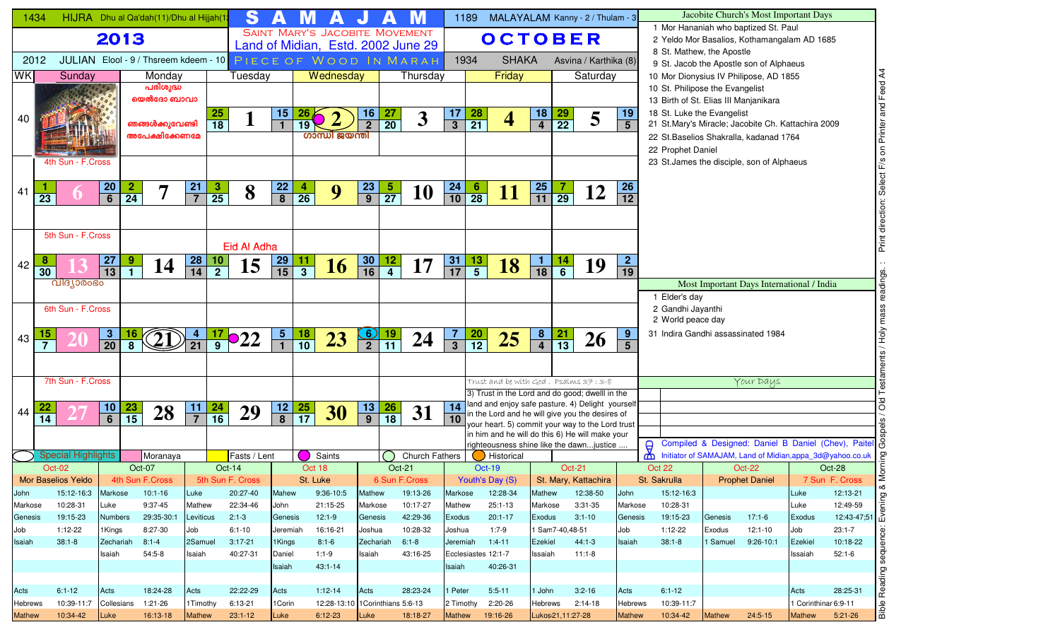| 1434            |                 |                           |                                   | HIJRA Dhu al Qa'dah(11)/Dhu al Hijjah(1 |                 | S                         |                 |                                    |                                       |                   |                 |                                                              |                   | 1189            | MALAYALAM Kanny - 2 / Thulam - 3                                                                    |                   |                      |                       |                              |          |                                        |               | Jacobite Church's Most Important Days                                                         |                      |                                                                                                                                                            |
|-----------------|-----------------|---------------------------|-----------------------------------|-----------------------------------------|-----------------|---------------------------|-----------------|------------------------------------|---------------------------------------|-------------------|-----------------|--------------------------------------------------------------|-------------------|-----------------|-----------------------------------------------------------------------------------------------------|-------------------|----------------------|-----------------------|------------------------------|----------|----------------------------------------|---------------|-----------------------------------------------------------------------------------------------|----------------------|------------------------------------------------------------------------------------------------------------------------------------------------------------|
|                 |                 |                           | 2013                              |                                         |                 |                           |                 |                                    | <b>SAINT MARY'S JACOBITE MOVEMENT</b> |                   |                 |                                                              |                   |                 | <b>OCTOBER</b>                                                                                      |                   |                      |                       |                              |          |                                        |               | 1 Mor Hananiah who baptized St. Paul<br>2 Yeldo Mor Basalios, Kothamangalam AD 1685           |                      |                                                                                                                                                            |
| 2012            |                 |                           |                                   | JULIAN Elool - 9 / Thsreem kdeem - 10   |                 |                           |                 |                                    |                                       |                   |                 | Land of Midian, Estd. 2002 June 29<br>PIECE OF WOOD IN MARAH |                   | 1934            | <b>SHAKA</b>                                                                                        |                   |                      | Asvina / Karthika (8) |                              |          | 8 St. Mathew, the Apostle              |               |                                                                                               |                      |                                                                                                                                                            |
| WK              |                 | Sunday                    |                                   | Monday                                  |                 | Tuesday                   |                 |                                    | Wednesday                             |                   |                 | Thursday                                                     |                   |                 | Friday                                                                                              |                   |                      | Saturday              |                              |          |                                        |               | 9 St. Jacob the Apostle son of Alphaeus<br>10 Mor Dionysius IV Philipose, AD 1855             |                      |                                                                                                                                                            |
|                 |                 |                           |                                   | പരിശുദ്ധ                                |                 |                           |                 |                                    |                                       |                   |                 |                                                              |                   |                 |                                                                                                     |                   |                      |                       |                              |          | 10 St. Philipose the Evangelist        |               |                                                                                               |                      | Feed                                                                                                                                                       |
|                 |                 |                           |                                   | യെൽദോ ബാവാ                              |                 |                           |                 |                                    |                                       |                   |                 |                                                              |                   |                 |                                                                                                     |                   |                      |                       |                              |          | 13 Birth of St. Elias III Manjanikara  |               |                                                                                               |                      |                                                                                                                                                            |
| 40              |                 |                           |                                   |                                         |                 | $\frac{25}{18}$           | 15 <sub>1</sub> |                                    |                                       | 16                | <u>27</u>       | $\overline{\mathbf{3}}$                                      | 17                | $\frac{28}{21}$ | $\overline{\mathbf{4}}$                                                                             | $\frac{18}{4}$    | $\frac{29}{22}$      | 5                     | 19                           |          | 18 St. Luke the Evangelist             |               |                                                                                               |                      |                                                                                                                                                            |
|                 |                 |                           |                                   | ഞങ്ങൾക്കുവേണ്ടി<br>അപേക്ഷിക്കേണമേ       |                 |                           |                 | 19                                 | ഗാന്ധി ജയന്തി                         | $\overline{2}$    | $\overline{20}$ |                                                              | $\mathbf{3}$      |                 |                                                                                                     |                   |                      |                       | $5\phantom{1}$               |          |                                        |               | 21 St.Mary's Miracle; Jacobite Ch. Kattachira 2009<br>22 St. Baselios Shakralla, kadanad 1764 |                      | Printer                                                                                                                                                    |
|                 |                 |                           |                                   |                                         |                 |                           |                 |                                    |                                       |                   |                 |                                                              |                   |                 |                                                                                                     |                   |                      |                       |                              |          | 22 Prophet Daniel                      |               |                                                                                               |                      | $\mathsf{S}% _{T}=\mathsf{S}_{T}\!\left( a,b\right) ,\mathsf{S}_{T}=\mathsf{S}_{T}\!\left( a,b\right) ,\mathsf{S}_{T}=\mathsf{S}_{T}\!\left( a,b\right) ,$ |
|                 |                 | 4th Sun - F.Cross         |                                   |                                         |                 |                           |                 |                                    |                                       |                   |                 |                                                              |                   |                 |                                                                                                     |                   |                      |                       |                              |          |                                        |               | 23 St. James the disciple, son of Alphaeus                                                    |                      |                                                                                                                                                            |
|                 |                 |                           |                                   |                                         |                 |                           |                 |                                    |                                       |                   |                 |                                                              |                   |                 |                                                                                                     |                   |                      |                       |                              |          |                                        |               |                                                                                               |                      |                                                                                                                                                            |
| 41              | $\overline{23}$ |                           | $\frac{20}{6}$<br>$\frac{2}{24}$  |                                         | $\frac{21}{7}$  | $\frac{3}{25}$<br>8       | $\frac{22}{8}$  | $\frac{4}{26}$                     | 9                                     | $\frac{23}{9}$    | $\frac{5}{27}$  | <b>10</b>                                                    | $\frac{24}{10}$   | $\frac{6}{28}$  | <u>11</u>                                                                                           | $\frac{25}{11}$   | $\frac{7}{29}$       | 12                    | <b>26</b><br>$\overline{12}$ |          |                                        |               |                                                                                               |                      |                                                                                                                                                            |
|                 |                 |                           |                                   |                                         |                 |                           |                 |                                    |                                       |                   |                 |                                                              |                   |                 |                                                                                                     |                   |                      |                       |                              |          |                                        |               |                                                                                               |                      |                                                                                                                                                            |
|                 |                 |                           |                                   |                                         |                 |                           |                 |                                    |                                       |                   |                 |                                                              |                   |                 |                                                                                                     |                   |                      |                       |                              |          |                                        |               |                                                                                               |                      |                                                                                                                                                            |
|                 |                 | 5th Sun - F.Cross         |                                   |                                         |                 |                           |                 |                                    |                                       |                   |                 |                                                              |                   |                 |                                                                                                     |                   |                      |                       |                              |          |                                        |               |                                                                                               |                      | Print                                                                                                                                                      |
|                 | 8               |                           | <b>27</b><br>9                    |                                         | <b>28</b>       | Eid Al Adha               |                 |                                    |                                       |                   |                 |                                                              | 31                |                 |                                                                                                     | $\mathbf{1}$      |                      |                       | 2 <sub>1</sub>               |          |                                        |               |                                                                                               |                      |                                                                                                                                                            |
| 42              | $\overline{30}$ |                           | $\overline{13}$<br>$\overline{1}$ | 14                                      | $\overline{14}$ | $\frac{10}{2}$<br>15      | $\frac{29}{15}$ | $\overline{\overline{\mathbf{3}}}$ | <b>16</b>                             | $\frac{30}{16}$   | $\frac{12}{4}$  | 17                                                           | $\overline{17}$   | $\frac{13}{5}$  | <b>18</b>                                                                                           | $\overline{18}$   | $\frac{14}{6}$       | 19                    | $\overline{19}$              |          |                                        |               |                                                                                               |                      |                                                                                                                                                            |
|                 |                 | വിദ്യാരംഭം                |                                   |                                         |                 |                           |                 |                                    |                                       |                   |                 |                                                              |                   |                 |                                                                                                     |                   |                      |                       |                              |          |                                        |               | Most Important Days International / India                                                     |                      |                                                                                                                                                            |
|                 |                 |                           |                                   |                                         |                 |                           |                 |                                    |                                       |                   |                 |                                                              |                   |                 |                                                                                                     |                   |                      |                       |                              |          | 1 Elder's day                          |               |                                                                                               |                      | ဖ                                                                                                                                                          |
|                 |                 | 6th Sun - F.Cross         |                                   |                                         |                 |                           |                 |                                    |                                       |                   |                 |                                                              |                   |                 |                                                                                                     |                   |                      |                       |                              |          | 2 Gandhi Jayanthi<br>2 World peace day |               |                                                                                               |                      |                                                                                                                                                            |
|                 | 15              |                           | <u> 16</u>                        |                                         |                 |                           |                 |                                    |                                       |                   |                 |                                                              | $\overline{7}$    |                 |                                                                                                     |                   |                      |                       | 9                            |          |                                        |               | 31 Indira Gandhi assassinated 1984                                                            |                      |                                                                                                                                                            |
| 43              | $\overline{7}$  |                           | $\frac{3}{20}$                    |                                         |                 | $\frac{17}{9}$ <b>O22</b> | $\frac{5}{1}$   | $\frac{18}{10}$                    | 23                                    | $\frac{6}{2}$     | $\frac{19}{11}$ | 24                                                           | $\overline{3}$    | $\frac{20}{12}$ | 25                                                                                                  | $\frac{8}{4}$     | $\frac{21}{13}$      | 26                    | $5\phantom{1}$               |          |                                        |               |                                                                                               |                      |                                                                                                                                                            |
|                 |                 |                           |                                   |                                         |                 |                           |                 |                                    |                                       |                   |                 |                                                              |                   |                 |                                                                                                     |                   |                      |                       |                              |          |                                        |               |                                                                                               |                      |                                                                                                                                                            |
|                 |                 | 7th Sun - F.Cross         |                                   |                                         |                 |                           |                 |                                    |                                       |                   |                 |                                                              |                   |                 | Trust and be with $God$ . Psalms $37:3-8$                                                           |                   |                      |                       |                              |          |                                        |               | Your Days                                                                                     |                      |                                                                                                                                                            |
|                 |                 |                           |                                   |                                         |                 |                           |                 |                                    |                                       |                   |                 |                                                              |                   |                 | 3) Trust in the Lord and do good; dwelll in the                                                     |                   |                      |                       |                              |          |                                        |               |                                                                                               |                      |                                                                                                                                                            |
| 44              |                 |                           | $\frac{10}{6}$<br>$\frac{23}{15}$ | 28                                      | $\frac{11}{1}$  | $\frac{24}{16}$<br>29     | $\frac{12}{8}$  | $\frac{25}{17}$                    | 30                                    | $\frac{13}{9}$    | $\frac{26}{18}$ | 31                                                           | 14                |                 | land and enjoy safe pasture. 4) Delight yourself<br>in the Lord and he will give you the desires of |                   |                      |                       |                              |          |                                        |               |                                                                                               |                      | <b>PO</b>                                                                                                                                                  |
|                 | $\overline{14}$ |                           |                                   |                                         | $\overline{7}$  |                           |                 |                                    |                                       |                   |                 |                                                              | 10                |                 | your heart. 5) commit your way to the Lord trust                                                    |                   |                      |                       |                              |          |                                        |               |                                                                                               |                      |                                                                                                                                                            |
|                 |                 |                           |                                   |                                         |                 |                           |                 |                                    |                                       |                   |                 |                                                              |                   |                 | in him and he will do this 6) He will make your<br>righteousness shine like the dawnjustice         |                   |                      |                       |                              | $\Theta$ |                                        |               |                                                                                               |                      | Compiled & Designed: Daniel B Daniel (Chev), Paitel &                                                                                                      |
|                 |                 | <b>Special Highlights</b> |                                   | Moranaya                                |                 | Fasts / Lent              |                 |                                    | Saints                                |                   |                 | <b>Church Fathers</b>                                        |                   |                 | <b>Historical</b>                                                                                   |                   |                      |                       |                              | ₾        |                                        |               | Initiator of SAMAJAM, Land of Midian, appa_3d@yahoo.co.uk                                     |                      |                                                                                                                                                            |
|                 |                 | Oct-02                    |                                   | Oct-07                                  |                 | Oct-14                    |                 | Oct 18                             |                                       |                   |                 | Oct-21                                                       |                   |                 | <b>Oct-19</b>                                                                                       |                   | <b>Oct-21</b>        |                       |                              |          | Oct 22                                 |               | <b>Oct-22</b>                                                                                 |                      | Oct-28                                                                                                                                                     |
|                 |                 | Mor Baselios Yeldo        |                                   | 4th Sun F.Cross                         |                 | 5th Sun F. Cross          |                 | St. Luke                           |                                       |                   |                 | 6 Sun F.Cross                                                |                   |                 | Youth's Day (S)                                                                                     |                   | St. Mary, Kattachira |                       |                              |          | St. Sakrulla                           |               | <b>Prophet Daniel</b>                                                                         |                      | 7 Sun F. Cross<br>∞                                                                                                                                        |
| John<br>Markose |                 | 15:12-16:3<br>10:28-31    | Markose<br>Luke                   | $10:1-16$<br>9:37-45                    | Luke<br>Mathew  | 20:27-40<br>22:34-46      | Mahew<br>John   |                                    | 9:36-10:5<br>21:15-25                 | Mathew<br>Markose |                 | 19:13-26<br>10:17-27                                         | Markose<br>Mathew |                 | 12:28-34<br>$25:1 - 13$                                                                             | Mathew<br>Markose |                      | 12:38-50<br>3:31-35   | John<br>Markose              |          | 15:12-16:3<br>10:28-31                 |               |                                                                                               | Luke<br>Luke         | 12:13-21<br>ening<br>12:49-59                                                                                                                              |
| Genesis         |                 | 19:15-23                  | <b>Numbers</b>                    | 29:35-30:1                              | Leviticus       | $2:1-3$                   | Genesis         |                                    | $12:1-9$                              | Genesis           |                 | 42:29-36                                                     | Exodus            |                 | $20:1 - 17$                                                                                         | Exodus            |                      | $3:1 - 10$            | Genesis                      |          | 19:15-23                               | Genesis       | $17:1-6$                                                                                      | Exodus               | $12:43-47;51$                                                                                                                                              |
| Job             |                 | $1:12-22$                 | 1Kings                            | 8:27-30                                 | Job             | $6:1 - 10$                | Jeremiah        |                                    | 16:16-21                              | Joshua            |                 | 10:28-32                                                     | Joshua            |                 | $1:7-9$                                                                                             |                   | l Sam7-40,48-51      |                       | Job                          |          | 1:12-22                                | Exodus        | $12:1-10$                                                                                     | Job                  | $23:1 - 7$                                                                                                                                                 |
| Isaiah          |                 | $38:1 - 8$                | Zechariah                         | $8:1 - 4$                               | 2Samuel         | $3:17 - 21$               | 1Kings          |                                    | $8:1-6$                               | Zechariah         |                 | $6:1-8$                                                      | Jeremiah          |                 | $1:4-11$                                                                                            | Ezekiel           |                      | $44:1-3$              | Isaiah                       |          | $38:1 - 8$                             | 1 Samuel      | $9:26-10:1$                                                                                   | Ezekiel              | sequenc<br>10:18-22                                                                                                                                        |
|                 |                 |                           | Isaiah                            | $54:5-8$                                | Isaiah          | 40:27-31                  | Daniel          |                                    | $1:1-9$                               | Isaiah            |                 | 43:16-25                                                     |                   |                 | Ecclesiastes 12:1-7                                                                                 | lssaiah           |                      | $11:1-8$              |                              |          |                                        |               |                                                                                               | Issaiah              | $52:1-6$                                                                                                                                                   |
|                 |                 |                           |                                   |                                         |                 |                           | Isaiah          |                                    | $43:1 - 14$                           |                   |                 |                                                              | Isaiah            |                 | 40:26-31                                                                                            |                   |                      |                       |                              |          |                                        |               |                                                                                               |                      | Reading                                                                                                                                                    |
| Acts            |                 | $6:1 - 12$                | Acts                              | 18:24-28                                | Acts            | 22:22-29                  | Acts            |                                    | $1:12-14$                             | Acts              |                 | 28:23-24                                                     | 1 Peter           |                 | $5:5-11$                                                                                            | 1 John            |                      | $3:2 - 16$            | Acts                         |          | $6:1 - 12$                             |               |                                                                                               | Acts                 | 28:25-31                                                                                                                                                   |
| Hebrews         |                 | 10:39-11:7                | Collesians                        | 1:21-26                                 | 1 Timothy       | 6:13-21                   | 1 Corin         |                                    | 12:28-13:10 1Corinthians 5:6-13       |                   |                 |                                                              | 2 Timothy         |                 | 2:20-26                                                                                             | Hebrews           |                      | 2:14-18               | Hebrews                      |          | 10:39-11:7                             |               |                                                                                               | 1 Corinthinar 6:9-11 |                                                                                                                                                            |
| Mathew          |                 | 10:34-42                  | Luke                              | $16:13-18$                              | <b>Mathew</b>   | $23:1 - 12$               | Luke            |                                    | $6:12-23$                             | Luke              |                 | 18:18-27                                                     | <b>Mathew</b>     |                 | 19:16-26                                                                                            |                   | Lukos 21, 11: 27-28  |                       | <b>Mathew</b>                |          | 10:34-42                               | <b>Mathew</b> | $24:5-15$                                                                                     | <b>Mathew</b>        | Bible<br>$5:21-26$                                                                                                                                         |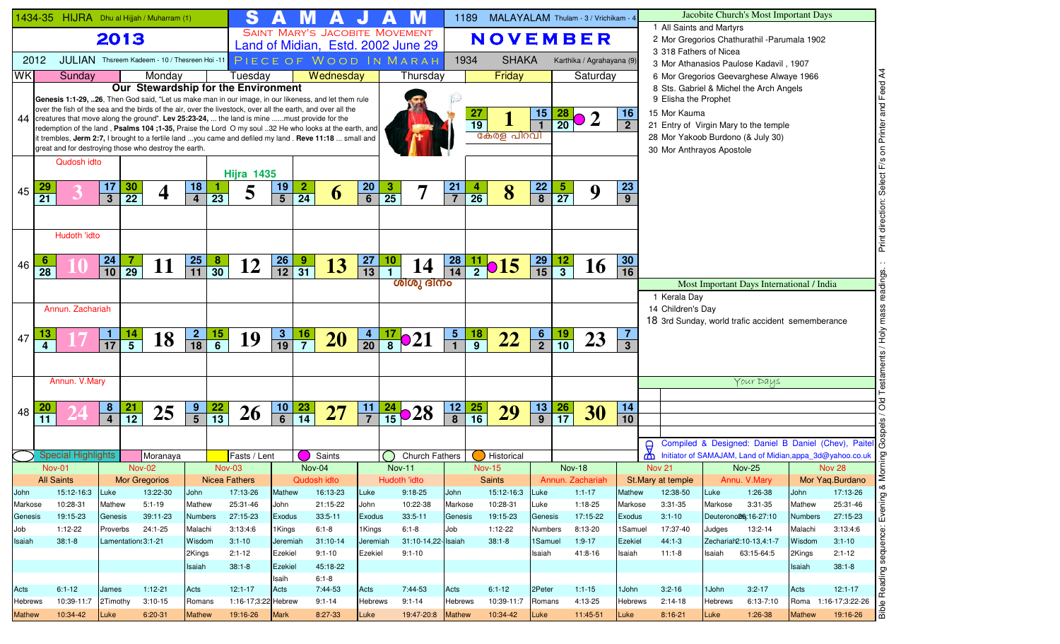|                   |                           |                        |                                                      | 1434-35 HIJRA Dhu al Hijjah / Muharram (1)                                                                                                                                                                    |                      |                 | S                    |                  |                 |                       |                 |                |                                    | 1189                    |                                   | MALAYALAM Thulam - 3 / Vrichikam - 4 |                 |                             |                                       |                             |                                                                            |                 | Jacobite Church's Most Important Days                                              |                |                                                                                                                                                            |
|-------------------|---------------------------|------------------------|------------------------------------------------------|---------------------------------------------------------------------------------------------------------------------------------------------------------------------------------------------------------------|----------------------|-----------------|----------------------|------------------|-----------------|-----------------------|-----------------|----------------|------------------------------------|-------------------------|-----------------------------------|--------------------------------------|-----------------|-----------------------------|---------------------------------------|-----------------------------|----------------------------------------------------------------------------|-----------------|------------------------------------------------------------------------------------|----------------|------------------------------------------------------------------------------------------------------------------------------------------------------------|
|                   |                           |                        | 2013                                                 |                                                                                                                                                                                                               |                      |                 |                      |                  |                 |                       |                 |                | SAINT MARY'S JACOBITE MOVEMENT     |                         |                                   | <b>NOVEMBER</b>                      |                 |                             |                                       |                             | 1 All Saints and Martyrs                                                   |                 | 2 Mor Gregorios Chathurathil - Parumala 1902                                       |                |                                                                                                                                                            |
|                   |                           |                        |                                                      | JULIAN Thsreem Kadeem - 10 / Thesreen Hoi -11                                                                                                                                                                 |                      |                 |                      |                  |                 |                       |                 |                | Land of Midian, Estd. 2002 June 29 |                         |                                   | <b>SHAKA</b>                         |                 |                             |                                       |                             | 3 318 Fathers of Nicea                                                     |                 |                                                                                    |                |                                                                                                                                                            |
| 2012<br><b>WK</b> |                           | Sunday                 |                                                      | Monday                                                                                                                                                                                                        |                      |                 | Tuesday              |                  |                 | Wednesday             |                 |                | PIECE OF WOOD IN MARAH<br>Thursday | 1934                    |                                   | Friday                               |                 |                             | Karthika / Agrahayana (9)<br>Saturday |                             |                                                                            |                 | 3 Mor Athanasios Paulose Kadavil, 1907                                             |                | र्द                                                                                                                                                        |
|                   |                           |                        |                                                      | Our Stewardship for the Environment                                                                                                                                                                           |                      |                 |                      |                  |                 |                       |                 |                |                                    |                         |                                   |                                      |                 |                             |                                       |                             |                                                                            |                 | 6 Mor Gregorios Geevarghese Alwaye 1966<br>8 Sts. Gabriel & Michel the Arch Angels |                | $F$ eed                                                                                                                                                    |
|                   |                           |                        |                                                      | Genesis 1:1-29, 26, Then God said, "Let us make man in our image, in our likeness, and let them rule                                                                                                          |                      |                 |                      |                  |                 |                       |                 |                |                                    |                         |                                   |                                      |                 |                             |                                       |                             | 9 Elisha the Prophet                                                       |                 |                                                                                    |                |                                                                                                                                                            |
|                   |                           |                        |                                                      | over the fish of the sea and the birds of the air, over the livestock, over all the earth, and over all the<br>44 creatures that move along the ground". Lev 25:23-24,  the land is mine must provide for the |                      |                 |                      |                  |                 |                       |                 |                |                                    |                         | 27                                |                                      | 15              | $\frac{28}{20}$ O           | $\boldsymbol{2}$                      | 16                          | 15 Mor Kauma                                                               |                 |                                                                                    |                |                                                                                                                                                            |
|                   |                           |                        |                                                      | redemption of the land, Psalms 104;1-35, Praise the Lord O my soul 32 He who looks at the earth, and                                                                                                          |                      |                 |                      |                  |                 |                       |                 |                |                                    |                         | $\overline{19}$                   | കേരള പിറവി                           |                 |                             |                                       | $\overline{2}$              | 21 Entry of Virgin Mary to the temple<br>28 Mor Yakoob Burdono (& July 30) |                 |                                                                                    |                | Printer                                                                                                                                                    |
|                   |                           |                        |                                                      | it trembles, Jerm 2:7, I brought to a fertile land you came and defiled my land. Reve 11:18  small and<br>great and for destroying those who destroy the earth.                                               |                      |                 |                      |                  |                 |                       |                 |                |                                    |                         |                                   |                                      |                 |                             |                                       |                             | 30 Mor Anthrayos Apostole                                                  |                 |                                                                                    |                | $\mathsf{S}% _{T}=\mathsf{S}_{T}\!\left( a,b\right) ,\mathsf{S}_{T}=\mathsf{S}_{T}\!\left( a,b\right) ,\mathsf{S}_{T}=\mathsf{S}_{T}\!\left( a,b\right) ,$ |
|                   |                           | Qudosh idto            |                                                      |                                                                                                                                                                                                               |                      |                 |                      |                  |                 |                       |                 |                |                                    |                         |                                   |                                      |                 |                             |                                       |                             |                                                                            |                 |                                                                                    |                |                                                                                                                                                            |
|                   |                           |                        |                                                      |                                                                                                                                                                                                               |                      |                 | <b>Hijra 1435</b>    |                  |                 |                       |                 |                |                                    |                         |                                   |                                      |                 |                             |                                       |                             |                                                                            |                 |                                                                                    |                |                                                                                                                                                            |
| 45                | $\overline{21}$           |                        | 17<br><b>30</b><br>$\overline{22}$<br>$\overline{3}$ |                                                                                                                                                                                                               | 18<br>$\overline{4}$ | $\overline{23}$ | 5                    | $\frac{19}{5}$   | $\frac{2}{24}$  | 6                     | $\frac{20}{6}$  | $\frac{3}{25}$ |                                    | 21<br>$\overline{7}$    | $\overline{a}$<br>$\overline{26}$ | 8                                    | $\frac{22}{8}$  | <u>5</u><br>$\overline{27}$ | 9                                     | <b>23</b><br>$\overline{9}$ |                                                                            |                 |                                                                                    |                |                                                                                                                                                            |
|                   |                           |                        |                                                      |                                                                                                                                                                                                               |                      |                 |                      |                  |                 |                       |                 |                |                                    |                         |                                   |                                      |                 |                             |                                       |                             |                                                                            |                 |                                                                                    |                |                                                                                                                                                            |
|                   |                           |                        |                                                      |                                                                                                                                                                                                               |                      |                 |                      |                  |                 |                       |                 |                |                                    |                         |                                   |                                      |                 |                             |                                       |                             |                                                                            |                 |                                                                                    |                | direction:                                                                                                                                                 |
|                   |                           | Hudoth 'idto           |                                                      |                                                                                                                                                                                                               |                      |                 |                      |                  |                 |                       |                 |                |                                    |                         |                                   |                                      |                 |                             |                                       |                             |                                                                            |                 |                                                                                    |                | Print                                                                                                                                                      |
|                   |                           |                        | 7                                                    |                                                                                                                                                                                                               |                      |                 |                      |                  |                 |                       |                 |                |                                    |                         |                                   |                                      |                 |                             |                                       | 30                          |                                                                            |                 |                                                                                    |                |                                                                                                                                                            |
| 46                | 28                        |                        | $\frac{24}{10}$<br>$\overline{29}$                   | 11                                                                                                                                                                                                            | $\frac{25}{11}$      | $\frac{8}{30}$  | 12                   | $\frac{26}{12}$  | $\frac{9}{31}$  | 13                    | $\frac{27}{13}$ | $\frac{10}{1}$ | 14                                 | $\frac{28}{14}$         |                                   | $\frac{11}{2}$ <b>015</b>            | $\frac{29}{15}$ | $\frac{12}{3}$              | <b>16</b>                             | $\overline{16}$             |                                                                            |                 |                                                                                    |                | $\dot{\rm o}$                                                                                                                                              |
|                   |                           |                        |                                                      |                                                                                                                                                                                                               |                      |                 |                      |                  |                 |                       |                 |                | ശിശു ദിനം                          |                         |                                   |                                      |                 |                             |                                       |                             |                                                                            |                 | Most Important Days International / India                                          |                |                                                                                                                                                            |
|                   |                           |                        |                                                      |                                                                                                                                                                                                               |                      |                 |                      |                  |                 |                       |                 |                |                                    |                         |                                   |                                      |                 |                             |                                       |                             | 1 Kerala Day                                                               |                 |                                                                                    |                | ဖ                                                                                                                                                          |
|                   |                           | Annun, Zachariah       |                                                      |                                                                                                                                                                                                               |                      |                 |                      |                  |                 |                       |                 |                |                                    |                         |                                   |                                      |                 |                             |                                       |                             | 14 Children's Day<br>18 3rd Sunday, world trafic accident sememberance     |                 |                                                                                    |                | mas                                                                                                                                                        |
|                   | 13                        |                        | <u>1</u>                                             |                                                                                                                                                                                                               |                      |                 |                      |                  |                 |                       |                 |                |                                    | $\overline{\mathbf{5}}$ |                                   |                                      |                 |                             |                                       | $\overline{7}$              |                                                                            |                 |                                                                                    |                | у<br>НоН                                                                                                                                                   |
| 47                | 4                         |                        | $\frac{14}{5}$<br>$\overline{17}$                    | 18                                                                                                                                                                                                            | $\frac{2}{18}$       | $\frac{15}{6}$  | 19                   | $\frac{3}{19}$   | $\frac{16}{7}$  | <b>20</b>             | $\frac{4}{20}$  |                | $\frac{17}{8}$ $\circ$ 21          |                         | $\frac{18}{9}$                    | 22                                   | $\frac{6}{2}$   | $\frac{19}{10}$             | 23                                    | 3 <sup>1</sup>              |                                                                            |                 |                                                                                    |                |                                                                                                                                                            |
|                   |                           |                        |                                                      |                                                                                                                                                                                                               |                      |                 |                      |                  |                 |                       |                 |                |                                    |                         |                                   |                                      |                 |                             |                                       |                             |                                                                            |                 |                                                                                    |                |                                                                                                                                                            |
|                   |                           | Annun. V.Mary          |                                                      |                                                                                                                                                                                                               |                      |                 |                      |                  |                 |                       |                 |                |                                    |                         |                                   |                                      |                 |                             |                                       |                             |                                                                            |                 | Your Days                                                                          |                |                                                                                                                                                            |
|                   |                           |                        |                                                      |                                                                                                                                                                                                               |                      |                 |                      |                  |                 |                       |                 |                |                                    |                         |                                   |                                      |                 |                             |                                       |                             |                                                                            |                 |                                                                                    |                |                                                                                                                                                            |
| 48                |                           |                        | 8<br>$\frac{21}{12}$                                 | 25                                                                                                                                                                                                            | $\frac{9}{5}$        | $\frac{22}{13}$ | <b>26</b>            | $\frac{10}{6}$   | $\frac{23}{14}$ | 27                    | $\frac{11}{7}$  |                | $\frac{24}{15}$ <b>28</b>          | 12                      | $\frac{25}{16}$                   | 29                                   | $\frac{13}{9}$  | $\frac{26}{17}$             | 30                                    | 14                          |                                                                            |                 |                                                                                    |                | Old                                                                                                                                                        |
|                   | 11                        |                        | $\overline{4}$                                       |                                                                                                                                                                                                               |                      |                 |                      |                  |                 |                       |                 |                |                                    | $\overline{\mathbf{8}}$ |                                   |                                      |                 |                             |                                       | 10                          |                                                                            |                 |                                                                                    |                |                                                                                                                                                            |
|                   |                           |                        |                                                      |                                                                                                                                                                                                               |                      |                 |                      |                  |                 |                       |                 |                |                                    |                         |                                   |                                      |                 |                             |                                       |                             |                                                                            |                 |                                                                                    |                | Compiled & Designed: Daniel B Daniel (Chev), Paitel                                                                                                        |
|                   | <b>Special Highlights</b> |                        |                                                      | Moranaya                                                                                                                                                                                                      |                      |                 | Fasts / Lent         |                  |                 | Saints                |                 |                | <b>Church Fathers</b>              |                         |                                   | Historical                           |                 |                             |                                       |                             | ന്ന                                                                        |                 | Initiator of SAMAJAM, Land of Midian, appa_3d@yahoo.co.uk                          |                |                                                                                                                                                            |
|                   | <b>Nov-01</b>             |                        |                                                      | <b>Nov-02</b>                                                                                                                                                                                                 |                      | <b>Nov-03</b>   |                      |                  | Nov-04          |                       |                 |                | $Nov-11$                           |                         |                                   | <b>Nov-15</b>                        |                 | <b>Nov-18</b>               |                                       |                             | <b>Nov 21</b>                                                              |                 | <b>Nov-25</b>                                                                      |                | Nov 28                                                                                                                                                     |
|                   | <b>All Saints</b>         |                        |                                                      | Mor Gregorios                                                                                                                                                                                                 |                      | Nicea Fathers   |                      |                  | Qudosh idto     |                       |                 |                | Hudoth 'idto                       |                         |                                   | Saints                               |                 | Annun. Zachariah            |                                       |                             | St.Mary at temple                                                          |                 | Annu. V.Mary                                                                       |                | Mor Yaq.Burdano<br>∞                                                                                                                                       |
| John<br>Markose   |                           | 15:12-16:3<br>10:28-31 | Luke<br>Mathew                                       | 13:22-30<br>$5:1 - 19$                                                                                                                                                                                        | John<br>Mathew       |                 | 17:13-26<br>25:31-46 | Mathew<br>John   |                 | 16:13-23<br>21:15-22  | Luke<br>John    |                | $9:18-25$<br>10:22-38              | John<br>Markose         |                                   | 15:12-16:3<br>10:28-31               | Luke<br>Luke    |                             | $1:1-17$<br>$1:18-25$                 | <b>Mathew</b><br>Markose    | 12:38-50<br>3:31-35                                                        | Luke<br>Markose | 1:26-38<br>$3:31-35$                                                               | John<br>Mathew | 17:13-26<br>Evening<br>25:31-46                                                                                                                            |
| Genesis           |                           | 19:15-23               | Genesis                                              | 39:11-23                                                                                                                                                                                                      | <b>Numbers</b>       |                 | 27:15-23             | <b>Exodus</b>    |                 | $33:5-11$             | <b>Exodus</b>   |                | $33:5 - 11$                        | Genesis                 |                                   | 19:15-23                             | Genesis         |                             | 17:15-22                              | Exodus                      | $3:1 - 10$                                                                 |                 | Deuterono <sup>26</sup> :16-27:10                                                  | <b>Numbers</b> | 27:15-23                                                                                                                                                   |
| Job               | $1:12-22$                 |                        | Proverbs                                             | 24:1-25                                                                                                                                                                                                       | Malachi              |                 | 3:13:4:6             | 1Kings           |                 | $6:1 - 8$             | 1Kings          |                | $6:1 - 8$                          | Job                     |                                   | $1:12-22$                            | <b>Numbers</b>  |                             | 8:13-20                               | 1Samuel                     | 17:37-40                                                                   | Judges          | 13:2-14                                                                            | Malachi        | 3:13:4:6                                                                                                                                                   |
| Isaiah            | $38:1 - 8$                |                        | Lamentation: 3:1-21                                  |                                                                                                                                                                                                               | Wisdom               |                 | $3:1 - 10$           | Jeremiah         |                 | $31:10-14$            | Jeremiah        |                | 31:10-14,22- Isaiah                |                         |                                   | $38:1 - 8$                           | 1Samuel         |                             | $1:9-17$                              | <b>Ezekiel</b>              | $44:1-3$                                                                   |                 | Zechariah2:10-13,4:1-7                                                             | Wisdom         | sequenc<br>$3:1 - 10$                                                                                                                                      |
|                   |                           |                        |                                                      |                                                                                                                                                                                                               | 2Kings               |                 | $2:1 - 12$           | Ezekiel          |                 | $9:1 - 10$            | Ezekiel         |                | $9:1 - 10$                         |                         |                                   |                                      | Isaiah          |                             | 41:8-16                               | Isaiah                      | $11:1-8$                                                                   | Isaiah          | 63:15-64:5                                                                         | 2Kings         | $2:1-12$                                                                                                                                                   |
|                   |                           |                        |                                                      |                                                                                                                                                                                                               | Isaiah               |                 | $38:1 - 8$           | Ezekiel<br>Isaih |                 | 45:18-22<br>$6:1 - 8$ |                 |                |                                    |                         |                                   |                                      |                 |                             |                                       |                             |                                                                            |                 |                                                                                    | Isaiah         | $38:1 - 8$<br>Reading s                                                                                                                                    |
| Acts              | $6:1 - 12$                |                        | James                                                | $1:12-21$                                                                                                                                                                                                     | Acts                 |                 | $12:1-17$            | Acts             |                 | 7:44-53               | Acts            |                | 7:44-53                            | Acts                    |                                   | $6:1 - 12$                           | 2Peter          |                             | $1:1 - 15$                            | 1John                       | $3:2 - 16$                                                                 | 1John           | $3:2 - 17$                                                                         | Acts           | $12:1-17$                                                                                                                                                  |
| Hebrews           |                           | 10:39-11:7             | 2Timothy                                             | $3:10-15$                                                                                                                                                                                                     | Romans               |                 | 1:16-17;3:22 Hebrew  |                  |                 | $9:1 - 14$            | <b>Hebrews</b>  |                | $9:1 - 14$                         | <b>Hebrews</b>          |                                   | 10:39-11:7                           | Romans          |                             | 4:13-25                               | Hebrews                     | $2:14-18$                                                                  | <b>Hebrews</b>  | $6:13 - 7:10$                                                                      |                | Roma 1:16-17;3:22-26<br>$\mathbf{\Omega}$                                                                                                                  |
| <b>Mathew</b>     |                           | 10:34-42               | Luke                                                 | 6:20-31                                                                                                                                                                                                       | <b>Mathew</b>        |                 | 19:16-26             | <b>Mark</b>      |                 | 8:27-33               | Luke            |                | 19:47-20:8 Mathew                  |                         |                                   | 10:34-42                             | Luke            |                             | 11:45-51                              | Luke                        | $8:16-21$                                                                  | Luke            | $1:26-38$                                                                          | <b>Mathew</b>  | laa<br>19:16-26                                                                                                                                            |